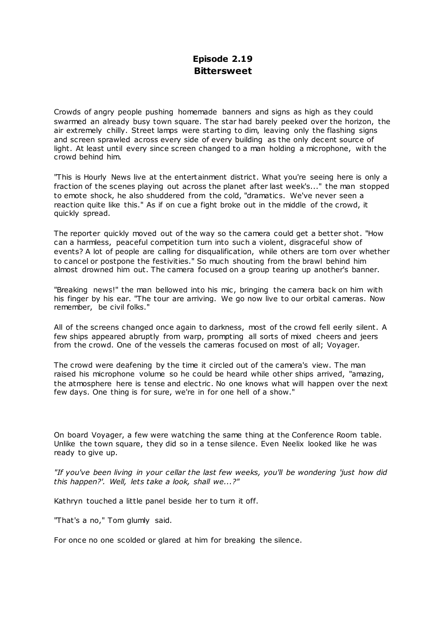# **Episode 2.19 Bittersweet**

Crowds of angry people pushing homemade banners and signs as high as they could swarmed an already busy town square. The star had barely peeked over the horizon, the air extremely chilly. Street lamps were starting to dim, leaving only the flashing signs and screen sprawled across every side of every building as the only decent source of light. At least until every since screen changed to a man holding a microphone, with the crowd behind him.

"This is Hourly News live at the entertainment district. What you're seeing here is only a fraction of the scenes playing out across the planet after last week's..." the man stopped to emote shock, he also shuddered from the cold, "dramatics. We've never seen a reaction quite like this." As if on cue a fight broke out in the middle of the crowd, it quickly spread.

The reporter quickly moved out of the way so the camera could get a better shot. "How can a harmless, peaceful competition turn into such a violent, disgraceful show of events? A lot of people are calling for disqualification, while others are torn over whether to cancel or postpone the festivities." So much shouting from the brawl behind him almost drowned him out. The camera focused on a group tearing up another's banner.

"Breaking news!" the man bellowed into his mic, bringing the camera back on him with his finger by his ear. "The tour are arriving. We go now live to our orbital cameras. Now remember, be civil folks."

All of the screens changed once again to darkness, most of the crowd fell eerily silent. A few ships appeared abruptly from warp, prompting all sorts of mixed cheers and jeers from the crowd. One of the vessels the cameras focused on most of all; Voyager.

The crowd were deafening by the time it circled out of the camera's view. The man raised his microphone volume so he could be heard while other ships arrived, "amazing, the atmosphere here is tense and electric . No one knows what will happen over the next few days. One thing is for sure, we're in for one hell of a show."

On board Voyager, a few were watching the same thing at the Conference Room table. Unlike the town square, they did so in a tense silence. Even Neelix looked like he was ready to give up.

*"If you've been living in your cellar the last few weeks, you'll be wondering 'just how did this happen?'. Well, lets take a look, shall we...?"*

Kathryn touched a little panel beside her to turn it off.

"That's a no," Tom glumly said.

For once no one scolded or glared at him for breaking the silence.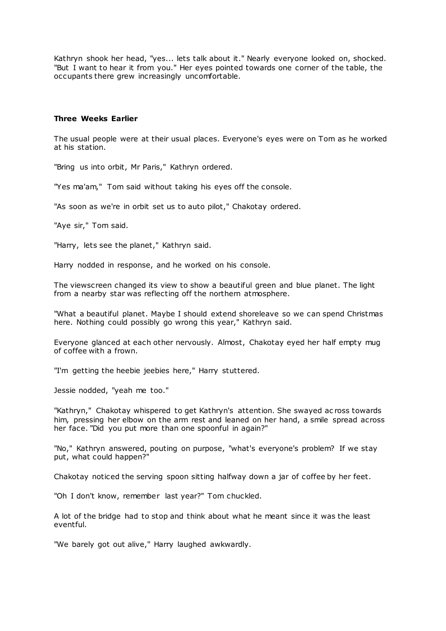Kathryn shook her head, "yes... lets talk about it." Nearly everyone looked on, shocked. "But I want to hear it from you." Her eyes pointed towards one corner of the table, the occupants there grew increasingly uncomfortable.

## **Three Weeks Earlier**

The usual people were at their usual places. Everyone's eyes were on Tom as he worked at his station.

"Bring us into orbit, Mr Paris," Kathryn ordered.

"Yes ma'am," Tom said without taking his eyes off the console.

"As soon as we're in orbit set us to auto pilot," Chakotay ordered.

"Aye sir," Tom said.

"Harry, lets see the planet," Kathryn said.

Harry nodded in response, and he worked on his console.

The viewscreen changed its view to show a beautiful green and blue planet. The light from a nearby star was reflecting off the northern atmosphere.

"What a beautiful planet. Maybe I should extend shoreleave so we can spend Christmas here. Nothing could possibly go wrong this year," Kathryn said.

Everyone glanced at each other nervously. Almost, Chakotay eyed her half empty mug of coffee with a frown.

"I'm getting the heebie jeebies here," Harry stuttered.

Jessie nodded, "yeah me too."

"Kathryn," Chakotay whispered to get Kathryn's attention. She swayed ac ross towards him, pressing her elbow on the arm rest and leaned on her hand, a smile spread across her face. "Did you put more than one spoonful in again?"

"No," Kathryn answered, pouting on purpose, "what's everyone's problem? If we stay put, what could happen?"

Chakotay noticed the serving spoon sitting halfway down a jar of coffee by her feet.

"Oh I don't know, remember last year?" Tom chuckled.

A lot of the bridge had to stop and think about what he meant since it was the least eventful.

"We barely got out alive," Harry laughed awkwardly.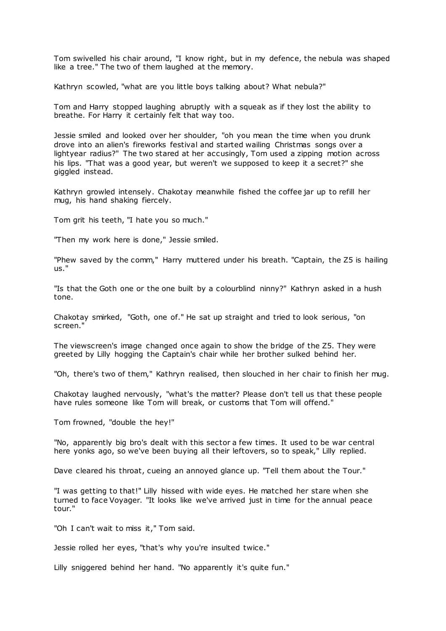Tom swivelled his chair around, "I know right, but in my defence, the nebula was shaped like a tree." The two of them laughed at the memory.

Kathryn scowled, "what are you little boys talking about? What nebula?"

Tom and Harry stopped laughing abruptly with a squeak as if they lost the ability to breathe. For Harry it certainly felt that way too.

Jessie smiled and looked over her shoulder, "oh you mean the time when you drunk drove into an alien's fireworks festival and started wailing Christmas songs over a lightyear radius?" The two stared at her accusingly, Tom used a zipping motion across his lips. "That was a good year, but weren't we supposed to keep it a secret?" she giggled instead.

Kathryn growled intensely. Chakotay meanwhile fished the coffee jar up to refill her mug, his hand shaking fiercely.

Tom grit his teeth, "I hate you so much."

"Then my work here is done," Jessie smiled.

"Phew saved by the comm," Harry muttered under his breath. "Captain, the Z5 is hailing us."

"Is that the Goth one or the one built by a colourblind ninny?" Kathryn asked in a hush tone.

Chakotay smirked, "Goth, one of." He sat up straight and tried to look serious, "on screen."

The viewscreen's image changed once again to show the bridge of the Z5. They were greeted by Lilly hogging the Captain's chair while her brother sulked behind her.

"Oh, there's two of them," Kathryn realised, then slouched in her chair to finish her mug.

Chakotay laughed nervously, "what's the matter? Please don't tell us that these people have rules someone like Tom will break, or customs that Tom will offend."

Tom frowned, "double the hey!"

"No, apparently big bro's dealt with this sector a few times. It used to be war central here yonks ago, so we've been buying all their leftovers, so to speak," Lilly replied.

Dave cleared his throat, cueing an annoyed glance up. "Tell them about the Tour."

"I was getting to that!" Lilly hissed with wide eyes. He matched her stare when she turned to face Voyager. "It looks like we've arrived just in time for the annual peace tour."

"Oh I can't wait to miss it," Tom said.

Jessie rolled her eyes, "that's why you're insulted twice."

Lilly sniggered behind her hand. "No apparently it's quite fun."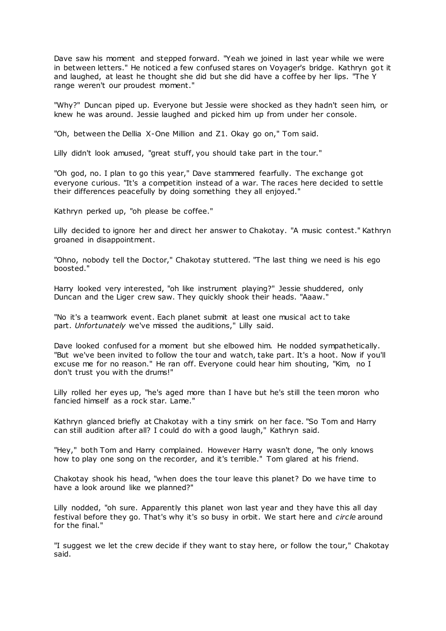Dave saw his moment and stepped forward. "Yeah we joined in last year while we were in between letters." He noticed a few confused stares on Voyager's bridge. Kathryn got it and laughed, at least he thought she did but she did have a coffee by her lips. "The Y range weren't our proudest moment."

"Why?" Duncan piped up. Everyone but Jessie were shocked as they hadn't seen him, or knew he was around. Jessie laughed and picked him up from under her console.

"Oh, between the Dellia X-One Million and Z1. Okay go on," Tom said.

Lilly didn't look amused, "great stuff, you should take part in the tour."

"Oh god, no. I plan to go this year," Dave stammered fearfully. The exchange got everyone curious. "It's a competition instead of a war. The races here decided to settle their differences peacefully by doing something they all enjoyed."

Kathryn perked up, "oh please be coffee."

Lilly decided to ignore her and direct her answer to Chakotay. "A music contest." Kathryn groaned in disappointment.

"Ohno, nobody tell the Doctor," Chakotay stuttered. "The last thing we need is his ego boosted."

Harry looked very interested, "oh like instrument playing?" Jessie shuddered, only Duncan and the Liger crew saw. They quickly shook their heads. "Aaaw."

"No it's a teamwork event. Each planet submit at least one musical act to take part. *Unfortunately* we've missed the auditions," Lilly said.

Dave looked confused for a moment but she elbowed him. He nodded sympathetically. "But we've been invited to follow the tour and watch, take part. It's a hoot. Now if you'll excuse me for no reason." He ran off. Everyone could hear him shouting, "Kim, no I don't trust you with the drums!"

Lilly rolled her eyes up, "he's aged more than I have but he's still the teen moron who fancied himself as a rock star. Lame."

Kathryn glanced briefly at Chakotay with a tiny smirk on her face. "So Tom and Harry can still audition after all? I could do with a good laugh," Kathryn said.

"Hey," both Tom and Harry complained. However Harry wasn't done, "he only knows how to play one song on the recorder, and it's terrible." Tom glared at his friend.

Chakotay shook his head, "when does the tour leave this planet? Do we have time to have a look around like we planned?"

Lilly nodded, "oh sure. Apparently this planet won last year and they have this all day festival before they go. That's why it's so busy in orbit. We start here and *circle* around for the final."

"I suggest we let the crew decide if they want to stay here, or follow the tour," Chakotay said.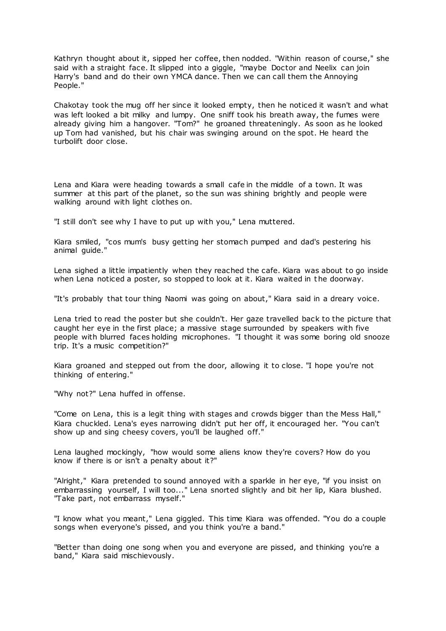Kathryn thought about it, sipped her coffee, then nodded. "Within reason of course," she said with a straight face. It slipped into a giggle, "maybe Doctor and Neelix can join Harry's band and do their own YMCA dance. Then we can call them the Annoying People."

Chakotay took the mug off her since it looked empty, then he noticed it wasn't and what was left looked a bit milky and lumpy. One sniff took his breath away, the fumes were already giving him a hangover. "Tom?" he groaned threateningly. As soon as he looked up Tom had vanished, but his chair was swinging around on the spot. He heard the turbolift door close.

Lena and Kiara were heading towards a small cafe in the middle of a town. It was summer at this part of the planet, so the sun was shining brightly and people were walking around with light clothes on.

"I still don't see why I have to put up with you," Lena muttered.

Kiara smiled, "cos mum's busy getting her stomach pumped and dad's pestering his animal guide."

Lena sighed a little impatiently when they reached the cafe. Kiara was about to go inside when Lena noticed a poster, so stopped to look at it. Kiara waited in the doorway.

"It's probably that tour thing Naomi was going on about," Kiara said in a dreary voice.

Lena tried to read the poster but she couldn't. Her gaze travelled back to the picture that caught her eye in the first place; a massive stage surrounded by speakers with five people with blurred faces holding microphones. "I thought it was some boring old snooze trip. It's a music competition?"

Kiara groaned and stepped out from the door, allowing it to close. "I hope you're not thinking of entering."

"Why not?" Lena huffed in offense.

"Come on Lena, this is a legit thing with stages and crowds bigger than the Mess Hall," Kiara chuckled. Lena's eyes narrowing didn't put her off, it encouraged her. "You can't show up and sing cheesy covers, you'll be laughed off."

Lena laughed mockingly, "how would some aliens know they're covers? How do you know if there is or isn't a penalty about it?"

"Alright," Kiara pretended to sound annoyed with a sparkle in her eye, "if you insist on embarrassing yourself, I will too..." Lena snorted slightly and bit her lip, Kiara blushed. "Take part, not embarrass myself."

"I know what you meant," Lena giggled. This time Kiara was offended. "You do a couple songs when everyone's pissed, and you think you're a band."

"Better than doing one song when you and everyone are pissed, and thinking you're a band," Kiara said mischievously.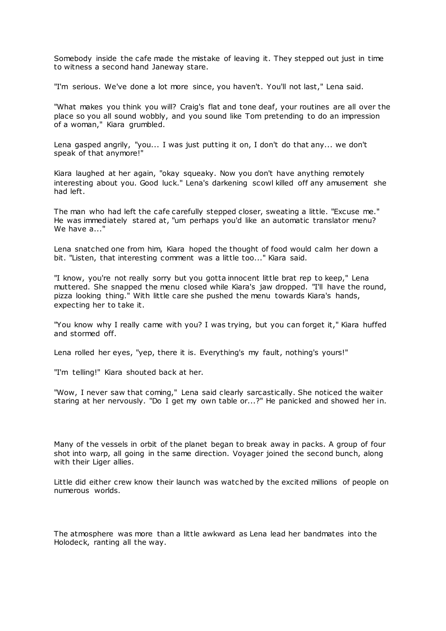Somebody inside the cafe made the mistake of leaving it. They stepped out just in time to witness a second hand Janeway stare.

"I'm serious. We've done a lot more since, you haven't. You'll not last," Lena said.

"What makes you think you will? Craig's flat and tone deaf, your routines are all over the place so you all sound wobbly, and you sound like Tom pretending to do an impression of a woman," Kiara grumbled.

Lena gasped angrily, "you... I was just putting it on, I don't do that any... we don't speak of that anymore!"

Kiara laughed at her again, "okay squeaky. Now you don't have anything remotely interesting about you. Good luck." Lena's darkening scowl killed off any amusement she had left.

The man who had left the cafe carefully stepped closer, sweating a little. "Excuse me." He was immediately stared at, "um perhaps you'd like an automatic translator menu? We have a..."

Lena snatched one from him, Kiara hoped the thought of food would calm her down a bit. "Listen, that interesting comment was a little too..." Kiara said.

"I know, you're not really sorry but you gotta innocent little brat rep to keep," Lena muttered. She snapped the menu closed while Kiara's jaw dropped. "I'll have the round, pizza looking thing." With little care she pushed the menu towards Kiara's hands, expecting her to take it.

"You know why I really came with you? I was trying, but you can forget it," Kiara huffed and stormed off.

Lena rolled her eyes, "yep, there it is. Everything's my fault, nothing's yours!"

"I'm telling!" Kiara shouted back at her.

"Wow, I never saw that coming," Lena said clearly sarcastically. She noticed the waiter staring at her nervously. "Do I get my own table or...?" He panicked and showed her in.

Many of the vessels in orbit of the planet began to break away in packs. A group of four shot into warp, all going in the same direction. Voyager joined the second bunch, along with their Liger allies.

Little did either crew know their launch was watched by the excited millions of people on numerous worlds.

The atmosphere was more than a little awkward as Lena lead her bandmates into the Holodeck, ranting all the way.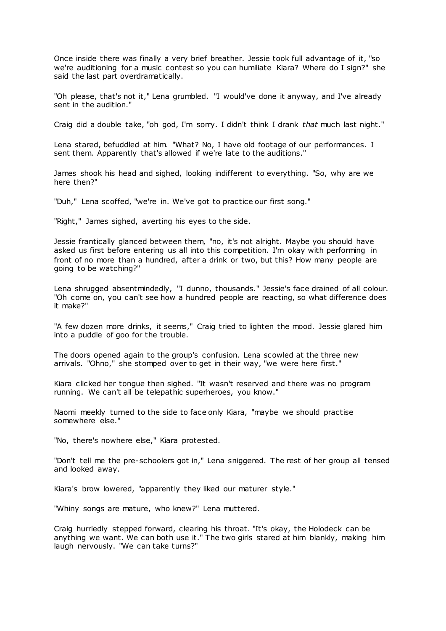Once inside there was finally a very brief breather. Jessie took full advantage of it, "so we're auditioning for a music contest so you can humiliate Kiara? Where do I sign?" she said the last part overdramatically.

"Oh please, that's not it," Lena grumbled. "I would've done it anyway, and I've already sent in the audition."

Craig did a double take, "oh god, I'm sorry. I didn't think I drank *that* much last night."

Lena stared, befuddled at him. "What? No, I have old footage of our performances. I sent them. Apparently that's allowed if we're late to the auditions."

James shook his head and sighed, looking indifferent to everything. "So, why are we here then?"

"Duh," Lena scoffed, "we're in. We've got to practice our first song."

"Right," James sighed, averting his eyes to the side.

Jessie frantically glanced between them, "no, it's not alright. Maybe you should have asked us first before entering us all into this competition. I'm okay with performing in front of no more than a hundred, after a drink or two, but this? How many people are going to be watching?"

Lena shrugged absentmindedly, "I dunno, thousands." Jessie's face drained of all colour. "Oh come on, you can't see how a hundred people are reacting, so what difference does it make?"

"A few dozen more drinks, it seems," Craig tried to lighten the mood. Jessie glared him into a puddle of goo for the trouble.

The doors opened again to the group's confusion. Lena scowled at the three new arrivals. "Ohno," she stomped over to get in their way, "we were here first."

Kiara clicked her tongue then sighed. "It wasn't reserved and there was no program running. We can't all be telepathic superheroes, you know."

Naomi meekly turned to the side to face only Kiara, "maybe we should practise somewhere else."

"No, there's nowhere else," Kiara protested.

"Don't tell me the pre-schoolers got in," Lena sniggered. The rest of her group all tensed and looked away.

Kiara's brow lowered, "apparently they liked our maturer style."

"Whiny songs are mature, who knew?" Lena muttered.

Craig hurriedly stepped forward, clearing his throat. "It's okay, the Holodeck can be anything we want. We can both use it." The two girls stared at him blankly, making him laugh nervously. "We can take turns?"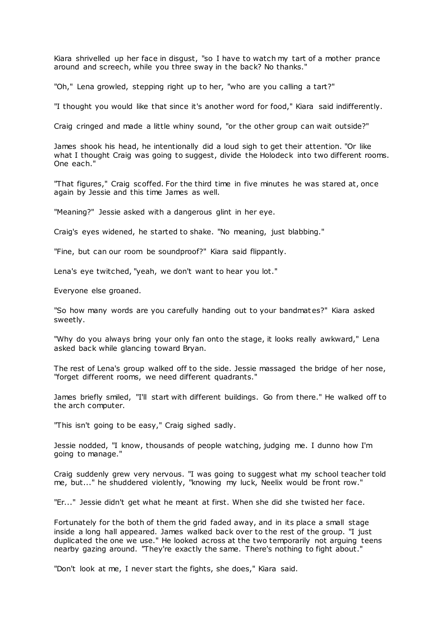Kiara shrivelled up her face in disgust, "so I have to watch my tart of a mother prance around and screech, while you three sway in the back? No thanks."

"Oh," Lena growled, stepping right up to her, "who are you calling a tart?"

"I thought you would like that since it's another word for food," Kiara said indifferently.

Craig cringed and made a little whiny sound, "or the other group can wait outside?"

James shook his head, he intentionally did a loud sigh to get their attention. "Or like what I thought Craig was going to suggest, divide the Holodeck into two different rooms. One each."

"That figures," Craig scoffed. For the third time in five minutes he was stared at, once again by Jessie and this time James as well.

"Meaning?" Jessie asked with a dangerous glint in her eye.

Craig's eyes widened, he started to shake. "No meaning, just blabbing."

"Fine, but can our room be soundproof?" Kiara said flippantly.

Lena's eye twitched, "yeah, we don't want to hear you lot."

Everyone else groaned.

"So how many words are you carefully handing out to your bandmat es?" Kiara asked sweetly.

"Why do you always bring your only fan onto the stage, it looks really awkward," Lena asked back while glancing toward Bryan.

The rest of Lena's group walked off to the side. Jessie massaged the bridge of her nose, "forget different rooms, we need different quadrants."

James briefly smiled, "I'll start with different buildings. Go from there." He walked off to the arch computer.

"This isn't going to be easy," Craig sighed sadly.

Jessie nodded, "I know, thousands of people watching, judging me. I dunno how I'm going to manage."

Craig suddenly grew very nervous. "I was going to suggest what my school teacher told me, but..." he shuddered violently, "knowing my luck, Neelix would be front row."

"Er..." Jessie didn't get what he meant at first. When she did she twisted her face.

Fortunately for the both of them the grid faded away, and in its place a small stage inside a long hall appeared. James walked back over to the rest of the group. "I just duplicated the one we use." He looked across at the two temporarily not arguing teens nearby gazing around. "They're exactly the same. There's nothing to fight about."

"Don't look at me, I never start the fights, she does," Kiara said.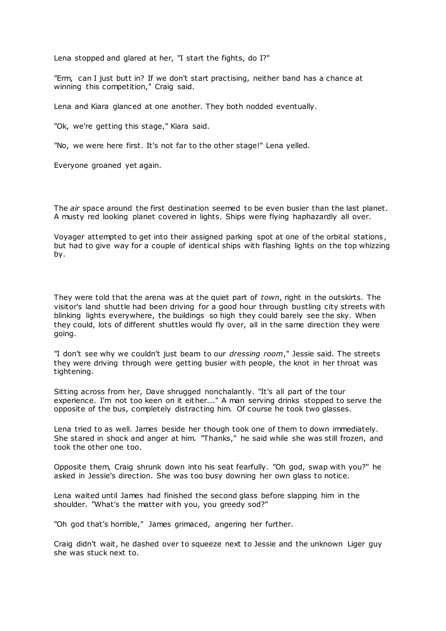Lena stopped and glared at her, "I start the fights, do I?"

"Erm, can I just butt in? If we don't start practising, neither band has a chance at winning this competition," Craig said.

Lena and Kiara glanced at one another. They both nodded eventually.

"Ok, we're getting this stage," Kiara said.

"No, we were here first. It's not far to the other stage!" Lena yelled.

Everyone groaned yet again.

The *air* space around the first destination seemed to be even busier than the last planet. A musty red looking planet covered in lights. Ships were flying haphazardly all over.

Voyager attempted to get into their assigned parking spot at one of the orbital stations , but had to give way for a couple of identical ships with flashing lights on the top whizzing by.

They were told that the arena was at the quiet part of *town*, right in the outskirts. The visitor's land shuttle had been driving for a good hour through bustling city streets with blinking lights everywhere, the buildings so high they could barely see the sky. When they could, lots of different shuttles would fly over, all in the same direction they were going.

"I don't see why we couldn't just beam to our *dressing room*," Jessie said. The streets they were driving through were getting busier with people, the knot in her throat was tightening.

Sitting across from her, Dave shrugged nonchalantly. "It's all part of the tour experience. I'm not too keen on it either..." A man serving drinks stopped to serve the opposite of the bus, completely distracting him. Of course he took two glasses.

Lena tried to as well. James beside her though took one of them to down immediately. She stared in shock and anger at him. "Thanks," he said while she was still frozen, and took the other one too.

Opposite them, Craig shrunk down into his seat fearfully. "Oh god, swap with you?" he asked in Jessie's direction. She was too busy downing her own glass to notice.

Lena waited until James had finished the second glass before slapping him in the shoulder. "What's the matter with you, you greedy sod?"

"Oh god that's horrible," James grimaced, angering her further.

Craig didn't wait, he dashed over to squeeze next to Jessie and the unknown Liger guy she was stuck next to.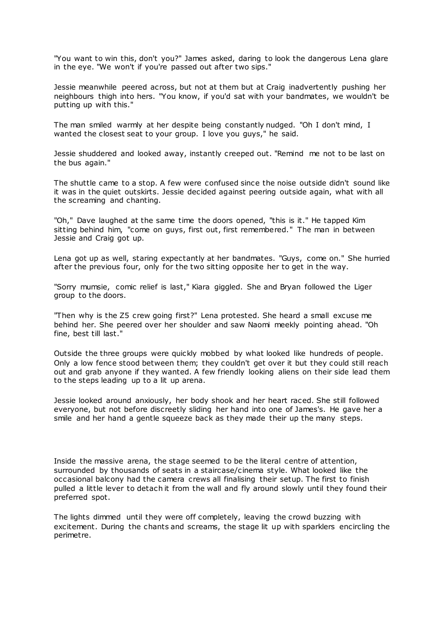"You want to win this, don't you?" James asked, daring to look the dangerous Lena glare in the eye. "We won't if you're passed out after two sips."

Jessie meanwhile peered across, but not at them but at Craig inadvertently pushing her neighbours thigh into hers. "You know, if you'd sat with your bandmates, we wouldn't be putting up with this."

The man smiled warmly at her despite being constantly nudged. "Oh I don't mind, I wanted the closest seat to your group. I love you guys," he said.

Jessie shuddered and looked away, instantly creeped out. "Remind me not to be last on the bus again."

The shuttle came to a stop. A few were confused since the noise outside didn't sound like it was in the quiet outskirts. Jessie decided against peering outside again, what with all the screaming and chanting.

"Oh," Dave laughed at the same time the doors opened, "this is it." He tapped Kim sitting behind him, "come on guys, first out, first remembered." The man in between Jessie and Craig got up.

Lena got up as well, staring expectantly at her bandmates. "Guys, come on." She hurried after the previous four, only for the two sitting opposite her to get in the way.

"Sorry mumsie, comic relief is last," Kiara giggled. She and Bryan followed the Liger group to the doors.

"Then why is the Z5 crew going first?" Lena protested. She heard a small excuse me behind her. She peered over her shoulder and saw Naomi meekly pointing ahead. "Oh fine, best till last."

Outside the three groups were quickly mobbed by what looked like hundreds of people. Only a low fence stood between them; they couldn't get over it but they could still reach out and grab anyone if they wanted. A few friendly looking aliens on their side lead them to the steps leading up to a lit up arena.

Jessie looked around anxiously, her body shook and her heart raced. She still followed everyone, but not before discreetly sliding her hand into one of James's. He gave her a smile and her hand a gentle squeeze back as they made their up the many steps.

Inside the massive arena, the stage seemed to be the literal centre of attention, surrounded by thousands of seats in a staircase/cinema style. What looked like the occasional balcony had the camera crews all finalising their setup. The first to finish pulled a little lever to detach it from the wall and fly around slowly until they found their preferred spot.

The lights dimmed until they were off completely, leaving the crowd buzzing with excitement. During the chants and screams, the stage lit up with sparklers encircling the perimetre.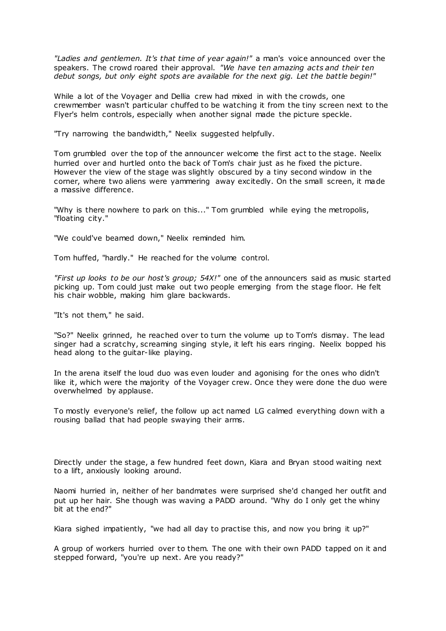*"Ladies and gentlemen. It's that time of year again!"* a man's voice announced over the speakers. The crowd roared their approval. *"We have ten amazing acts and their ten debut songs, but only eight spots are available for the next gig. Let the battle begin!"*

While a lot of the Voyager and Dellia crew had mixed in with the crowds, one crewmember wasn't particular chuffed to be watching it from the tiny screen next to the Flyer's helm controls, especially when another signal made the picture speckle.

"Try narrowing the bandwidth," Neelix suggested helpfully.

Tom grumbled over the top of the announcer welcome the first act to the stage. Neelix hurried over and hurtled onto the back of Tom's chair just as he fixed the picture. However the view of the stage was slightly obscured by a tiny second window in the corner, where two aliens were yammering away excitedly. On the small screen, it made a massive difference.

"Why is there nowhere to park on this..." Tom grumbled while eying the metropolis, "floating city."

"We could've beamed down," Neelix reminded him.

Tom huffed, "hardly." He reached for the volume control.

*"First up looks to be our host's group; 54X!"* one of the announcers said as music started picking up. Tom could just make out two people emerging from the stage floor. He felt his chair wobble, making him glare backwards.

"It's not them," he said.

"So?" Neelix grinned, he reached over to turn the volume up to Tom's dismay. The lead singer had a scratchy, screaming singing style, it left his ears ringing. Neelix bopped his head along to the guitar-like playing.

In the arena itself the loud duo was even louder and agonising for the ones who didn't like it, which were the majority of the Voyager crew. Once they were done the duo were overwhelmed by applause.

To mostly everyone's relief, the follow up act named LG calmed everything down with a rousing ballad that had people swaying their arms.

Directly under the stage, a few hundred feet down, Kiara and Bryan stood waiting next to a lift, anxiously looking around.

Naomi hurried in, neither of her bandmates were surprised she'd changed her outfit and put up her hair. She though was waving a PADD around. "Why do I only get the whiny bit at the end?"

Kiara sighed impatiently, "we had all day to practise this, and now you bring it up?"

A group of workers hurried over to them. The one with their own PADD tapped on it and stepped forward, "you're up next. Are you ready?"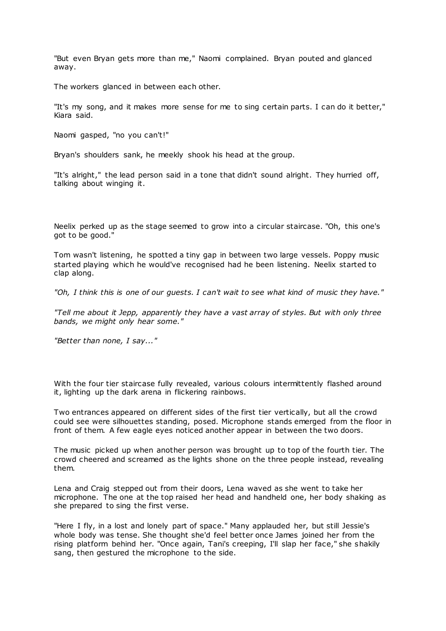"But even Bryan gets more than me," Naomi complained. Bryan pouted and glanced away.

The workers glanced in between each other.

"It's my song, and it makes more sense for me to sing certain parts. I can do it better," Kiara said.

Naomi gasped, "no you can't!"

Bryan's shoulders sank, he meekly shook his head at the group.

"It's alright," the lead person said in a tone that didn't sound alright. They hurried off, talking about winging it.

Neelix perked up as the stage seemed to grow into a circular staircase. "Oh, this one's got to be good."

Tom wasn't listening, he spotted a tiny gap in between two large vessels. Poppy music started playing which he would've recognised had he been listening. Neelix started to clap along.

*"Oh, I think this is one of our guests. I can't wait to see what kind of music they have."*

*"Tell me about it Jepp, apparently they have a vast array of styles. But with only three bands, we might only hear some."*

*"Better than none, I say..."*

With the four tier staircase fully revealed, various colours intermittently flashed around it, lighting up the dark arena in flickering rainbows.

Two entrances appeared on different sides of the first tier vertically, but all the crowd could see were silhouettes standing, posed. Microphone stands emerged from the floor in front of them. A few eagle eyes noticed another appear in between the two doors.

The music picked up when another person was brought up to top of the fourth tier. The crowd cheered and screamed as the lights shone on the three people instead, revealing them.

Lena and Craig stepped out from their doors, Lena waved as she went to take her microphone. The one at the top raised her head and handheld one, her body shaking as she prepared to sing the first verse.

"Here I fly, in a lost and lonely part of space." Many applauded her, but still Jessie's whole body was tense. She thought she'd feel better once James joined her from the rising platform behind her. "Once again, Tani's creeping, I'll slap her face," she shakily sang, then gestured the microphone to the side.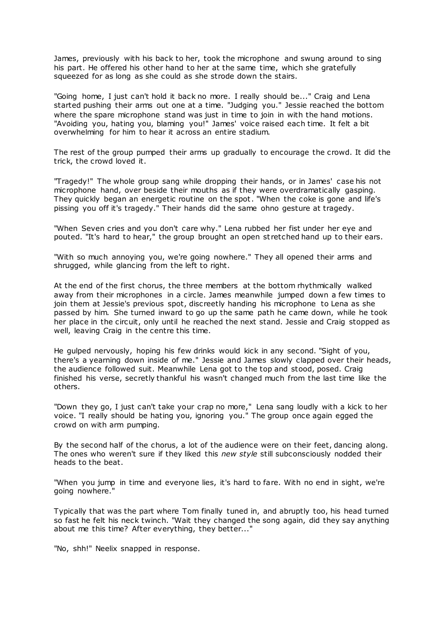James, previously with his back to her, took the microphone and swung around to sing his part. He offered his other hand to her at the same time, which she gratefully squeezed for as long as she could as she strode down the stairs.

"Going home, I just can't hold it back no more. I really should be..." Craig and Lena started pushing their arms out one at a time. "Judging you." Jessie reached the bottom where the spare microphone stand was just in time to join in with the hand motions. "Avoiding you, hating you, blaming you!" James' voice raised each time. It felt a bit overwhelming for him to hear it across an entire stadium.

The rest of the group pumped their arms up gradually to encourage the crowd. It did the trick, the crowd loved it.

"Tragedy!" The whole group sang while dropping their hands, or in James' case his not microphone hand, over beside their mouths as if they were overdramatically gasping. They quickly began an energetic routine on the spot. "When the coke is gone and life's pissing you off it's tragedy." Their hands did the same ohno gesture at tragedy.

"When Seven cries and you don't care why." Lena rubbed her fist under her eye and pouted. "It's hard to hear," the group brought an open st retched hand up to their ears.

"With so much annoying you, we're going nowhere." They all opened their arms and shrugged, while glancing from the left to right.

At the end of the first chorus, the three members at the bottom rhythmically walked away from their microphones in a circle. James meanwhile jumped down a few times to join them at Jessie's previous spot, discreetly handing his microphone to Lena as she passed by him. She turned inward to go up the same path he came down, while he took her place in the circuit, only until he reached the next stand. Jessie and Craig stopped as well, leaving Craig in the centre this time.

He gulped nervously, hoping his few drinks would kick in any second. "Sight of you, there's a yearning down inside of me." Jessie and James slowly clapped over their heads, the audience followed suit. Meanwhile Lena got to the top and stood, posed. Craig finished his verse, secretly thankful his wasn't changed much from the last time like the others.

"Down they go, I just can't take your crap no more," Lena sang loudly with a kick to her voice. "I really should be hating you, ignoring you." The group once again egged the crowd on with arm pumping.

By the second half of the chorus, a lot of the audience were on their feet, dancing along. The ones who weren't sure if they liked this *new style* still subconsciously nodded their heads to the beat.

"When you jump in time and everyone lies, it's hard to fare. With no end in sight, we're going nowhere."

Typically that was the part where Tom finally tuned in, and abruptly too, his head turned so fast he felt his neck twinch. "Wait they changed the song again, did they say anything about me this time? After everything, they better..."

"No, shh!" Neelix snapped in response.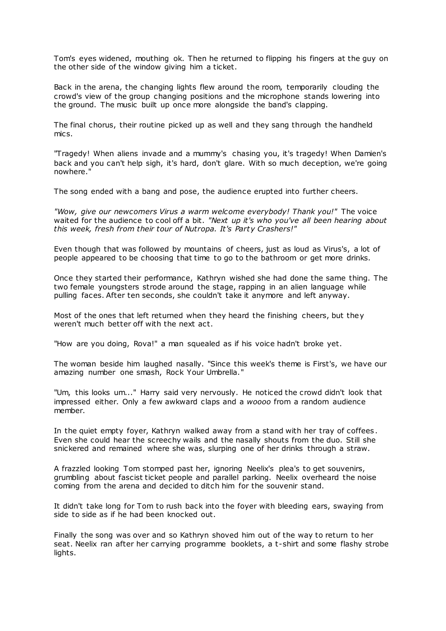Tom's eyes widened, mouthing ok. Then he returned to flipping his fingers at the guy on the other side of the window giving him a ticket.

Back in the arena, the changing lights flew around the room, temporarily clouding the crowd's view of the group changing positions and the microphone stands lowering into the ground. The music built up once more alongside the band's clapping.

The final chorus, their routine picked up as well and they sang through the handheld mics.

"Tragedy! When aliens invade and a mummy's chasing you, it's tragedy! When Damien's back and you can't help sigh, it's hard, don't glare. With so much deception, we're going nowhere."

The song ended with a bang and pose, the audience erupted into further cheers.

*"Wow, give our newcomers Virus a warm welcome everybody! Thank you!"* The voice waited for the audience to cool off a bit. *"Next up it's who you've all been hearing about this week, fresh from their tour of Nutropa. It's Party Crashers!"*

Even though that was followed by mountains of cheers, just as loud as Virus's, a lot of people appeared to be choosing that time to go to the bathroom or get more drinks.

Once they started their performance, Kathryn wished she had done the same thing. The two female youngsters strode around the stage, rapping in an alien language while pulling faces. After ten seconds, she couldn't take it anymore and left anyway.

Most of the ones that left returned when they heard the finishing cheers, but they weren't much better off with the next act.

"How are you doing, Rova!" a man squealed as if his voice hadn't broke yet.

The woman beside him laughed nasally. "Since this week's theme is First's, we have our amazing number one smash, Rock Your Umbrella."

"Um, this looks um..." Harry said very nervously. He noticed the crowd didn't look that impressed either. Only a few awkward claps and a *woooo* from a random audience member.

In the quiet empty foyer, Kathryn walked away from a stand with her tray of coffees . Even she could hear the screechy wails and the nasally shouts from the duo. Still she snickered and remained where she was, slurping one of her drinks through a straw.

A frazzled looking Tom stomped past her, ignoring Neelix's plea's to get souvenirs, grumbling about fascist ticket people and parallel parking. Neelix overheard the noise coming from the arena and decided to ditch him for the souvenir stand.

It didn't take long for Tom to rush back into the foyer with bleeding ears, swaying from side to side as if he had been knocked out.

Finally the song was over and so Kathryn shoved him out of the way to return to her seat. Neelix ran after her carrying programme booklets, a t-shirt and some flashy strobe lights.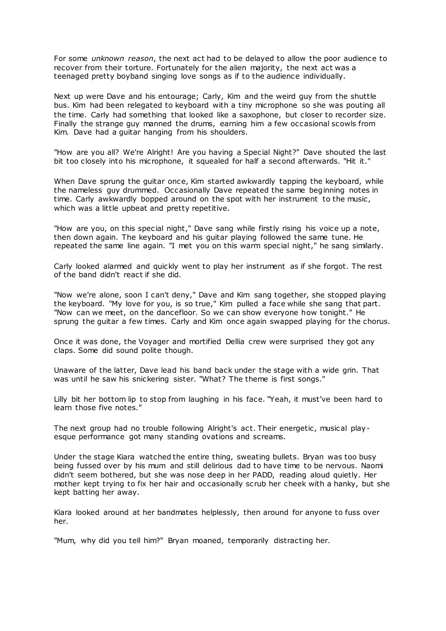For some *unknown reason*, the next act had to be delayed to allow the poor audience to recover from their torture. Fortunately for the alien majority, the next act was a teenaged pretty boyband singing love songs as if to the audience individually.

Next up were Dave and his entourage; Carly, Kim and the weird guy from the shuttle bus. Kim had been relegated to keyboard with a tiny microphone so she was pouting all the time. Carly had something that looked like a saxophone, but closer to recorder size. Finally the strange guy manned the drums, earning him a few occasional scowls from Kim. Dave had a guitar hanging from his shoulders.

"How are you all? We're Alright! Are you having a Special Night?" Dave shouted the last bit too closely into his microphone, it squealed for half a second afterwards. "Hit it."

When Dave sprung the guitar once, Kim started awkwardly tapping the keyboard, while the nameless guy drummed. Occasionally Dave repeated the same beginning notes in time. Carly awkwardly bopped around on the spot with her instrument to the music, which was a little upbeat and pretty repetitive.

"How are you, on this special night," Dave sang while firstly rising his voice up a note, then down again. The keyboard and his guitar playing followed the same tune. He repeated the same line again. "I met you on this warm special night," he sang similarly.

Carly looked alarmed and quickly went to play her instrument as if she forgot. The rest of the band didn't react if she did.

"Now we're alone, soon I can't deny," Dave and Kim sang together, she stopped playing the keyboard. "My love for you, is so true," Kim pulled a face while she sang that part. "Now can we meet, on the dancefloor. So we can show everyone how tonight." He sprung the guitar a few times. Carly and Kim once again swapped playing for the chorus.

Once it was done, the Voyager and mortified Dellia crew were surprised they got any claps. Some did sound polite though.

Unaware of the latter, Dave lead his band back under the stage with a wide grin. That was until he saw his snickering sister. "What? The theme is first songs."

Lilly bit her bottom lip to stop from laughing in his face. "Yeah, it must've been hard to learn those five notes."

The next group had no trouble following Alright's act. Their energetic, musical playesque performance got many standing ovations and screams.

Under the stage Kiara watched the entire thing, sweating bullets. Bryan was too busy being fussed over by his mum and still delirious dad to have time to be nervous. Naomi didn't seem bothered, but she was nose deep in her PADD, reading aloud quietly. Her mother kept trying to fix her hair and occasionally scrub her cheek with a hanky, but she kept batting her away.

Kiara looked around at her bandmates helplessly, then around for anyone to fuss over her.

"Mum, why did you tell him?" Bryan moaned, temporarily distracting her.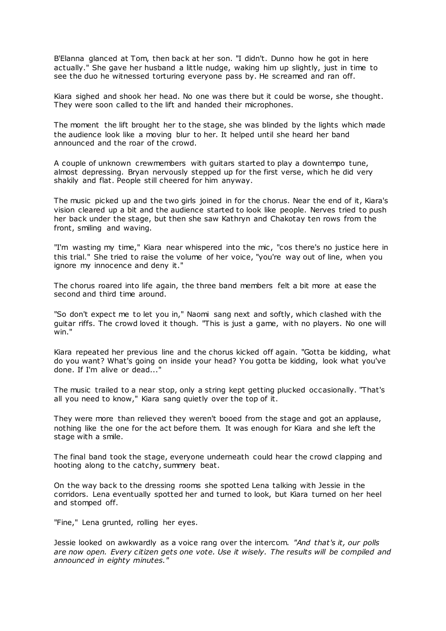B'Elanna glanced at Tom, then back at her son. "I didn't. Dunno how he got in here actually." She gave her husband a little nudge, waking him up slightly, just in time to see the duo he witnessed torturing everyone pass by. He screamed and ran off.

Kiara sighed and shook her head. No one was there but it could be worse, she thought. They were soon called to the lift and handed their microphones.

The moment the lift brought her to the stage, she was blinded by the lights which made the audience look like a moving blur to her. It helped until she heard her band announced and the roar of the crowd.

A couple of unknown crewmembers with guitars started to play a downtempo tune, almost depressing. Bryan nervously stepped up for the first verse, which he did very shakily and flat. People still cheered for him anyway.

The music picked up and the two girls joined in for the chorus. Near the end of it, Kiara's vision cleared up a bit and the audience started to look like people. Nerves tried to push her back under the stage, but then she saw Kathryn and Chakotay ten rows from the front, smiling and waving.

"I'm wasting my time," Kiara near whispered into the mic , "cos there's no justice here in this trial." She tried to raise the volume of her voice, "you're way out of line, when you ignore my innocence and deny it."

The chorus roared into life again, the three band members felt a bit more at ease the second and third time around.

"So don't expect me to let you in," Naomi sang next and softly, which clashed with the guitar riffs. The crowd loved it though. "This is just a game, with no players. No one will win."

Kiara repeated her previous line and the chorus kicked off again. "Gotta be kidding, what do you want? What's going on inside your head? You gotta be kidding, look what you've done. If I'm alive or dead...

The music trailed to a near stop, only a string kept getting plucked occasionally. "That's all you need to know," Kiara sang quietly over the top of it.

They were more than relieved they weren't booed from the stage and got an applause, nothing like the one for the act before them. It was enough for Kiara and she left the stage with a smile.

The final band took the stage, everyone underneath could hear the crowd clapping and hooting along to the catchy, summery beat.

On the way back to the dressing rooms she spotted Lena talking with Jessie in the corridors. Lena eventually spotted her and turned to look, but Kiara turned on her heel and stomped off.

"Fine," Lena grunted, rolling her eyes.

Jessie looked on awkwardly as a voice rang over the intercom. *"And that's it, our polls are now open. Every citizen gets one vote. Use it wisely. The results will be compiled and announced in eighty minutes."*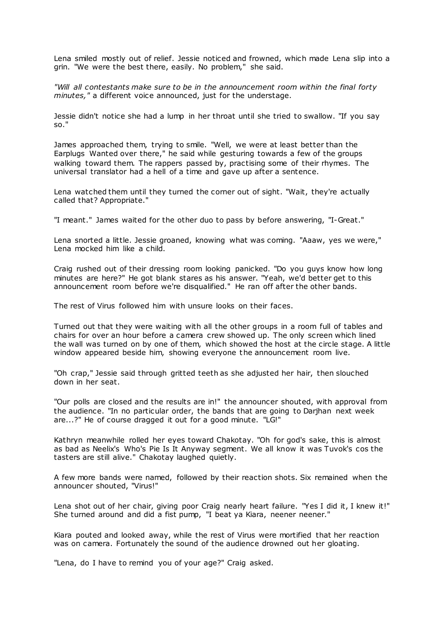Lena smiled mostly out of relief. Jessie noticed and frowned, which made Lena slip into a grin. "We were the best there, easily. No problem," she said.

*"Will all contestants make sure to be in the announcement room within the final forty minutes,"* a different voice announced, just for the understage.

Jessie didn't notice she had a lump in her throat until she tried to swallow. "If you say so."

James approached them, trying to smile. "Well, we were at least better than the Earplugs Wanted over there," he said while gesturing towards a few of the groups walking toward them. The rappers passed by, practising some of their rhymes. The universal translator had a hell of a time and gave up after a sentence.

Lena watched them until they turned the corner out of sight. "Wait, they're actually called that? Appropriate."

"I meant." James waited for the other duo to pass by before answering, "I-Great."

Lena snorted a little. Jessie groaned, knowing what was coming. "Aaaw, yes we were," Lena mocked him like a child.

Craig rushed out of their dressing room looking panicked. "Do you guys know how long minutes are here?" He got blank stares as his answer. "Yeah, we'd better get to this announcement room before we're disqualified." He ran off after the other bands.

The rest of Virus followed him with unsure looks on their faces.

Turned out that they were waiting with all the other groups in a room full of tables and chairs for over an hour before a camera crew showed up. The only screen which lined the wall was turned on by one of them, which showed the host at the circle stage. A little window appeared beside him, showing everyone the announcement room live.

"Oh crap," Jessie said through gritted teeth as she adjusted her hair, then slouched down in her seat.

"Our polls are closed and the results are in!" the announcer shouted, with approval from the audience. "In no particular order, the bands that are going to Darjhan next week are...?" He of course dragged it out for a good minute. "LG!"

Kathryn meanwhile rolled her eyes toward Chakotay. "Oh for god's sake, this is almost as bad as Neelix's Who's Pie Is It Anyway segment. We all know it was Tuvok's cos the tasters are still alive." Chakotay laughed quietly.

A few more bands were named, followed by their reaction shots. Six remained when the announcer shouted, "Virus!"

Lena shot out of her chair, giving poor Craig nearly heart failure. "Yes I did it, I knew it!" She turned around and did a fist pump, "I beat ya Kiara, neener neener."

Kiara pouted and looked away, while the rest of Virus were mortified that her reaction was on camera. Fortunately the sound of the audience drowned out her gloating.

"Lena, do I have to remind you of your age?" Craig asked.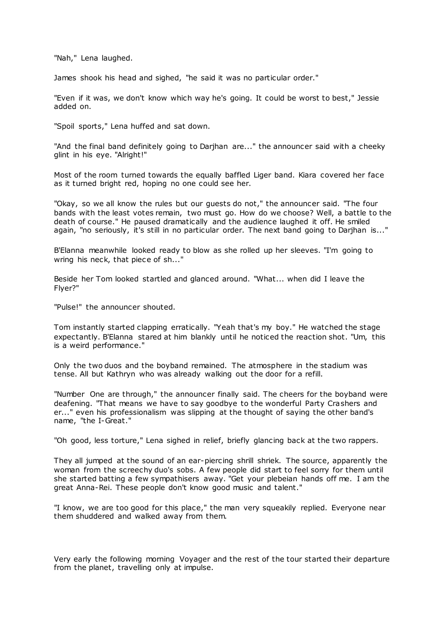"Nah," Lena laughed.

James shook his head and sighed, "he said it was no particular order."

"Even if it was, we don't know which way he's going. It could be worst to best," Jessie added on.

"Spoil sports," Lena huffed and sat down.

"And the final band definitely going to Darjhan are..." the announcer said with a cheeky glint in his eye. "Alright!"

Most of the room turned towards the equally baffled Liger band. Kiara covered her face as it turned bright red, hoping no one could see her.

"Okay, so we all know the rules but our guests do not," the announcer said. "The four bands with the least votes remain, two must go. How do we choose? Well, a battle to the death of course." He paused dramatically and the audience laughed it off. He smiled again, "no seriously, it's still in no particular order. The next band going to Darjhan is..."

B'Elanna meanwhile looked ready to blow as she rolled up her sleeves. "I'm going to wring his neck, that piece of sh..."

Beside her Tom looked startled and glanced around. "What... when did I leave the Flyer?"

"Pulse!" the announcer shouted.

Tom instantly started clapping erratically. "Yeah that's my boy." He watched the stage expectantly. B'Elanna stared at him blankly until he noticed the reaction shot. "Um, this is a weird performance."

Only the two duos and the boyband remained. The atmosphere in the stadium was tense. All but Kathryn who was already walking out the door for a refill.

"Number One are through," the announcer finally said. The cheers for the boyband were deafening. "That means we have to say goodbye to the wonderful Party Crashers and er..." even his professionalism was slipping at the thought of saying the other band's name, "the I-Great."

"Oh good, less torture," Lena sighed in relief, briefly glancing back at the two rappers.

They all jumped at the sound of an ear-piercing shrill shriek. The source, apparently the woman from the screechy duo's sobs. A few people did start to feel sorry for them until she started batting a few sympathisers away. "Get your plebeian hands off me. I am the great Anna-Rei. These people don't know good music and talent."

"I know, we are too good for this place," the man very squeakily replied. Everyone near them shuddered and walked away from them.

Very early the following morning Voyager and the rest of the tour started their departure from the planet, travelling only at impulse.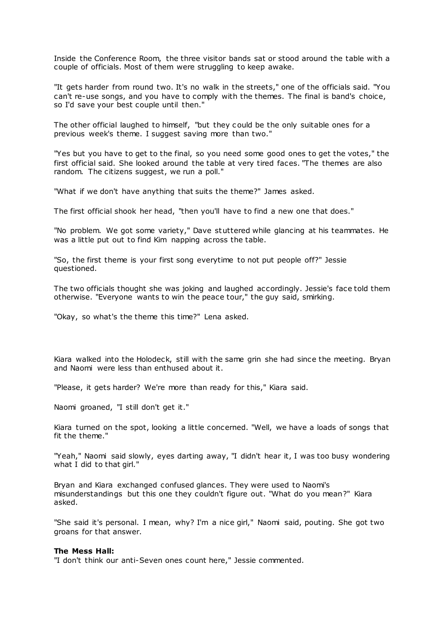Inside the Conference Room, the three visitor bands sat or stood around the table with a couple of officials. Most of them were struggling to keep awake.

"It gets harder from round two. It's no walk in the streets," one of the officials said. "You can't re-use songs, and you have to comply with the themes. The final is band's choice, so I'd save your best couple until then."

The other official laughed to himself, "but they c ould be the only suitable ones for a previous week's theme. I suggest saving more than two."

"Yes but you have to get to the final, so you need some good ones to get the votes," the first official said. She looked around the table at very tired faces. "The themes are also random. The citizens suggest, we run a poll."

"What if we don't have anything that suits the theme?" James asked.

The first official shook her head, "then you'll have to find a new one that does."

"No problem. We got some variety," Dave stuttered while glancing at his teammates. He was a little put out to find Kim napping across the table.

"So, the first theme is your first song everytime to not put people off?" Jessie questioned.

The two officials thought she was joking and laughed accordingly. Jessie's face told them otherwise. "Everyone wants to win the peace tour," the guy said, smirking.

"Okay, so what's the theme this time?" Lena asked.

Kiara walked into the Holodeck, still with the same grin she had since the meeting. Bryan and Naomi were less than enthused about it.

"Please, it gets harder? We're more than ready for this," Kiara said.

Naomi groaned, "I still don't get it."

Kiara turned on the spot, looking a little concerned. "Well, we have a loads of songs that fit the theme."

"Yeah," Naomi said slowly, eyes darting away, "I didn't hear it, I was too busy wondering what I did to that girl."

Bryan and Kiara exchanged confused glances. They were used to Naomi's misunderstandings but this one they couldn't figure out. "What do you mean?" Kiara asked.

"She said it's personal. I mean, why? I'm a nice girl," Naomi said, pouting. She got two groans for that answer.

#### **The Mess Hall:**

"I don't think our anti-Seven ones count here," Jessie commented.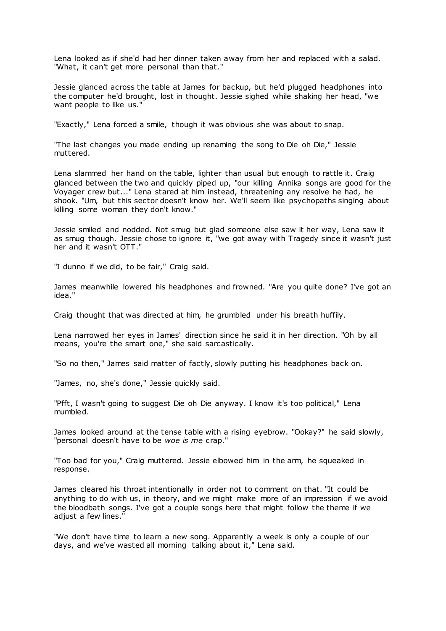Lena looked as if she'd had her dinner taken away from her and replaced with a salad. "What, it can't get more personal than that."

Jessie glanced across the table at James for backup, but he'd plugged headphones into the computer he'd brought, lost in thought. Jessie sighed while shaking her head, "we want people to like us."

"Exactly," Lena forced a smile, though it was obvious she was about to snap.

"The last changes you made ending up renaming the song to Die oh Die," Jessie muttered.

Lena slammed her hand on the table, lighter than usual but enough to rattle it. Craig glanced between the two and quickly piped up, "our killing Annika songs are good for the Voyager crew but..." Lena stared at him instead, threatening any resolve he had, he shook. "Um, but this sector doesn't know her. We'll seem like psychopaths singing about killing some woman they don't know."

Jessie smiled and nodded. Not smug but glad someone else saw it her way, Lena saw it as smug though. Jessie chose to ignore it, "we got away with Tragedy since it wasn't just her and it wasn't OTT."

"I dunno if we did, to be fair," Craig said.

James meanwhile lowered his headphones and frowned. "Are you quite done? I've got an idea."

Craig thought that was directed at him, he grumbled under his breath huffily.

Lena narrowed her eyes in James' direction since he said it in her direction. "Oh by all means, you're the smart one," she said sarcastically.

"So no then," James said matter of factly, slowly putting his headphones back on.

"James, no, she's done," Jessie quickly said.

"Pfft, I wasn't going to suggest Die oh Die anyway. I know it's too political," Lena mumbled.

James looked around at the tense table with a rising eyebrow. "Ookay?" he said slowly, "personal doesn't have to be *woe is me* crap."

"Too bad for you," Craig muttered. Jessie elbowed him in the arm, he squeaked in response.

James cleared his throat intentionally in order not to comment on that. "It could be anything to do with us, in theory, and we might make more of an impression if we avoid the bloodbath songs. I've got a couple songs here that might follow the theme if we adjust a few lines."

"We don't have time to learn a new song. Apparently a week is only a couple of our days, and we've wasted all morning talking about it," Lena said.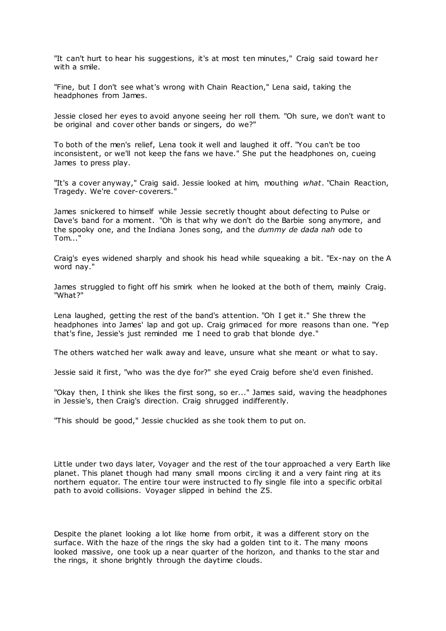"It can't hurt to hear his suggestions, it's at most ten minutes," Craig said toward her with a smile.

"Fine, but I don't see what's wrong with Chain Reaction," Lena said, taking the headphones from James.

Jessie closed her eyes to avoid anyone seeing her roll them. "Oh sure, we don't want to be original and cover other bands or singers, do we?"

To both of the men's relief, Lena took it well and laughed it off. "You can't be too inconsistent, or we'll not keep the fans we have." She put the headphones on, cueing James to press play.

"It's a cover anyway," Craig said. Jessie looked at him, mouthing *what*. "Chain Reaction, Tragedy. We're cover-coverers."

James snickered to himself while Jessie secretly thought about defecting to Pulse or Dave's band for a moment. "Oh is that why we don't do the Barbie song anymore, and the spooky one, and the Indiana Jones song, and the *dummy de dada nah* ode to Tom..."

Craig's eyes widened sharply and shook his head while squeaking a bit. "Ex-nay on the A word nay."

James struggled to fight off his smirk when he looked at the both of them, mainly Craig. "What?"

Lena laughed, getting the rest of the band's attention. "Oh I get it." She threw the headphones into James' lap and got up. Craig grimaced for more reasons than one. "Yep that's fine, Jessie's just reminded me I need to grab that blonde dye."

The others watched her walk away and leave, unsure what she meant or what to say.

Jessie said it first, "who was the dye for?" she eyed Craig before she'd even finished.

"Okay then, I think she likes the first song, so er..." James said, waving the headphones in Jessie's, then Craig's direction. Craig shrugged indifferently.

"This should be good," Jessie chuckled as she took them to put on.

Little under two days later, Voyager and the rest of the tour approached a very Earth like planet. This planet though had many small moons circling it and a very faint ring at its northern equator. The entire tour were instructed to fly single file into a specific orbital path to avoid collisions. Voyager slipped in behind the Z5.

Despite the planet looking a lot like home from orbit, it was a different story on the surface. With the haze of the rings the sky had a golden tint to it. The many moons looked massive, one took up a near quarter of the horizon, and thanks to the star and the rings, it shone brightly through the daytime clouds.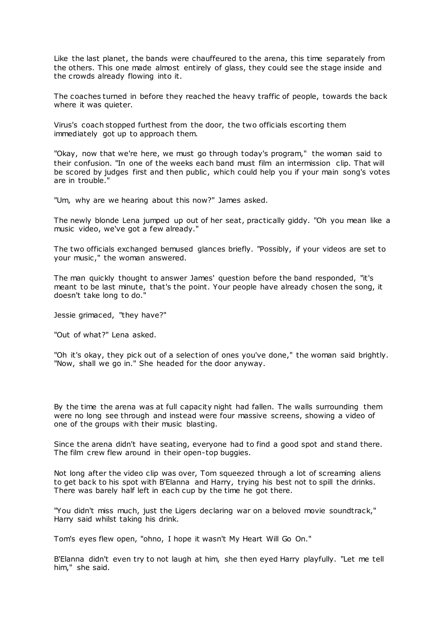Like the last planet, the bands were chauffeured to the arena, this time separately from the others. This one made almost entirely of glass, they could see the stage inside and the crowds already flowing into it.

The coaches turned in before they reached the heavy traffic of people, towards the back where it was quieter.

Virus's coach stopped furthest from the door, the two officials escorting them immediately got up to approach them.

"Okay, now that we're here, we must go through today's program," the woman said to their confusion. "In one of the weeks each band must film an intermission clip. That will be scored by judges first and then public, which could help you if your main song's votes are in trouble."

"Um, why are we hearing about this now?" James asked.

The newly blonde Lena jumped up out of her seat, practically giddy. "Oh you mean like a music video, we've got a few already."

The two officials exchanged bemused glances briefly. "Possibly, if your videos are set to your music ," the woman answered.

The man quickly thought to answer James' question before the band responded, "it's meant to be last minute, that's the point. Your people have already chosen the song, it doesn't take long to do."

Jessie grimaced, "they have?"

"Out of what?" Lena asked.

"Oh it's okay, they pick out of a selection of ones you've done," the woman said brightly. "Now, shall we go in." She headed for the door anyway.

By the time the arena was at full capacity night had fallen. The walls surrounding them were no long see through and instead were four massive screens, showing a video of one of the groups with their music blasting.

Since the arena didn't have seating, everyone had to find a good spot and stand there. The film crew flew around in their open-top buggies.

Not long after the video clip was over, Tom squeezed through a lot of screaming aliens to get back to his spot with B'Elanna and Harry, trying his best not to spill the drinks. There was barely half left in each cup by the time he got there.

"You didn't miss much, just the Ligers declaring war on a beloved movie soundtrack," Harry said whilst taking his drink.

Tom's eyes flew open, "ohno, I hope it wasn't My Heart Will Go On."

B'Elanna didn't even try to not laugh at him, she then eyed Harry playfully. "Let me tell him," she said.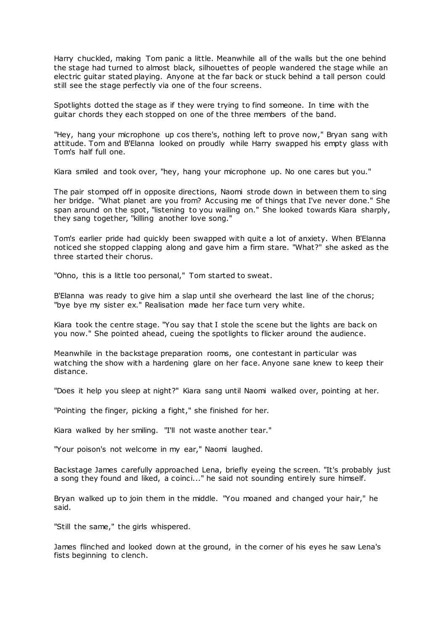Harry chuckled, making Tom panic a little. Meanwhile all of the walls but the one behind the stage had turned to almost black, silhouettes of people wandered the stage while an electric guitar stated playing. Anyone at the far back or stuck behind a tall person could still see the stage perfectly via one of the four screens.

Spotlights dotted the stage as if they were trying to find someone. In time with the guitar chords they each stopped on one of the three members of the band.

"Hey, hang your microphone up cos there's, nothing left to prove now," Bryan sang with attitude. Tom and B'Elanna looked on proudly while Harry swapped his empty glass with Tom's half full one.

Kiara smiled and took over, "hey, hang your microphone up. No one cares but you."

The pair stomped off in opposite directions, Naomi strode down in between them to sing her bridge. "What planet are you from? Accusing me of things that I've never done." She span around on the spot, "listening to you wailing on." She looked towards Kiara sharply, they sang together, "killing another love song."

Tom's earlier pride had quickly been swapped with quite a lot of anxiety. When B'Elanna noticed she stopped clapping along and gave him a firm stare. "What?" she asked as the three started their chorus.

"Ohno, this is a little too personal," Tom started to sweat.

B'Elanna was ready to give him a slap until she overheard the last line of the chorus; "bye bye my sister ex." Realisation made her face turn very white.

Kiara took the centre stage. "You say that I stole the scene but the lights are back on you now." She pointed ahead, cueing the spotlights to flicker around the audience.

Meanwhile in the backstage preparation rooms, one contestant in particular was watching the show with a hardening glare on her face. Anyone sane knew to keep their distance.

"Does it help you sleep at night?" Kiara sang until Naomi walked over, pointing at her.

"Pointing the finger, picking a fight," she finished for her.

Kiara walked by her smiling. "I'll not waste another tear."

"Your poison's not welcome in my ear," Naomi laughed.

Backstage James carefully approached Lena, briefly eyeing the screen. "It's probably just a song they found and liked, a coinci..." he said not sounding entirely sure himself.

Bryan walked up to join them in the middle. "You moaned and changed your hair," he said.

"Still the same," the girls whispered.

James flinched and looked down at the ground, in the corner of his eyes he saw Lena's fists beginning to clench.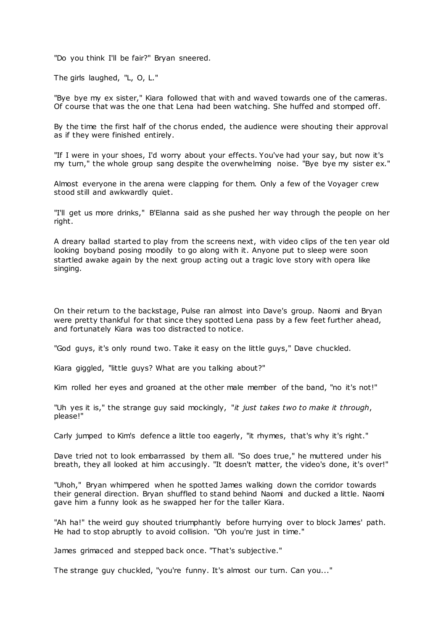"Do you think I'll be fair?" Bryan sneered.

The girls laughed, "L, O, L."

"Bye bye my ex sister," Kiara followed that with and waved towards one of the cameras. Of course that was the one that Lena had been watching. She huffed and stomped off.

By the time the first half of the chorus ended, the audience were shouting their approval as if they were finished entirely.

"If I were in your shoes, I'd worry about your effects. You've had your say, but now it's my turn," the whole group sang despite the overwhelming noise. "Bye bye my sister ex."

Almost everyone in the arena were clapping for them. Only a few of the Voyager crew stood still and awkwardly quiet.

"I'll get us more drinks," B'Elanna said as she pushed her way through the people on her right.

A dreary ballad started to play from the screens next, with video clips of the ten year old looking boyband posing moodily to go along with it. Anyone put to sleep were soon startled awake again by the next group acting out a tragic love story with opera like singing.

On their return to the backstage, Pulse ran almost into Dave's group. Naomi and Bryan were pretty thankful for that since they spotted Lena pass by a few feet further ahead, and fortunately Kiara was too distracted to notice.

"God guys, it's only round two. Take it easy on the little guys," Dave chuckled.

Kiara giggled, "little guys? What are you talking about?"

Kim rolled her eyes and groaned at the other male member of the band, "no it's not!"

"Uh yes it is," the strange guy said mockingly, "*it just takes two to make it through*, please!"

Carly jumped to Kim's defence a little too eagerly, "it rhymes, that's why it's right."

Dave tried not to look embarrassed by them all. "So does true," he muttered under his breath, they all looked at him accusingly. "It doesn't matter, the video's done, it's over!"

"Uhoh," Bryan whimpered when he spotted James walking down the corridor towards their general direction. Bryan shuffled to stand behind Naomi and ducked a little. Naomi gave him a funny look as he swapped her for the taller Kiara.

"Ah ha!" the weird guy shouted triumphantly before hurrying over to block James' path. He had to stop abruptly to avoid collision. "Oh you're just in time."

James grimaced and stepped back once. "That's subjective."

The strange guy chuckled, "you're funny. It's almost our turn. Can you..."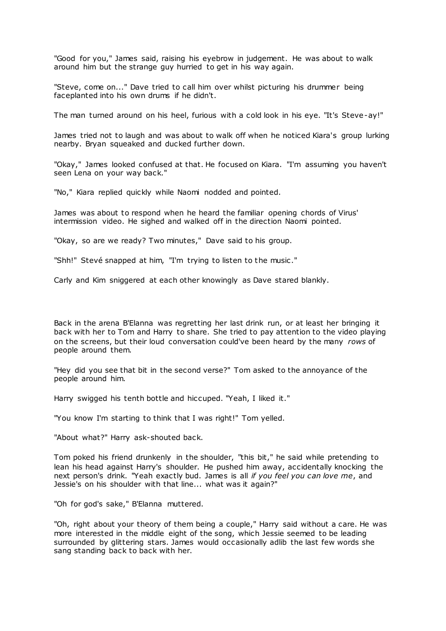"Good for you," James said, raising his eyebrow in judgement. He was about to walk around him but the strange guy hurried to get in his way again.

"Steve, come on..." Dave tried to call him over whilst picturing his drummer being faceplanted into his own drums if he didn't.

The man turned around on his heel, furious with a cold look in his eye. "It's Steve-ay!"

James tried not to laugh and was about to walk off when he noticed Kiara's group lurking nearby. Bryan squeaked and ducked further down.

"Okay," James looked confused at that. He focused on Kiara. "I'm assuming you haven't seen Lena on your way back."

"No," Kiara replied quickly while Naomi nodded and pointed.

James was about to respond when he heard the familiar opening chords of Virus' intermission video. He sighed and walked off in the direction Naomi pointed.

"Okay, so are we ready? Two minutes," Dave said to his group.

"Shh!" Stevé snapped at him, "I'm trying to listen to the music ."

Carly and Kim sniggered at each other knowingly as Dave stared blankly.

Back in the arena B'Elanna was regretting her last drink run, or at least her bringing it back with her to Tom and Harry to share. She tried to pay attention to the video playing on the screens, but their loud conversation could've been heard by the many *rows* of people around them.

"Hey did you see that bit in the second verse?" Tom asked to the annoyance of the people around him.

Harry swigged his tenth bottle and hiccuped. "Yeah, I liked it."

"You know I'm starting to think that I was right!" Tom yelled.

"About what?" Harry ask-shouted back.

Tom poked his friend drunkenly in the shoulder, "this bit," he said while pretending to lean his head against Harry's shoulder. He pushed him away, accidentally knocking the next person's drink. "Yeah exactly bud. James is all *if you feel you can love me*, and Jessie's on his shoulder with that line... what was it again?"

"Oh for god's sake," B'Elanna muttered.

"Oh, right about your theory of them being a couple," Harry said without a care. He was more interested in the middle eight of the song, which Jessie seemed to be leading surrounded by glittering stars. James would occasionally adlib the last few words she sang standing back to back with her.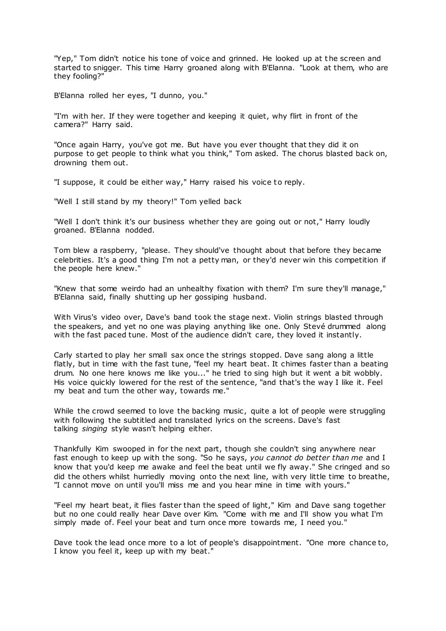"Yep," Tom didn't notice his tone of voice and grinned. He looked up at t he screen and started to snigger. This time Harry groaned along with B'Elanna. "Look at them, who are they fooling?"

B'Elanna rolled her eyes, "I dunno, you."

"I'm with her. If they were together and keeping it quiet, why flirt in front of the camera?" Harry said.

"Once again Harry, you've got me. But have you ever thought that they did it on purpose to get people to think what you think," Tom asked. The chorus blasted back on, drowning them out.

"I suppose, it could be either way," Harry raised his voice to reply.

"Well I still stand by my theory!" Tom yelled back

"Well I don't think it's our business whether they are going out or not," Harry loudly groaned. B'Elanna nodded.

Tom blew a raspberry, "please. They should've thought about that before they became celebrities. It's a good thing I'm not a petty man, or they'd never win this competition if the people here knew."

"Knew that some weirdo had an unhealthy fixation with them? I'm sure they'll manage," B'Elanna said, finally shutting up her gossiping husband.

With Virus's video over, Dave's band took the stage next. Violin strings blasted through the speakers, and yet no one was playing anything like one. Only Stevé drummed along with the fast paced tune. Most of the audience didn't care, they loved it instantly.

Carly started to play her small sax once the strings stopped. Dave sang along a little flatly, but in time with the fast tune, "feel my heart beat. It chimes faster than a beating drum. No one here knows me like you..." he tried to sing high but it went a bit wobbly. His voice quickly lowered for the rest of the sentence, "and that's the way I like it. Feel my beat and turn the other way, towards me."

While the crowd seemed to love the backing music, quite a lot of people were struggling with following the subtitled and translated lyrics on the screens. Dave's fast talking *singing* style wasn't helping either.

Thankfully Kim swooped in for the next part, though she couldn't sing anywhere near fast enough to keep up with the song. "So he says, *you cannot do better than me* and I know that you'd keep me awake and feel the beat until we fly away." She cringed and so did the others whilst hurriedly moving onto the next line, with very little time to breathe, "I cannot move on until you'll miss me and you hear mine in time with yours."

"Feel my heart beat, it flies faster than the speed of light," Kim and Dave sang together but no one could really hear Dave over Kim. "Come with me and I'll show you what I'm simply made of. Feel your beat and turn once more towards me, I need you."

Dave took the lead once more to a lot of people's disappointment. "One more chance to, I know you feel it, keep up with my beat."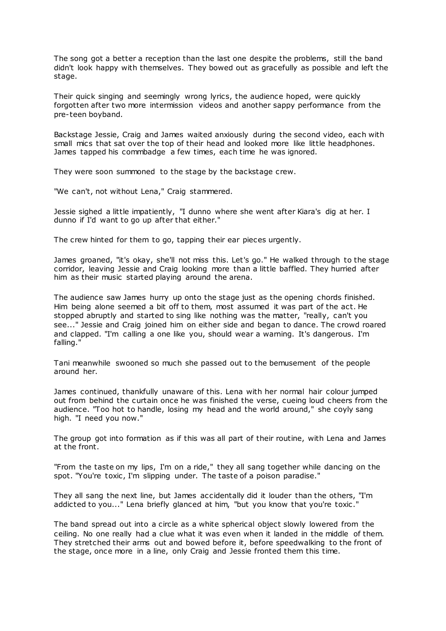The song got a better a reception than the last one despite the problems, still the band didn't look happy with themselves. They bowed out as gracefully as possible and left the stage.

Their quick singing and seemingly wrong lyrics, the audience hoped, were quickly forgotten after two more intermission videos and another sappy performance from the pre-teen boyband.

Backstage Jessie, Craig and James waited anxiously during the second video, each with small mics that sat over the top of their head and looked more like little headphones. James tapped his commbadge a few times, each time he was ignored.

They were soon summoned to the stage by the backstage crew.

"We can't, not without Lena," Craig stammered.

Jessie sighed a little impatiently, "I dunno where she went after Kiara's dig at her. I dunno if I'd want to go up after that either."

The crew hinted for them to go, tapping their ear pieces urgently.

James groaned, "it's okay, she'll not miss this. Let's go." He walked through to the stage corridor, leaving Jessie and Craig looking more than a little baffled. They hurried after him as their music started playing around the arena.

The audience saw James hurry up onto the stage just as the opening chords finished. Him being alone seemed a bit off to them, most assumed it was part of the act. He stopped abruptly and started to sing like nothing was the matter, "really, can't you see..." Jessie and Craig joined him on either side and began to dance. The crowd roared and clapped. "I'm calling a one like you, should wear a warning. It's dangerous. I'm falling."

Tani meanwhile swooned so much she passed out to the bemusement of the people around her.

James continued, thankfully unaware of this. Lena with her normal hair colour jumped out from behind the curtain once he was finished the verse, cueing loud cheers from the audience. "Too hot to handle, losing my head and the world around," she coyly sang high. "I need you now."

The group got into formation as if this was all part of their routine, with Lena and James at the front.

"From the taste on my lips, I'm on a ride," they all sang together while dancing on the spot. "You're toxic, I'm slipping under. The taste of a poison paradise."

They all sang the next line, but James accidentally did it louder than the others, "I'm addicted to you..." Lena briefly glanced at him, "but you know that you're toxic ."

The band spread out into a circle as a white spherical object slowly lowered from the ceiling. No one really had a clue what it was even when it landed in the middle of them. They stretched their arms out and bowed before it, before speedwalking to the front of the stage, once more in a line, only Craig and Jessie fronted them this time.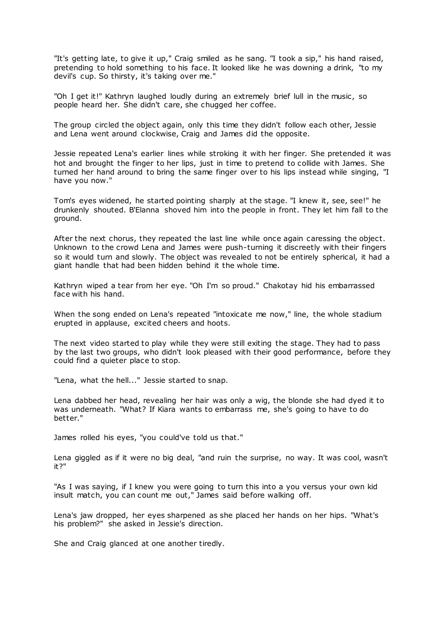"It's getting late, to give it up," Craig smiled as he sang. "I took a sip," his hand raised, pretending to hold something to his face. It looked like he was downing a drink, "to my devil's cup. So thirsty, it's taking over me."

"Oh I get it!" Kathryn laughed loudly during an extremely brief lull in the music , so people heard her. She didn't care, she chugged her coffee.

The group circled the object again, only this time they didn't follow each other, Jessie and Lena went around clockwise, Craig and James did the opposite.

Jessie repeated Lena's earlier lines while stroking it with her finger. She pretended it was hot and brought the finger to her lips, just in time to pretend to collide with James. She turned her hand around to bring the same finger over to his lips instead while singing, "I have you now."

Tom's eyes widened, he started pointing sharply at the stage. "I knew it, see, see!" he drunkenly shouted. B'Elanna shoved him into the people in front. They let him fall to the ground.

After the next chorus, they repeated the last line while once again caressing the object. Unknown to the crowd Lena and James were push-turning it discreetly with their fingers so it would turn and slowly. The object was revealed to not be entirely spherical, it had a giant handle that had been hidden behind it the whole time.

Kathryn wiped a tear from her eye. "Oh I'm so proud." Chakotay hid his embarrassed face with his hand.

When the song ended on Lena's repeated "intoxicate me now," line, the whole stadium erupted in applause, excited cheers and hoots.

The next video started to play while they were still exiting the stage. They had to pass by the last two groups, who didn't look pleased with their good performance, before they could find a quieter place to stop.

"Lena, what the hell..." Jessie started to snap.

Lena dabbed her head, revealing her hair was only a wig, the blonde she had dyed it to was underneath. "What? If Kiara wants to embarrass me, she's going to have to do better."

James rolled his eyes, "you could've told us that."

Lena giggled as if it were no big deal, "and ruin the surprise, no way. It was cool, wasn't it?"

"As I was saying, if I knew you were going to turn this into a you versus your own kid insult match, you can count me out," James said before walking off.

Lena's jaw dropped, her eyes sharpened as she placed her hands on her hips. "What's his problem?" she asked in Jessie's direction.

She and Craig glanced at one another tiredly.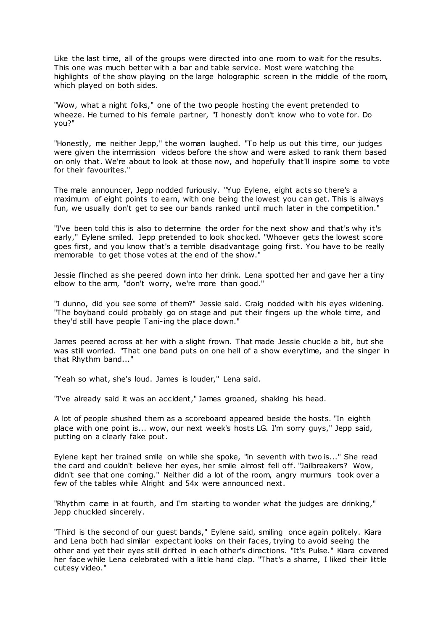Like the last time, all of the groups were directed into one room to wait for the results. This one was much better with a bar and table service. Most were watching the highlights of the show playing on the large holographic screen in the middle of the room, which played on both sides.

"Wow, what a night folks," one of the two people hosting the event pretended to wheeze. He turned to his female partner, "I honestly don't know who to vote for. Do you?"

"Honestly, me neither Jepp," the woman laughed. "To help us out this time, our judges were given the intermission videos before the show and were asked to rank them based on only that. We're about to look at those now, and hopefully that'll inspire some to vote for their favourites."

The male announcer, Jepp nodded furiously. "Yup Eylene, eight acts so there's a maximum of eight points to earn, with one being the lowest you can get. This is always fun, we usually don't get to see our bands ranked until much later in the competition."

"I've been told this is also to determine the order for the next show and that's why it's early," Eylene smiled. Jepp pretended to look shocked. "Whoever gets the lowest score goes first, and you know that's a terrible disadvantage going first. You have to be really memorable to get those votes at the end of the show."

Jessie flinched as she peered down into her drink. Lena spotted her and gave her a tiny elbow to the arm, "don't worry, we're more than good."

"I dunno, did you see some of them?" Jessie said. Craig nodded with his eyes widening. "The boyband could probably go on stage and put their fingers up the whole time, and they'd still have people Tani-ing the place down."

James peered across at her with a slight frown. That made Jessie chuckle a bit, but she was still worried. "That one band puts on one hell of a show everytime, and the singer in that Rhythm band..."

"Yeah so what, she's loud. James is louder," Lena said.

"I've already said it was an accident," James groaned, shaking his head.

A lot of people shushed them as a scoreboard appeared beside the hosts. "In eighth place with one point is... wow, our next week's hosts LG. I'm sorry guys," Jepp said, putting on a clearly fake pout.

Eylene kept her trained smile on while she spoke, "in seventh with two is..." She read the card and couldn't believe her eyes, her smile almost fell off. "Jailbreakers? Wow, didn't see that one coming." Neither did a lot of the room, angry murmurs took over a few of the tables while Alright and 54x were announced next.

"Rhythm came in at fourth, and I'm starting to wonder what the judges are drinking," Jepp chuckled sincerely.

"Third is the second of our guest bands," Eylene said, smiling once again politely. Kiara and Lena both had similar expectant looks on their faces, trying to avoid seeing the other and yet their eyes still drifted in each other's directions. "It's Pulse." Kiara covered her face while Lena celebrated with a little hand clap. "That's a shame, I liked their little cutesy video."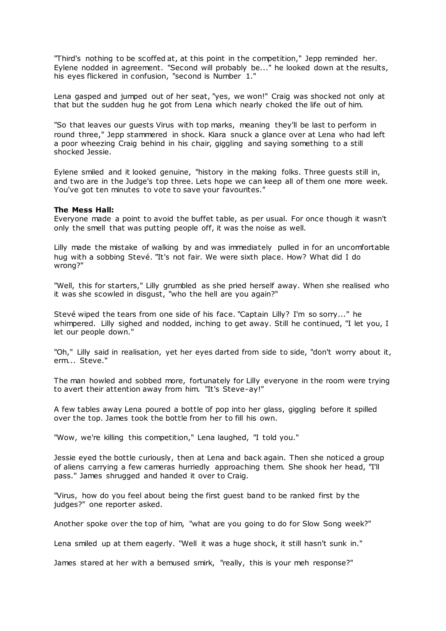"Third's nothing to be scoffed at, at this point in the competition," Jepp reminded her. Eylene nodded in agreement. "Second will probably be..." he looked down at the results, his eyes flickered in confusion, "second is Number 1."

Lena gasped and jumped out of her seat, "yes, we won!" Craig was shocked not only at that but the sudden hug he got from Lena which nearly choked the life out of him.

"So that leaves our guests Virus with top marks, meaning they'll be last to perform in round three," Jepp stammered in shock. Kiara snuck a glance over at Lena who had left a poor wheezing Craig behind in his chair, giggling and saying something to a still shocked Jessie.

Eylene smiled and it looked genuine, "history in the making folks. Three guests still in, and two are in the Judge's top three. Lets hope we can keep all of them one more week. You've got ten minutes to vote to save your favourites."

### **The Mess Hall:**

Everyone made a point to avoid the buffet table, as per usual. For once though it wasn't only the smell that was putting people off, it was the noise as well.

Lilly made the mistake of walking by and was immediately pulled in for an uncomfortable hug with a sobbing Stevé. "It's not fair. We were sixth place. How? What did I do wrong?"

"Well, this for starters," Lilly grumbled as she pried herself away. When she realised who it was she scowled in disgust, "who the hell are you again?"

Stevé wiped the tears from one side of his face. "Captain Lilly? I'm so sorry..." he whimpered. Lilly sighed and nodded, inching to get away. Still he continued, "I let you, I let our people down."

"Oh," Lilly said in realisation, yet her eyes darted from side to side, "don't worry about it, erm... Steve."

The man howled and sobbed more, fortunately for Lilly everyone in the room were trying to avert their attention away from him. "It's Steve-ay!"

A few tables away Lena poured a bottle of pop into her glass, giggling before it spilled over the top. James took the bottle from her to fill his own.

"Wow, we're killing this competition," Lena laughed, "I told you."

Jessie eyed the bottle curiously, then at Lena and back again. Then she noticed a group of aliens carrying a few cameras hurriedly approaching them. She shook her head, "I'll pass." James shrugged and handed it over to Craig.

"Virus, how do you feel about being the first guest band to be ranked first by the judges?" one reporter asked.

Another spoke over the top of him, "what are you going to do for Slow Song week?"

Lena smiled up at them eagerly. "Well it was a huge shock, it still hasn't sunk in."

James stared at her with a bemused smirk, "really, this is your meh response?"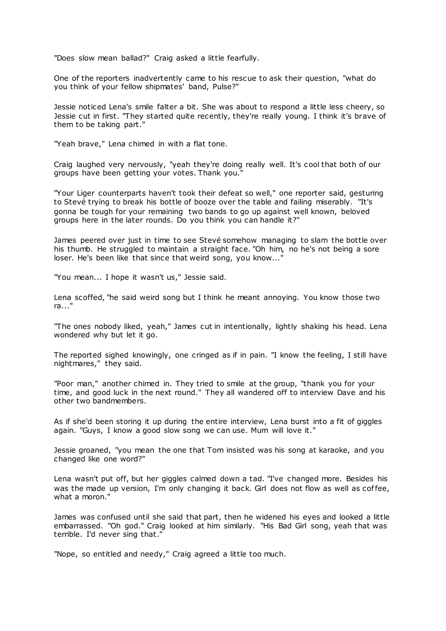"Does slow mean ballad?" Craig asked a little fearfully.

One of the reporters inadvertently came to his rescue to ask their question, "what do you think of your fellow shipmates' band, Pulse?"

Jessie noticed Lena's smile falter a bit. She was about to respond a little less cheery, so Jessie cut in first. "They started quite recently, they're really young. I think it's brave of them to be taking part."

"Yeah brave," Lena chimed in with a flat tone.

Craig laughed very nervously, "yeah they're doing really well. It's cool that both of our groups have been getting your votes. Thank you."

"Your Liger counterparts haven't took their defeat so well," one reporter said, gesturing to Stevé trying to break his bottle of booze over the table and failing miserably. "It's gonna be tough for your remaining two bands to go up against well known, beloved groups here in the later rounds. Do you think you can handle it?"

James peered over just in time to see Stevé somehow managing to slam the bottle over his thumb. He struggled to maintain a straight face. "Oh him, no he's not being a sore loser. He's been like that since that weird song, you know...'

"You mean... I hope it wasn't us," Jessie said.

Lena scoffed, "he said weird song but I think he meant annoying. You know those two ra..."

"The ones nobody liked, yeah," James cut in intentionally, lightly shaking his head. Lena wondered why but let it go.

The reported sighed knowingly, one cringed as if in pain. "I know the feeling, I still have nightmares," they said.

"Poor man," another chimed in. They tried to smile at the group, "thank you for your time, and good luck in the next round." They all wandered off to interview Dave and his other two bandmembers.

As if she'd been storing it up during the entire interview, Lena burst into a fit of giggles again. "Guys, I know a good slow song we can use. Mum will love it."

Jessie groaned, "you mean the one that Tom insisted was his song at karaoke, and you changed like one word?"

Lena wasn't put off, but her giggles calmed down a tad. "I've changed more. Besides his was the made up version, I'm only changing it back. Girl does not flow as well as coffee, what a moron."

James was confused until she said that part, then he widened his eyes and looked a little embarrassed. "Oh god." Craig looked at him similarly. "His Bad Girl song, yeah that was terrible. I'd never sing that."

"Nope, so entitled and needy," Craig agreed a little too much.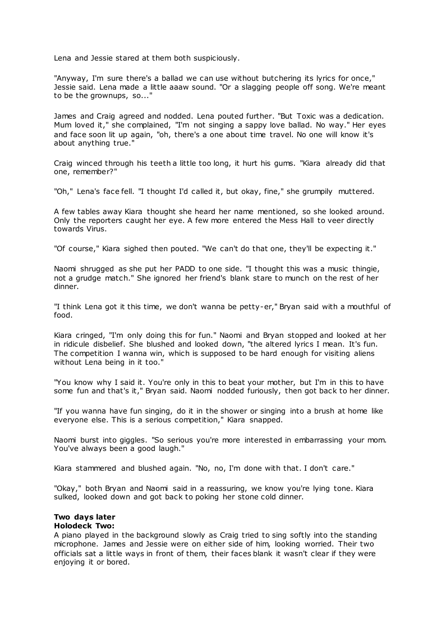Lena and Jessie stared at them both suspiciously.

"Anyway, I'm sure there's a ballad we can use without butchering its lyrics for once," Jessie said. Lena made a little aaaw sound. "Or a slagging people off song. We're meant to be the grownups, so..."

James and Craig agreed and nodded. Lena pouted further. "But Toxic was a dedication. Mum loved it," she complained, "I'm not singing a sappy love ballad. No way." Her eyes and face soon lit up again, "oh, there's a one about time travel. No one will know it's about anything true."

Craig winced through his teeth a little too long, it hurt his gums. "Kiara already did that one, remember?"

"Oh," Lena's face fell. "I thought I'd called it, but okay, fine," she grumpily muttered.

A few tables away Kiara thought she heard her name mentioned, so she looked around. Only the reporters caught her eye. A few more entered the Mess Hall to veer directly towards Virus.

"Of course," Kiara sighed then pouted. "We can't do that one, they'll be expecting it."

Naomi shrugged as she put her PADD to one side. "I thought this was a music thingie, not a grudge match." She ignored her friend's blank stare to munch on the rest of her dinner.

"I think Lena got it this time, we don't wanna be petty-er," Bryan said with a mouthful of food.

Kiara cringed, "I'm only doing this for fun." Naomi and Bryan stopped and looked at her in ridicule disbelief. She blushed and looked down, "the altered lyrics I mean. It's fun. The competition I wanna win, which is supposed to be hard enough for visiting aliens without Lena being in it too."

"You know why I said it. You're only in this to beat your mother, but I'm in this to have some fun and that's it," Bryan said. Naomi nodded furiously, then got back to her dinner.

"If you wanna have fun singing, do it in the shower or singing into a brush at home like everyone else. This is a serious competition," Kiara snapped.

Naomi burst into giggles. "So serious you're more interested in embarrassing your mom. You've always been a good laugh."

Kiara stammered and blushed again. "No, no, I'm done with that. I don't care."

"Okay," both Bryan and Naomi said in a reassuring, we know you're lying tone. Kiara sulked, looked down and got back to poking her stone cold dinner.

## **Two days later**

#### **Holodeck Two:**

A piano played in the background slowly as Craig tried to sing softly into the standing microphone. James and Jessie were on either side of him, looking worried. Their two officials sat a little ways in front of them, their faces blank it wasn't clear if they were enjoying it or bored.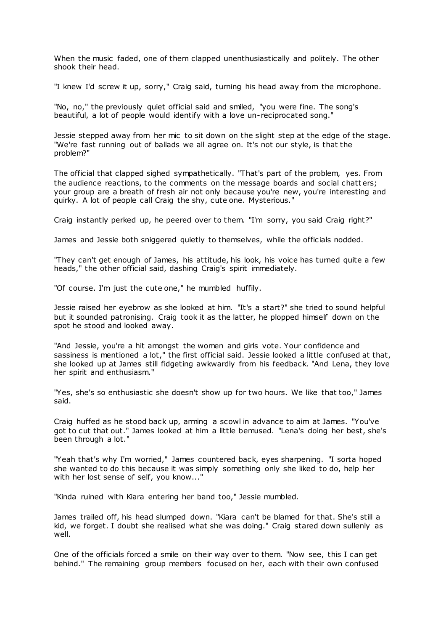When the music faded, one of them clapped unenthusiastically and politely. The other shook their head.

"I knew I'd screw it up, sorry," Craig said, turning his head away from the microphone.

"No, no," the previously quiet official said and smiled, "you were fine. The song's beautiful, a lot of people would identify with a love un-reciprocated song."

Jessie stepped away from her mic to sit down on the slight step at the edge of the stage. "We're fast running out of ballads we all agree on. It's not our style, is that the problem?"

The official that clapped sighed sympathetically. "That's part of the problem, yes. From the audience reactions, to the comments on the message boards and social chatt ers; your group are a breath of fresh air not only because you're new, you're interesting and quirky. A lot of people call Craig the shy, cute one. Mysterious."

Craig instantly perked up, he peered over to them. "I'm sorry, you said Craig right?"

James and Jessie both sniggered quietly to themselves, while the officials nodded.

"They can't get enough of James, his attitude, his look, his voice has turned quite a few heads," the other official said, dashing Craig's spirit immediately.

"Of course. I'm just the cute one," he mumbled huffily.

Jessie raised her eyebrow as she looked at him. "It's a start?" she tried to sound helpful but it sounded patronising. Craig took it as the latter, he plopped himself down on the spot he stood and looked away.

"And Jessie, you're a hit amongst the women and girls vote. Your confidence and sassiness is mentioned a lot," the first official said. Jessie looked a little confused at that, she looked up at James still fidgeting awkwardly from his feedback. "And Lena, they love her spirit and enthusiasm."

"Yes, she's so enthusiastic she doesn't show up for two hours. We like that too," James said.

Craig huffed as he stood back up, arming a scowl in advance to aim at James. "You've got to cut that out." James looked at him a little bemused. "Lena's doing her best, she's been through a lot."

"Yeah that's why I'm worried," James countered back, eyes sharpening. "I sorta hoped she wanted to do this because it was simply something only she liked to do, help her with her lost sense of self, you know..."

"Kinda ruined with Kiara entering her band too," Jessie mumbled.

James trailed off, his head slumped down. "Kiara can't be blamed for that. She's still a kid, we forget. I doubt she realised what she was doing." Craig stared down sullenly as well.

One of the officials forced a smile on their way over to them. "Now see, this I can get behind." The remaining group members focused on her, each with their own confused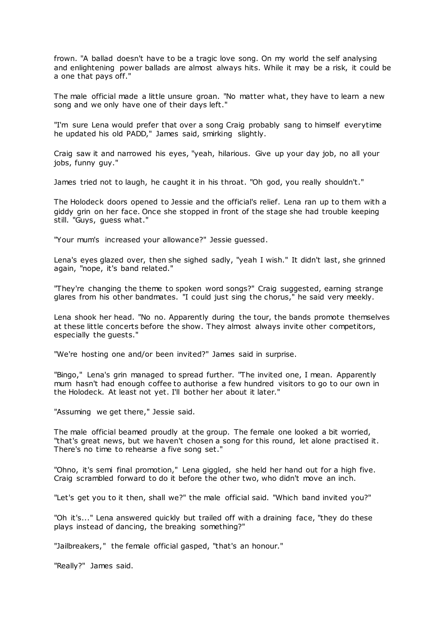frown. "A ballad doesn't have to be a tragic love song. On my world the self analysing and enlightening power ballads are almost always hits. While it may be a risk, it could be a one that pays off."

The male official made a little unsure groan. "No matter what, they have to learn a new song and we only have one of their days left."

"I'm sure Lena would prefer that over a song Craig probably sang to himself everytime he updated his old PADD," James said, smirking slightly.

Craig saw it and narrowed his eyes, "yeah, hilarious. Give up your day job, no all your jobs, funny guy."

James tried not to laugh, he caught it in his throat. "Oh god, you really shouldn't."

The Holodeck doors opened to Jessie and the official's relief. Lena ran up to them with a giddy grin on her face. Once she stopped in front of the stage she had trouble keeping still. "Guys, guess what."

"Your mum's increased your allowance?" Jessie guessed.

Lena's eyes glazed over, then she sighed sadly, "yeah I wish." It didn't last, she grinned again, "nope, it's band related."

"They're changing the theme to spoken word songs?" Craig suggested, earning strange glares from his other bandmates. "I could just sing the chorus," he said very meekly.

Lena shook her head. "No no. Apparently during the tour, the bands promote themselves at these little concerts before the show. They almost always invite other competitors, especially the guests."

"We're hosting one and/or been invited?" James said in surprise.

"Bingo," Lena's grin managed to spread further. "The invited one, I mean. Apparently mum hasn't had enough coffee to authorise a few hundred visitors to go to our own in the Holodeck. At least not yet. I'll bother her about it later."

"Assuming we get there," Jessie said.

The male official beamed proudly at the group. The female one looked a bit worried, "that's great news, but we haven't chosen a song for this round, let alone practised it. There's no time to rehearse a five song set."

"Ohno, it's semi final promotion," Lena giggled, she held her hand out for a high five. Craig scrambled forward to do it before the other two, who didn't move an inch.

"Let's get you to it then, shall we?" the male official said. "Which band invited you?"

"Oh it's..." Lena answered quickly but trailed off with a draining face, "they do these plays instead of dancing, the breaking something?"

"Jailbreakers," the female official gasped, "that's an honour."

"Really?" James said.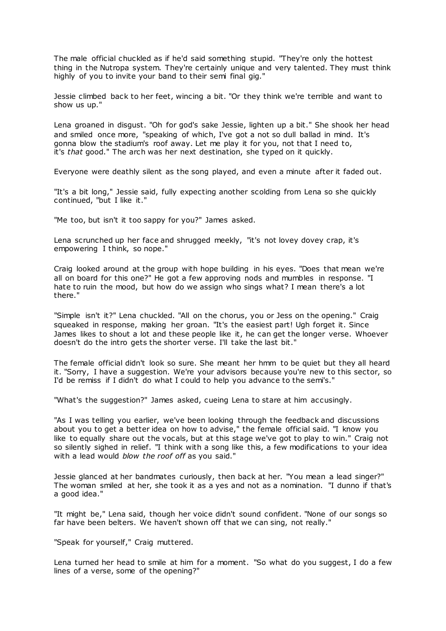The male official chuckled as if he'd said something stupid. "They're only the hottest thing in the Nutropa system. They're certainly unique and very talented. They must think highly of you to invite your band to their semi final gig."

Jessie climbed back to her feet, wincing a bit. "Or they think we're terrible and want to show us up."

Lena groaned in disgust. "Oh for god's sake Jessie, lighten up a bit." She shook her head and smiled once more, "speaking of which, I've got a not so dull ballad in mind. It's gonna blow the stadium's roof away. Let me play it for you, not that I need to, it's *that* good." The arch was her next destination, she typed on it quickly.

Everyone were deathly silent as the song played, and even a minute after it faded out.

"It's a bit long," Jessie said, fully expecting another scolding from Lena so she quickly continued, "but I like it."

"Me too, but isn't it too sappy for you?" James asked.

Lena scrunched up her face and shrugged meekly, "it's not lovey dovey crap, it's empowering I think, so nope."

Craig looked around at the group with hope building in his eyes. "Does that mean we're all on board for this one?" He got a few approving nods and mumbles in response. "I hate to ruin the mood, but how do we assign who sings what? I mean there's a lot there."

"Simple isn't it?" Lena chuckled. "All on the chorus, you or Jess on the opening." Craig squeaked in response, making her groan. "It's the easiest part! Ugh forget it. Since James likes to shout a lot and these people like it, he can get the longer verse. Whoever doesn't do the intro gets the shorter verse. I'll take the last bit."

The female official didn't look so sure. She meant her hmm to be quiet but they all heard it. "Sorry, I have a suggestion. We're your advisors because you're new to this sector, so I'd be remiss if I didn't do what I could to help you advance to the semi's."

"What's the suggestion?" James asked, cueing Lena to stare at him accusingly.

"As I was telling you earlier, we've been looking through the feedback and discussions about you to get a better idea on how to advise," the female official said. "I know you like to equally share out the vocals, but at this stage we've got to play to win." Craig not so silently sighed in relief. "I think with a song like this, a few modifications to your idea with a lead would *blow the roof off* as you said."

Jessie glanced at her bandmates curiously, then back at her. "You mean a lead singer?" The woman smiled at her, she took it as a yes and not as a nomination. "I dunno if that's a good idea."

"It might be," Lena said, though her voice didn't sound confident. "None of our songs so far have been belters. We haven't shown off that we can sing, not really."

"Speak for yourself," Craig muttered.

Lena turned her head to smile at him for a moment. "So what do you suggest, I do a few lines of a verse, some of the opening?"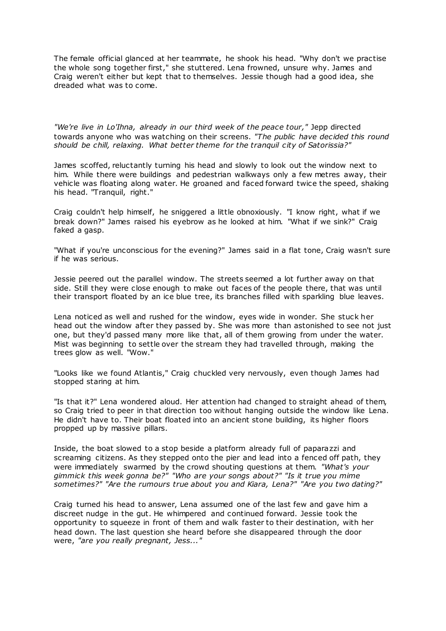The female official glanced at her teammate, he shook his head. "Why don't we practise the whole song together first," she stuttered. Lena frowned, unsure why. James and Craig weren't either but kept that to themselves. Jessie though had a good idea, she dreaded what was to come.

*"We're live in Lo'Ihna, already in our third week of the peace tour,"* Jepp directed towards anyone who was watching on their screens. *"The public have decided this round should be chill, relaxing. What better theme for the tranquil city of Satorissia?"*

James scoffed, reluctantly turning his head and slowly to look out the window next to him. While there were buildings and pedestrian walkways only a few metres away, their vehicle was floating along water. He groaned and faced forward twice the speed, shaking his head. "Tranquil, right."

Craig couldn't help himself, he sniggered a little obnoxiously. "I know right, what if we break down?" James raised his eyebrow as he looked at him. "What if we sink?" Craig faked a gasp.

"What if you're unconscious for the evening?" James said in a flat tone, Craig wasn't sure if he was serious.

Jessie peered out the parallel window. The streets seemed a lot further away on that side. Still they were close enough to make out faces of the people there, that was until their transport floated by an ice blue tree, its branches filled with sparkling blue leaves.

Lena noticed as well and rushed for the window, eyes wide in wonder. She stuck her head out the window after they passed by. She was more than astonished to see not just one, but they'd passed many more like that, all of them growing from under the water. Mist was beginning to settle over the stream they had travelled through, making the trees glow as well. "Wow."

"Looks like we found Atlantis," Craig chuckled very nervously, even though James had stopped staring at him.

"Is that it?" Lena wondered aloud. Her attention had changed to straight ahead of them, so Craig tried to peer in that direction too without hanging outside the window like Lena. He didn't have to. Their boat floated into an ancient stone building, its higher floors propped up by massive pillars.

Inside, the boat slowed to a stop beside a platform already full of paparazzi and screaming citizens. As they stepped onto the pier and lead into a fenced off path, they were immediately swarmed by the crowd shouting questions at them. *"What's your gimmick this week gonna be?" "Who are your songs about?" "Is it true you mime sometimes?" "Are the rumours true about you and Kiara, Lena?" "Are you two dating?"*

Craig turned his head to answer, Lena assumed one of the last few and gave him a discreet nudge in the gut. He whimpered and continued forward. Jessie took the opportunity to squeeze in front of them and walk faster to their destination, with her head down. The last question she heard before she disappeared through the door were, *"are you really pregnant, Jess..."*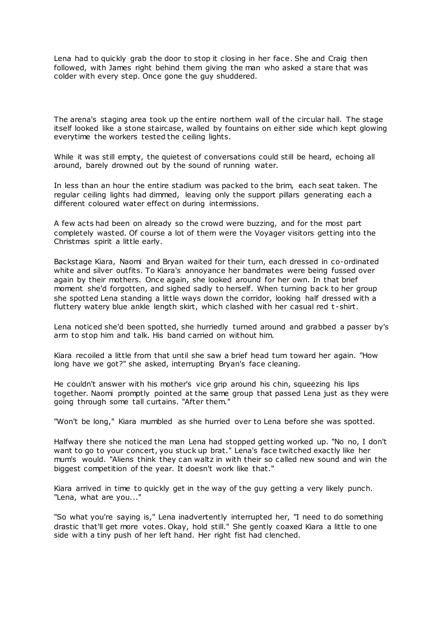Lena had to quickly grab the door to stop it closing in her face. She and Craig then followed, with James right behind them giving the man who asked a stare that was colder with every step. Once gone the guy shuddered.

The arena's staging area took up the entire northern wall of the circular hall. The stage itself looked like a stone staircase, walled by fountains on either side which kept glowing everytime the workers tested the ceiling lights.

While it was still empty, the quietest of conversations could still be heard, echoing all around, barely drowned out by the sound of running water.

In less than an hour the entire stadium was packed to the brim, each seat taken. The regular ceiling lights had dimmed, leaving only the support pillars generating each a different coloured water effect on during intermissions.

A few acts had been on already so the crowd were buzzing, and for the most part completely wasted. Of course a lot of them were the Voyager visitors getting into the Christmas spirit a little early.

Backstage Kiara, Naomi and Bryan waited for their turn, each dressed in co-ordinated white and silver outfits. To Kiara's annoyance her bandmates were being fussed over again by their mothers. Once again, she looked around for her own. In that brief moment she'd forgotten, and sighed sadly to herself. When turning back to her group she spotted Lena standing a little ways down the corridor, looking half dressed with a fluttery watery blue ankle length skirt, which clashed with her casual red t -shirt.

Lena noticed she'd been spotted, she hurriedly turned around and grabbed a passer by's arm to stop him and talk. His band carried on without him.

Kiara recoiled a little from that until she saw a brief head turn toward her again. "How long have we got?" she asked, interrupting Bryan's face cleaning.

He couldn't answer with his mother's vice grip around his chin, squeezing his lips together. Naomi promptly pointed at the same group that passed Lena just as they were going through some tall curtains. "After them."

"Won't be long," Kiara mumbled as she hurried over to Lena before she was spotted.

Halfway there she noticed the man Lena had stopped getting worked up. "No no, I don't want to go to your concert, you stuck up brat." Lena's face twitched exactly like her mum's would. "Aliens think they can waltz in with their so called new sound and win the biggest competition of the year. It doesn't work like that."

Kiara arrived in time to quickly get in the way of the guy getting a very likely punch. "Lena, what are you..."

"So what you're saying is," Lena inadvertently interrupted her, "I need to do something drastic that'll get more votes. Okay, hold still." She gently coaxed Kiara a little to one side with a tiny push of her left hand. Her right fist had clenched.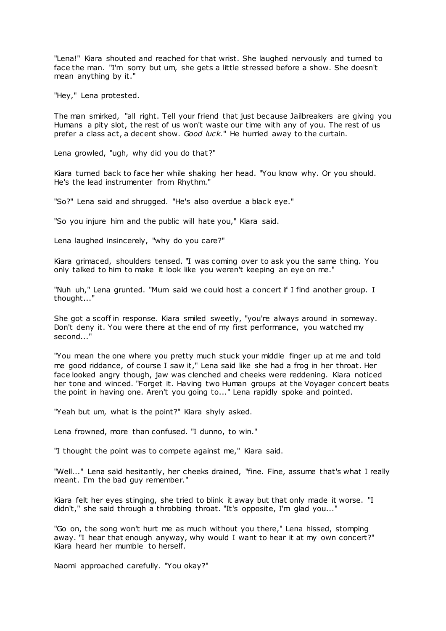"Lena!" Kiara shouted and reached for that wrist. She laughed nervously and turned to face the man. "I'm sorry but um, she gets a little stressed before a show. She doesn't mean anything by it."

"Hey," Lena protested.

The man smirked, "all right. Tell your friend that just because Jailbreakers are giving you Humans a pity slot, the rest of us won't waste our time with any of you. The rest of us prefer a class act, a decent show. *Good luck.*" He hurried away to the curtain.

Lena growled, "ugh, why did you do that?"

Kiara turned back to face her while shaking her head. "You know why. Or you should. He's the lead instrumenter from Rhythm."

"So?" Lena said and shrugged. "He's also overdue a black eye."

"So you injure him and the public will hate you," Kiara said.

Lena laughed insincerely, "why do you care?"

Kiara grimaced, shoulders tensed. "I was coming over to ask you the same thing. You only talked to him to make it look like you weren't keeping an eye on me."

"Nuh uh," Lena grunted. "Mum said we could host a concert if I find another group. I thought..."

She got a scoff in response. Kiara smiled sweetly, "you're always around in someway. Don't deny it. You were there at the end of my first performance, you watched my second...'

"You mean the one where you pretty much stuck your middle finger up at me and told me good riddance, of course I saw it," Lena said like she had a frog in her throat. Her face looked angry though, jaw was clenched and cheeks were reddening. Kiara noticed her tone and winced. "Forget it. Having two Human groups at the Voyager concert beats the point in having one. Aren't you going to..." Lena rapidly spoke and pointed.

"Yeah but um, what is the point?" Kiara shyly asked.

Lena frowned, more than confused. "I dunno, to win."

"I thought the point was to compete against me," Kiara said.

"Well..." Lena said hesitantly, her cheeks drained, "fine. Fine, assume that's what I really meant. I'm the bad guy remember."

Kiara felt her eyes stinging, she tried to blink it away but that only made it worse. "I didn't," she said through a throbbing throat. "It's opposite, I'm glad you..."

"Go on, the song won't hurt me as much without you there," Lena hissed, stomping away. "I hear that enough anyway, why would I want to hear it at my own concert?" Kiara heard her mumble to herself.

Naomi approached carefully. "You okay?"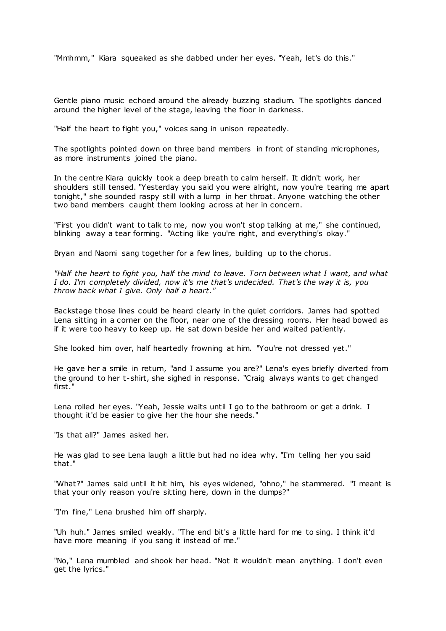"Mmhmm," Kiara squeaked as she dabbed under her eyes. "Yeah, let's do this."

Gentle piano music echoed around the already buzzing stadium. The spotlights danced around the higher level of the stage, leaving the floor in darkness.

"Half the heart to fight you," voices sang in unison repeatedly.

The spotlights pointed down on three band members in front of standing microphones, as more instruments joined the piano.

In the centre Kiara quickly took a deep breath to calm herself. It didn't work, her shoulders still tensed. "Yesterday you said you were alright, now you're tearing me apart tonight," she sounded raspy still with a lump in her throat. Anyone watching the other two band members caught them looking across at her in concern.

"First you didn't want to talk to me, now you won't stop talking at me," she continued, blinking away a tear forming. "Acting like you're right, and everything's okay."

Bryan and Naomi sang together for a few lines, building up to the chorus.

*"Half the heart to fight you, half the mind to leave. Torn between what I want, and what I do. I'm completely divided, now it's me that's undecided. That's the way it is, you throw back what I give. Only half a heart."*

Backstage those lines could be heard clearly in the quiet corridors. James had spotted Lena sitting in a corner on the floor, near one of the dressing rooms. Her head bowed as if it were too heavy to keep up. He sat down beside her and waited patiently.

She looked him over, half heartedly frowning at him. "You're not dressed yet."

He gave her a smile in return, "and I assume you are?" Lena's eyes briefly diverted from the ground to her t-shirt, she sighed in response. "Craig always wants to get changed first."

Lena rolled her eyes. "Yeah, Jessie waits until I go to the bathroom or get a drink. I thought it'd be easier to give her the hour she needs."

"Is that all?" James asked her.

He was glad to see Lena laugh a little but had no idea why. "I'm telling her you said that."

"What?" James said until it hit him, his eyes widened, "ohno," he stammered. "I meant is that your only reason you're sitting here, down in the dumps?"

"I'm fine," Lena brushed him off sharply.

"Uh huh." James smiled weakly. "The end bit's a little hard for me to sing. I think it'd have more meaning if you sang it instead of me."

"No," Lena mumbled and shook her head. "Not it wouldn't mean anything. I don't even get the lyrics."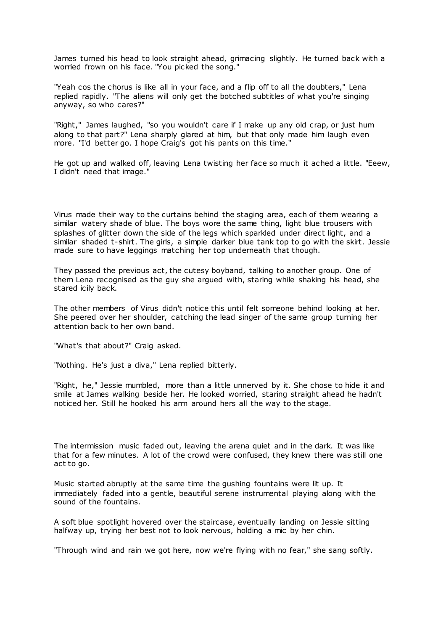James turned his head to look straight ahead, grimacing slightly. He turned back with a worried frown on his face. "You picked the song."

"Yeah cos the chorus is like all in your face, and a flip off to all the doubters," Lena replied rapidly. "The aliens will only get the botched subtitles of what you're singing anyway, so who cares?"

"Right," James laughed, "so you wouldn't care if I make up any old crap, or just hum along to that part?" Lena sharply glared at him, but that only made him laugh even more. "I'd better go. I hope Craig's got his pants on this time."

He got up and walked off, leaving Lena twisting her face so much it ached a little. "Eeew, I didn't need that image."

Virus made their way to the curtains behind the staging area, each of them wearing a similar watery shade of blue. The boys wore the same thing, light blue trousers with splashes of glitter down the side of the legs which sparkled under direct light, and a similar shaded t-shirt. The girls, a simple darker blue tank top to go with the skirt. Jessie made sure to have leggings matching her top underneath that though.

They passed the previous act, the cutesy boyband, talking to another group. One of them Lena recognised as the guy she argued with, staring while shaking his head, she stared icily back.

The other members of Virus didn't notice this until felt someone behind looking at her. She peered over her shoulder, catching the lead singer of the same group turning her attention back to her own band.

"What's that about?" Craig asked.

"Nothing. He's just a diva," Lena replied bitterly.

"Right, he," Jessie mumbled, more than a little unnerved by it. She chose to hide it and smile at James walking beside her. He looked worried, staring straight ahead he hadn't noticed her. Still he hooked his arm around hers all the way to the stage.

The intermission music faded out, leaving the arena quiet and in the dark. It was like that for a few minutes. A lot of the crowd were confused, they knew there was still one act to go.

Music started abruptly at the same time the gushing fountains were lit up. It immediately faded into a gentle, beautiful serene instrumental playing along with the sound of the fountains.

A soft blue spotlight hovered over the staircase, eventually landing on Jessie sitting halfway up, trying her best not to look nervous, holding a mic by her chin.

"Through wind and rain we got here, now we're flying with no fear," she sang softly.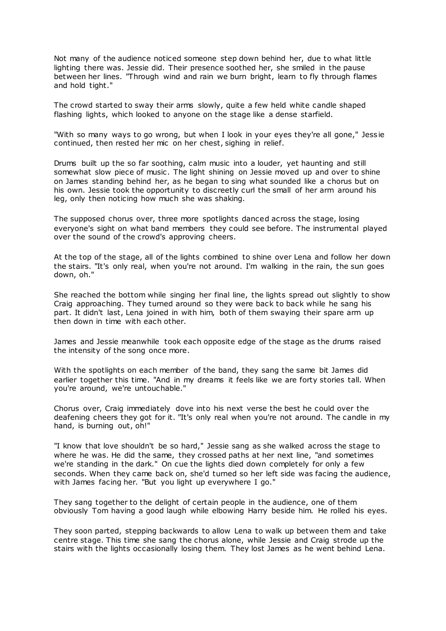Not many of the audience noticed someone step down behind her, due to what little lighting there was. Jessie did. Their presence soothed her, she smiled in the pause between her lines. "Through wind and rain we burn bright, learn to fly through flames and hold tight."

The crowd started to sway their arms slowly, quite a few held white candle shaped flashing lights, which looked to anyone on the stage like a dense starfield.

"With so many ways to go wrong, but when I look in your eyes they're all gone," Jess ie continued, then rested her mic on her chest, sighing in relief.

Drums built up the so far soothing, calm music into a louder, yet haunting and still somewhat slow piece of music . The light shining on Jessie moved up and over to shine on James standing behind her, as he began to sing what sounded like a chorus but on his own. Jessie took the opportunity to discreetly curl the small of her arm around his leg, only then noticing how much she was shaking.

The supposed chorus over, three more spotlights danced across the stage, losing everyone's sight on what band members they could see before. The instrumental played over the sound of the crowd's approving cheers.

At the top of the stage, all of the lights combined to shine over Lena and follow her down the stairs. "It's only real, when you're not around. I'm walking in the rain, the sun goes down, oh."

She reached the bottom while singing her final line, the lights spread out slightly to show Craig approaching. They turned around so they were back to back while he sang his part. It didn't last, Lena joined in with him, both of them swaying their spare arm up then down in time with each other.

James and Jessie meanwhile took each opposite edge of the stage as the drums raised the intensity of the song once more.

With the spotlights on each member of the band, they sang the same bit James did earlier together this time. "And in my dreams it feels like we are forty stories tall. When you're around, we're untouchable."

Chorus over, Craig immediately dove into his next verse the best he could over the deafening cheers they got for it. "It's only real when you're not around. The candle in my hand, is burning out, oh!"

"I know that love shouldn't be so hard," Jessie sang as she walked across the stage to where he was. He did the same, they crossed paths at her next line, "and sometimes we're standing in the dark." On cue the lights died down completely for only a few seconds. When they came back on, she'd turned so her left side was facing the audience, with James facing her. "But you light up everywhere I go."

They sang together to the delight of certain people in the audience, one of them obviously Tom having a good laugh while elbowing Harry beside him. He rolled his eyes.

They soon parted, stepping backwards to allow Lena to walk up between them and take centre stage. This time she sang the chorus alone, while Jessie and Craig strode up the stairs with the lights occasionally losing them. They lost James as he went behind Lena.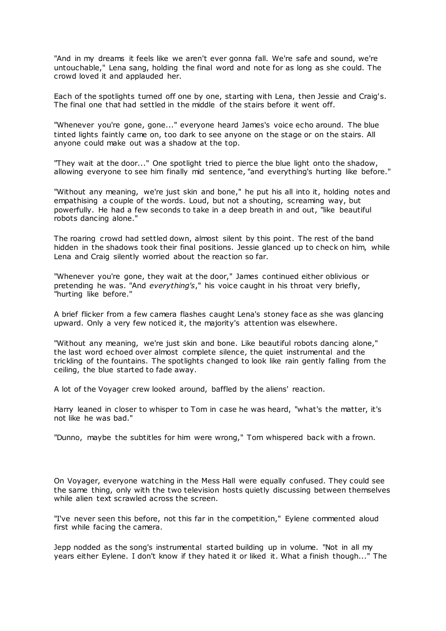"And in my dreams it feels like we aren't ever gonna fall. We're safe and sound, we're untouchable," Lena sang, holding the final word and note for as long as she could. The crowd loved it and applauded her.

Each of the spotlights turned off one by one, starting with Lena, then Jessie and Craig's. The final one that had settled in the middle of the stairs before it went off.

"Whenever you're gone, gone..." everyone heard James's voice echo around. The blue tinted lights faintly came on, too dark to see anyone on the stage or on the stairs. All anyone could make out was a shadow at the top.

"They wait at the door..." One spotlight tried to pierce the blue light onto the shadow, allowing everyone to see him finally mid sentence, "and everything's hurting like before."

"Without any meaning, we're just skin and bone," he put his all into it, holding notes and empathising a couple of the words. Loud, but not a shouting, screaming way, but powerfully. He had a few seconds to take in a deep breath in and out, "like beautiful robots dancing alone."

The roaring crowd had settled down, almost silent by this point. The rest of the band hidden in the shadows took their final positions. Jessie glanced up to check on him, while Lena and Craig silently worried about the reaction so far.

"Whenever you're gone, they wait at the door," James continued either oblivious or pretending he was. "And *everything's*," his voice caught in his throat very briefly, "hurting like before."

A brief flicker from a few camera flashes caught Lena's stoney face as she was glancing upward. Only a very few noticed it, the majority's attention was elsewhere.

"Without any meaning, we're just skin and bone. Like beautiful robots dancing alone," the last word echoed over almost complete silence, the quiet instrumental and the trickling of the fountains. The spotlights changed to look like rain gently falling from the ceiling, the blue started to fade away.

A lot of the Voyager crew looked around, baffled by the aliens' reaction.

Harry leaned in closer to whisper to Tom in case he was heard, "what's the matter, it's not like he was bad."

"Dunno, maybe the subtitles for him were wrong," Tom whispered back with a frown.

On Voyager, everyone watching in the Mess Hall were equally confused. They could see the same thing, only with the two television hosts quietly discussing between themselves while alien text scrawled across the screen.

"I've never seen this before, not this far in the competition," Eylene commented aloud first while facing the camera.

Jepp nodded as the song's instrumental started building up in volume. "Not in all my years either Eylene. I don't know if they hated it or liked it. What a finish though..." The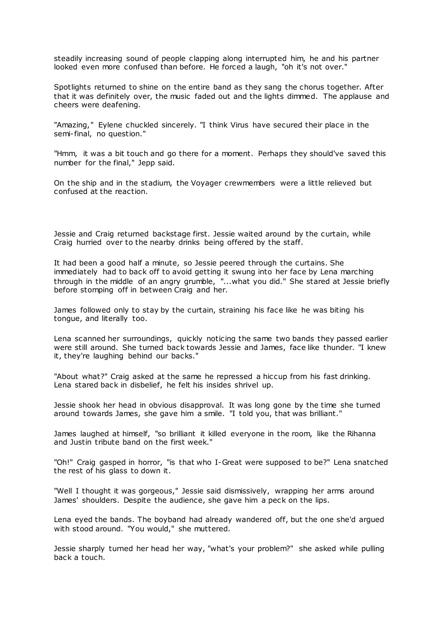steadily increasing sound of people clapping along interrupted him, he and his partner looked even more confused than before. He forced a laugh, "oh it's not over."

Spotlights returned to shine on the entire band as they sang the chorus together. After that it was definitely over, the music faded out and the lights dimmed. The applause and cheers were deafening.

"Amazing," Eylene chuckled sincerely. "I think Virus have secured their place in the semi-final, no question."

"Hmm, it was a bit touch and go there for a moment. Perhaps they should've saved this number for the final," Jepp said.

On the ship and in the stadium, the Voyager crewmembers were a little relieved but confused at the reaction.

Jessie and Craig returned backstage first. Jessie waited around by the curtain, while Craig hurried over to the nearby drinks being offered by the staff.

It had been a good half a minute, so Jessie peered through the curtains. She immediately had to back off to avoid getting it swung into her face by Lena marching through in the middle of an angry grumble, "...what you did." She stared at Jessie briefly before stomping off in between Craig and her.

James followed only to stay by the curtain, straining his face like he was biting his tongue, and literally too.

Lena scanned her surroundings, quickly noticing the same two bands they passed earlier were still around. She turned back towards Jessie and James, face like thunder. "I knew it, they're laughing behind our backs."

"About what?" Craig asked at the same he repressed a hiccup from his fast drinking. Lena stared back in disbelief, he felt his insides shrivel up.

Jessie shook her head in obvious disapproval. It was long gone by the time she turned around towards James, she gave him a smile. "I told you, that was brilliant."

James laughed at himself, "so brilliant it killed everyone in the room, like the Rihanna and Justin tribute band on the first week."

"Oh!" Craig gasped in horror, "is that who I-Great were supposed to be?" Lena snatched the rest of his glass to down it.

"Well I thought it was gorgeous," Jessie said dismissively, wrapping her arms around James' shoulders. Despite the audience, she gave him a peck on the lips.

Lena eyed the bands. The boyband had already wandered off, but the one she'd argued with stood around. "You would," she muttered.

Jessie sharply turned her head her way, "what's your problem?" she asked while pulling back a touch.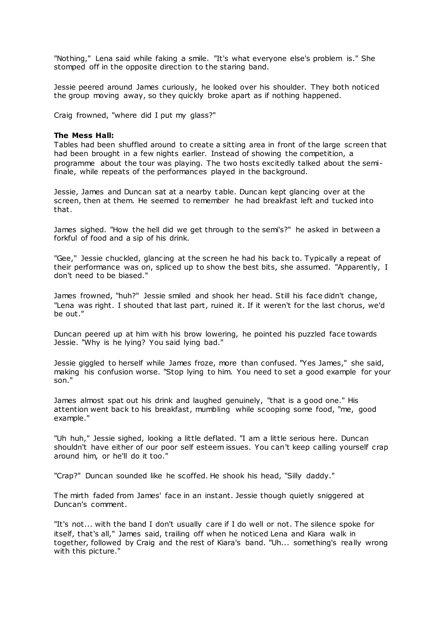"Nothing," Lena said while faking a smile. "It's what everyone else's problem is." She stomped off in the opposite direction to the staring band.

Jessie peered around James curiously, he looked over his shoulder. They both noticed the group moving away, so they quickly broke apart as if nothing happened.

Craig frowned, "where did I put my glass?"

## **The Mess Hall:**

Tables had been shuffled around to create a sitting area in front of the large screen that had been brought in a few nights earlier. Instead of showing the competition, a programme about the tour was playing. The two hosts excitedly talked about the semifinale, while repeats of the performances played in the background.

Jessie, James and Duncan sat at a nearby table. Duncan kept glancing over at the screen, then at them. He seemed to remember he had breakfast left and tucked into that.

James sighed. "How the hell did we get through to the semi's?" he asked in between a forkful of food and a sip of his drink.

"Gee," Jessie chuckled, glancing at the screen he had his back to. Typically a repeat of their performance was on, spliced up to show the best bits, she assumed. "Apparently, I don't need to be biased."

James frowned, "huh?" Jessie smiled and shook her head. Still his face didn't change, "Lena was right. I shouted that last part, ruined it. If it weren't for the last chorus, we'd be out."

Duncan peered up at him with his brow lowering, he pointed his puzzled face towards Jessie. "Why is he lying? You said lying bad."

Jessie giggled to herself while James froze, more than confused. "Yes James," she said, making his confusion worse. "Stop lying to him. You need to set a good example for your son."

James almost spat out his drink and laughed genuinely, "that is a good one." His attention went back to his breakfast, mumbling while scooping some food, "me, good example."

"Uh huh," Jessie sighed, looking a little deflated. "I am a little serious here. Duncan shouldn't have either of our poor self esteem issues. You can't keep calling yourself crap around him, or he'll do it too."

"Crap?" Duncan sounded like he scoffed. He shook his head, "Silly daddy."

The mirth faded from James' face in an instant. Jessie though quietly sniggered at Duncan's comment.

"It's not... with the band I don't usually care if I do well or not. The silence spoke for itself, that's all," James said, trailing off when he noticed Lena and Kiara walk in together, followed by Craig and the rest of Kiara's band. "Uh... something's really wrong with this picture."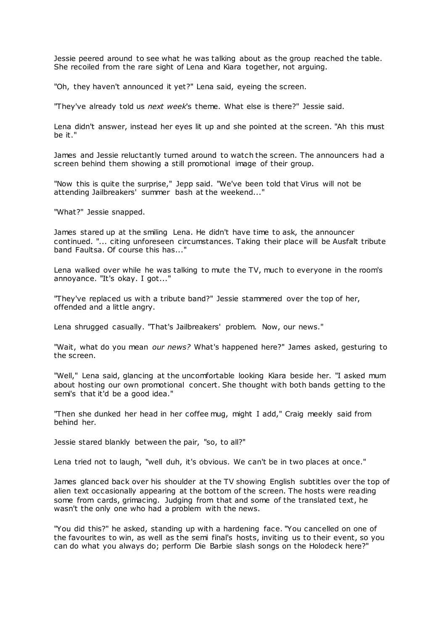Jessie peered around to see what he was talking about as the group reached the table. She recoiled from the rare sight of Lena and Kiara together, not arguing.

"Oh, they haven't announced it yet?" Lena said, eyeing the screen.

"They've already told us *next week*'s theme. What else is there?" Jessie said.

Lena didn't answer, instead her eyes lit up and she pointed at the screen. "Ah this must be it."

James and Jessie reluctantly turned around to watch the screen. The announcers had a screen behind them showing a still promotional image of their group.

"Now this is quite the surprise," Jepp said. "We've been told that Virus will not be attending Jailbreakers' summer bash at the weekend..."

"What?" Jessie snapped.

James stared up at the smiling Lena. He didn't have time to ask, the announcer continued. "... citing unforeseen circumstances. Taking their place will be Ausfalt tribute band Faultsa. Of course this has..."

Lena walked over while he was talking to mute the TV, much to everyone in the room's annoyance. "It's okay. I got..."

"They've replaced us with a tribute band?" Jessie stammered over the top of her, offended and a little angry.

Lena shrugged casually. "That's Jailbreakers' problem. Now, our news."

"Wait, what do you mean *our news?* What's happened here?" James asked, gesturing to the screen.

"Well," Lena said, glancing at the uncomfortable looking Kiara beside her. "I asked mum about hosting our own promotional concert. She thought with both bands getting to the semi's that it'd be a good idea."

"Then she dunked her head in her coffee mug, might I add," Craig meekly said from behind her.

Jessie stared blankly between the pair, "so, to all?"

Lena tried not to laugh, "well duh, it's obvious. We can't be in two places at once."

James glanced back over his shoulder at the TV showing English subtitles over the top of alien text occasionally appearing at the bottom of the screen. The hosts were reading some from cards, grimacing. Judging from that and some of the translated text, he wasn't the only one who had a problem with the news.

"You did this?" he asked, standing up with a hardening face. "You cancelled on one of the favourites to win, as well as the semi final's hosts, inviting us to their event, so you can do what you always do; perform Die Barbie slash songs on the Holodeck here?"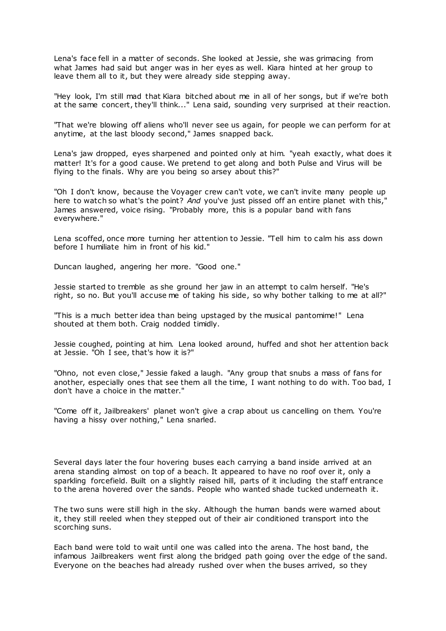Lena's face fell in a matter of seconds. She looked at Jessie, she was grimacing from what James had said but anger was in her eyes as well. Kiara hinted at her group to leave them all to it, but they were already side stepping away.

"Hey look, I'm still mad that Kiara bitched about me in all of her songs, but if we're both at the same concert, they'll think..." Lena said, sounding very surprised at their reaction.

"That we're blowing off aliens who'll never see us again, for people we can perform for at anytime, at the last bloody second," James snapped back.

Lena's jaw dropped, eyes sharpened and pointed only at him. "yeah exactly, what does it matter! It's for a good cause. We pretend to get along and both Pulse and Virus will be flying to the finals. Why are you being so arsey about this?"

"Oh I don't know, because the Voyager crew can't vote, we can't invite many people up here to watch so what's the point? *And* you've just pissed off an entire planet with this," James answered, voice rising. "Probably more, this is a popular band with fans everywhere."

Lena scoffed, once more turning her attention to Jessie. "Tell him to calm his ass down before I humiliate him in front of his kid."

Duncan laughed, angering her more. "Good one."

Jessie started to tremble as she ground her jaw in an attempt to calm herself. "He's right, so no. But you'll accuse me of taking his side, so why bother talking to me at all?"

"This is a much better idea than being upstaged by the musical pantomime!" Lena shouted at them both. Craig nodded timidly.

Jessie coughed, pointing at him. Lena looked around, huffed and shot her attention back at Jessie. "Oh I see, that's how it is?"

"Ohno, not even close," Jessie faked a laugh. "Any group that snubs a mass of fans for another, especially ones that see them all the time, I want nothing to do with. Too bad, I don't have a choice in the matter."

"Come off it, Jailbreakers' planet won't give a crap about us cancelling on them. You're having a hissy over nothing," Lena snarled.

Several days later the four hovering buses each carrying a band inside arrived at an arena standing almost on top of a beach. It appeared to have no roof over it, only a sparkling forcefield. Built on a slightly raised hill, parts of it including the staff entrance to the arena hovered over the sands. People who wanted shade tucked underneath it.

The two suns were still high in the sky. Although the human bands were warned about it, they still reeled when they stepped out of their air conditioned transport into the scorching suns.

Each band were told to wait until one was called into the arena. The host band, the infamous Jailbreakers went first along the bridged path going over the edge of the sand. Everyone on the beaches had already rushed over when the buses arrived, so they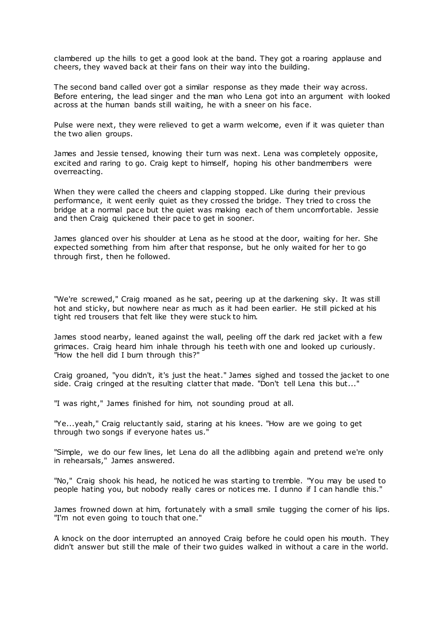clambered up the hills to get a good look at the band. They got a roaring applause and cheers, they waved back at their fans on their way into the building.

The second band called over got a similar response as they made their way across. Before entering, the lead singer and the man who Lena got into an argument with looked across at the human bands still waiting, he with a sneer on his face.

Pulse were next, they were relieved to get a warm welcome, even if it was quieter than the two alien groups.

James and Jessie tensed, knowing their turn was next. Lena was completely opposite, excited and raring to go. Craig kept to himself, hoping his other bandmembers were overreacting.

When they were called the cheers and clapping stopped. Like during their previous performance, it went eerily quiet as they crossed the bridge. They tried to cross the bridge at a normal pace but the quiet was making each of them uncomfortable. Jessie and then Craig quickened their pace to get in sooner.

James glanced over his shoulder at Lena as he stood at the door, waiting for her. She expected something from him after that response, but he only waited for her to go through first, then he followed.

"We're screwed," Craig moaned as he sat, peering up at the darkening sky. It was still hot and sticky, but nowhere near as much as it had been earlier. He still picked at his tight red trousers that felt like they were stuck to him.

James stood nearby, leaned against the wall, peeling off the dark red jacket with a few grimaces. Craig heard him inhale through his teeth with one and looked up curiously. "How the hell did I burn through this?"

Craig groaned, "you didn't, it's just the heat." James sighed and tossed the jacket to one side. Craig cringed at the resulting clatter that made. "Don't tell Lena this but..."

"I was right," James finished for him, not sounding proud at all.

"Ye...yeah," Craig reluctantly said, staring at his knees. "How are we going to get through two songs if everyone hates us."

"Simple, we do our few lines, let Lena do all the adlibbing again and pretend we're only in rehearsals," James answered.

"No," Craig shook his head, he noticed he was starting to tremble. "You may be used to people hating you, but nobody really cares or notices me. I dunno if I can handle this."

James frowned down at him, fortunately with a small smile tugging the corner of his lips. "I'm not even going to touch that one."

A knock on the door interrupted an annoyed Craig before he could open his mouth. They didn't answer but still the male of their two guides walked in without a care in the world.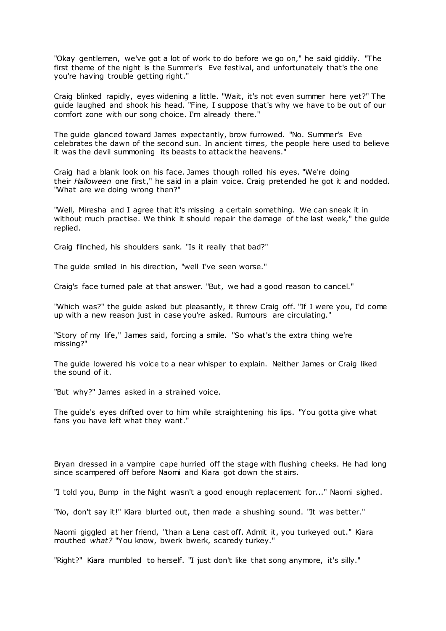"Okay gentlemen, we've got a lot of work to do before we go on," he said giddily. "The first theme of the night is the Summer's Eve festival, and unfortunately that's the one you're having trouble getting right."

Craig blinked rapidly, eyes widening a little. "Wait, it's not even summer here yet?" The guide laughed and shook his head. "Fine, I suppose that's why we have to be out of our comfort zone with our song choice. I'm already there."

The guide glanced toward James expectantly, brow furrowed. "No. Summer's Eve celebrates the dawn of the second sun. In ancient times, the people here used to believe it was the devil summoning its beasts to attack the heavens."

Craig had a blank look on his face. James though rolled his eyes. "We're doing their *Halloween* one first," he said in a plain voice. Craig pretended he got it and nodded. "What are we doing wrong then?"

"Well, Miresha and I agree that it's missing a certain something. We can sneak it in without much practise. We think it should repair the damage of the last week," the guide replied.

Craig flinched, his shoulders sank. "Is it really that bad?"

The guide smiled in his direction, "well I've seen worse."

Craig's face turned pale at that answer. "But, we had a good reason to cancel."

"Which was?" the guide asked but pleasantly, it threw Craig off. "If I were you, I'd come up with a new reason just in case you're asked. Rumours are circulating."

"Story of my life," James said, forcing a smile. "So what's the extra thing we're missing?"

The guide lowered his voice to a near whisper to explain. Neither James or Craig liked the sound of it.

"But why?" James asked in a strained voice.

The guide's eyes drifted over to him while straightening his lips. "You gotta give what fans you have left what they want."

Bryan dressed in a vampire cape hurried off the stage with flushing cheeks. He had long since scampered off before Naomi and Kiara got down the stairs.

"I told you, Bump in the Night wasn't a good enough replacement for..." Naomi sighed.

"No, don't say it!" Kiara blurted out, then made a shushing sound. "It was better."

Naomi giggled at her friend, "than a Lena cast off. Admit it, you turkeyed out." Kiara mouthed *what?* "You know, bwerk bwerk, scaredy turkey."

"Right?" Kiara mumbled to herself. "I just don't like that song anymore, it's silly."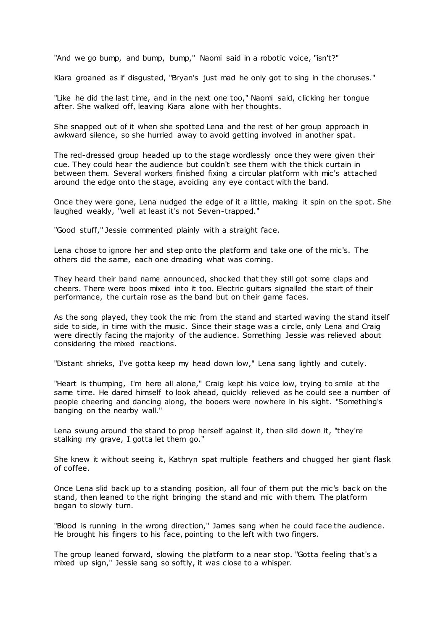"And we go bump, and bump, bump," Naomi said in a robotic voice, "isn't?"

Kiara groaned as if disgusted, "Bryan's just mad he only got to sing in the choruses."

"Like he did the last time, and in the next one too," Naomi said, clicking her tongue after. She walked off, leaving Kiara alone with her thoughts.

She snapped out of it when she spotted Lena and the rest of her group approach in awkward silence, so she hurried away to avoid getting involved in another spat.

The red-dressed group headed up to the stage wordlessly once they were given their cue. They could hear the audience but couldn't see them with the thick curtain in between them. Several workers finished fixing a circular platform with mic's attached around the edge onto the stage, avoiding any eye contact with the band.

Once they were gone, Lena nudged the edge of it a little, making it spin on the spot. She laughed weakly, "well at least it's not Seven-trapped."

"Good stuff," Jessie commented plainly with a straight face.

Lena chose to ignore her and step onto the platform and take one of the mic's. The others did the same, each one dreading what was coming.

They heard their band name announced, shocked that they still got some claps and cheers. There were boos mixed into it too. Electric guitars signalled the start of their performance, the curtain rose as the band but on their game faces.

As the song played, they took the mic from the stand and started waving the stand itself side to side, in time with the music. Since their stage was a circle, only Lena and Craig were directly facing the majority of the audience. Something Jessie was relieved about considering the mixed reactions.

"Distant shrieks, I've gotta keep my head down low," Lena sang lightly and cutely.

"Heart is thumping, I'm here all alone," Craig kept his voice low, trying to smile at the same time. He dared himself to look ahead, quickly relieved as he could see a number of people cheering and dancing along, the booers were nowhere in his sight. "Something's banging on the nearby wall."

Lena swung around the stand to prop herself against it, then slid down it, "they're stalking my grave, I gotta let them go."

She knew it without seeing it, Kathryn spat multiple feathers and chugged her giant flask of coffee.

Once Lena slid back up to a standing position, all four of them put the mic's back on the stand, then leaned to the right bringing the stand and mic with them. The platform began to slowly turn.

"Blood is running in the wrong direction," James sang when he could face the audience. He brought his fingers to his face, pointing to the left with two fingers.

The group leaned forward, slowing the platform to a near stop. "Gotta feeling that's a mixed up sign," Jessie sang so softly, it was close to a whisper.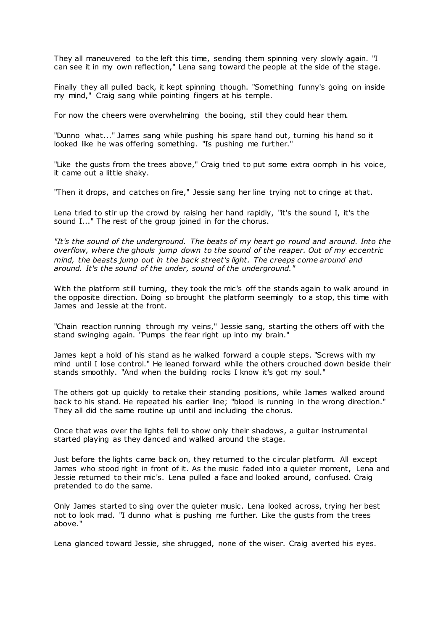They all maneuvered to the left this time, sending them spinning very slowly again. "I can see it in my own reflection," Lena sang toward the people at the side of the stage.

Finally they all pulled back, it kept spinning though. "Something funny's going on inside my mind," Craig sang while pointing fingers at his temple.

For now the cheers were overwhelming the booing, still they could hear them.

"Dunno what..." James sang while pushing his spare hand out, turning his hand so it looked like he was offering something. "Is pushing me further."

"Like the gusts from the trees above," Craig tried to put some extra oomph in his voice, it came out a little shaky.

"Then it drops, and catches on fire," Jessie sang her line trying not to cringe at that.

Lena tried to stir up the crowd by raising her hand rapidly, "it's the sound I, it's the sound I..." The rest of the group joined in for the chorus.

*"It's the sound of the underground. The beats of my heart go round and around. Into the overflow, where the ghouls jump down to the sound of the reaper. Out of my eccentric mind, the beasts jump out in the back street's light. The creeps come around and around. It's the sound of the under, sound of the underground."*

With the platform still turning, they took the mic's off the stands again to walk around in the opposite direction. Doing so brought the platform seemingly to a stop, this time with James and Jessie at the front.

"Chain reaction running through my veins," Jessie sang, starting the others off with the stand swinging again. "Pumps the fear right up into my brain."

James kept a hold of his stand as he walked forward a couple steps. "Screws with my mind until I lose control." He leaned forward while the others crouched down beside their stands smoothly. "And when the building rocks I know it's got my soul."

The others got up quickly to retake their standing positions, while James walked around back to his stand. He repeated his earlier line; "blood is running in the wrong direction." They all did the same routine up until and including the chorus.

Once that was over the lights fell to show only their shadows, a guitar instrumental started playing as they danced and walked around the stage.

Just before the lights came back on, they returned to the circular platform. All except James who stood right in front of it. As the music faded into a quieter moment, Lena and Jessie returned to their mic's. Lena pulled a face and looked around, confused. Craig pretended to do the same.

Only James started to sing over the quieter music . Lena looked across, trying her best not to look mad. "I dunno what is pushing me further. Like the gusts from the trees above."

Lena glanced toward Jessie, she shrugged, none of the wiser. Craig averted his eyes.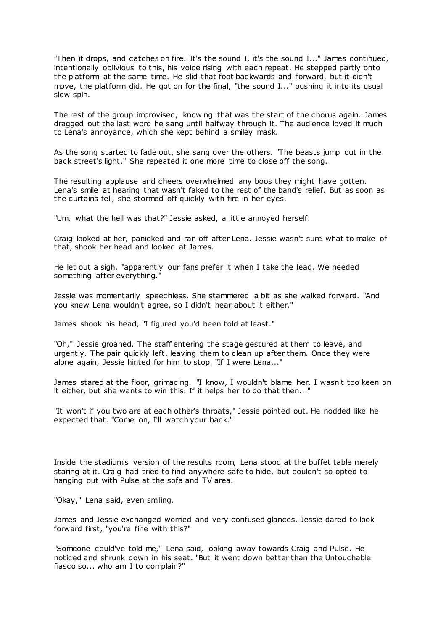"Then it drops, and catches on fire. It's the sound I, it's the sound I..." James continued, intentionally oblivious to this, his voice rising with each repeat. He stepped partly onto the platform at the same time. He slid that foot backwards and forward, but it didn't move, the platform did. He got on for the final, "the sound I..." pushing it into its usual slow spin.

The rest of the group improvised, knowing that was the start of the chorus again. James dragged out the last word he sang until halfway through it. The audience loved it much to Lena's annoyance, which she kept behind a smiley mask.

As the song started to fade out, she sang over the others. "The beasts jump out in the back street's light." She repeated it one more time to close off the song.

The resulting applause and cheers overwhelmed any boos they might have gotten. Lena's smile at hearing that wasn't faked to the rest of the band's relief. But as soon as the curtains fell, she stormed off quickly with fire in her eyes.

"Um, what the hell was that?" Jessie asked, a little annoyed herself.

Craig looked at her, panicked and ran off after Lena. Jessie wasn't sure what to make of that, shook her head and looked at James.

He let out a sigh, "apparently our fans prefer it when I take the lead. We needed something after everything."

Jessie was momentarily speechless. She stammered a bit as she walked forward. "And you knew Lena wouldn't agree, so I didn't hear about it either."

James shook his head, "I figured you'd been told at least."

"Oh," Jessie groaned. The staff entering the stage gestured at them to leave, and urgently. The pair quickly left, leaving them to clean up after them. Once they were alone again, Jessie hinted for him to stop. "If I were Lena..."

James stared at the floor, grimacing. "I know, I wouldn't blame her. I wasn't too keen on it either, but she wants to win this. If it helps her to do that then..."

"It won't if you two are at each other's throats," Jessie pointed out. He nodded like he expected that. "Come on, I'll watch your back."

Inside the stadium's version of the results room, Lena stood at the buffet table merely staring at it. Craig had tried to find anywhere safe to hide, but couldn't so opted to hanging out with Pulse at the sofa and TV area.

"Okay," Lena said, even smiling.

James and Jessie exchanged worried and very confused glances. Jessie dared to look forward first, "you're fine with this?"

"Someone could've told me," Lena said, looking away towards Craig and Pulse. He noticed and shrunk down in his seat. "But it went down better than the Untouchable fiasco so... who am I to complain?"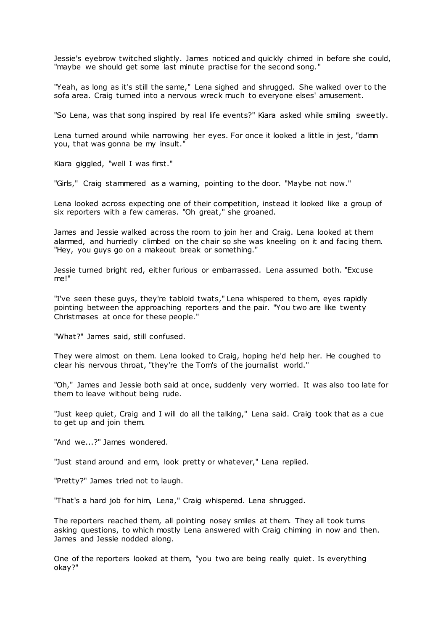Jessie's eyebrow twitched slightly. James noticed and quickly chimed in before she could, "maybe we should get some last minute practise for the second song. "

"Yeah, as long as it's still the same," Lena sighed and shrugged. She walked over to the sofa area. Craig turned into a nervous wreck much to everyone elses' amusement.

"So Lena, was that song inspired by real life events?" Kiara asked while smiling sweetly.

Lena turned around while narrowing her eyes. For once it looked a little in jest, "damn you, that was gonna be my insult."

Kiara giggled, "well I was first."

"Girls," Craig stammered as a warning, pointing to the door. "Maybe not now."

Lena looked across expecting one of their competition, instead it looked like a group of six reporters with a few cameras. "Oh great," she groaned.

James and Jessie walked across the room to join her and Craig. Lena looked at them alarmed, and hurriedly climbed on the chair so she was kneeling on it and facing them. "Hey, you guys go on a makeout break or something."

Jessie turned bright red, either furious or embarrassed. Lena assumed both. "Excuse me!"

"I've seen these guys, they're tabloid twats," Lena whispered to them, eyes rapidly pointing between the approaching reporters and the pair. "You two are like twenty Christmases at once for these people."

"What?" James said, still confused.

They were almost on them. Lena looked to Craig, hoping he'd help her. He coughed to clear his nervous throat, "they're the Tom's of the journalist world."

"Oh," James and Jessie both said at once, suddenly very worried. It was also too late for them to leave without being rude.

"Just keep quiet, Craig and I will do all the talking," Lena said. Craig took that as a cue to get up and join them.

"And we...?" James wondered.

"Just stand around and erm, look pretty or whatever," Lena replied.

"Pretty?" James tried not to laugh.

"That's a hard job for him, Lena," Craig whispered. Lena shrugged.

The reporters reached them, all pointing nosey smiles at them. They all took turns asking questions, to which mostly Lena answered with Craig chiming in now and then. James and Jessie nodded along.

One of the reporters looked at them, "you two are being really quiet. Is everything okay?"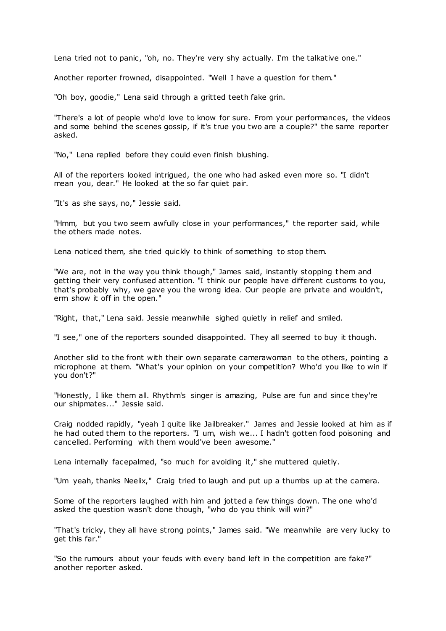Lena tried not to panic, "oh, no. They're very shy actually. I'm the talkative one."

Another reporter frowned, disappointed. "Well I have a question for them."

"Oh boy, goodie," Lena said through a gritted teeth fake grin.

"There's a lot of people who'd love to know for sure. From your performances, the videos and some behind the scenes gossip, if it's true you two are a couple?" the same reporter asked.

"No," Lena replied before they could even finish blushing.

All of the reporters looked intrigued, the one who had asked even more so. "I didn't mean you, dear." He looked at the so far quiet pair.

"It's as she says, no," Jessie said.

"Hmm, but you two seem awfully close in your performances," the reporter said, while the others made notes.

Lena noticed them, she tried quickly to think of something to stop them.

"We are, not in the way you think though," James said, instantly stopping t hem and getting their very confused attention. "I think our people have different customs to you, that's probably why, we gave you the wrong idea. Our people are private and wouldn't, erm show it off in the open."

"Right, that," Lena said. Jessie meanwhile sighed quietly in relief and smiled.

"I see," one of the reporters sounded disappointed. They all seemed to buy it though.

Another slid to the front with their own separate camerawoman to the others, pointing a microphone at them. "What's your opinion on your competition? Who'd you like to win if you don't?"

"Honestly, I like them all. Rhythm's singer is amazing, Pulse are fun and since they're our shipmates..." Jessie said.

Craig nodded rapidly, "yeah I quite like Jailbreaker." James and Jessie looked at him as if he had outed them to the reporters. "I um, wish we... I hadn't gotten food poisoning and cancelled. Performing with them would've been awesome."

Lena internally facepalmed, "so much for avoiding it," she muttered quietly.

"Um yeah, thanks Neelix," Craig tried to laugh and put up a thumbs up at the camera.

Some of the reporters laughed with him and jotted a few things down. The one who'd asked the question wasn't done though, "who do you think will win?"

"That's tricky, they all have strong points," James said. "We meanwhile are very lucky to get this far."

"So the rumours about your feuds with every band left in the competition are fake?" another reporter asked.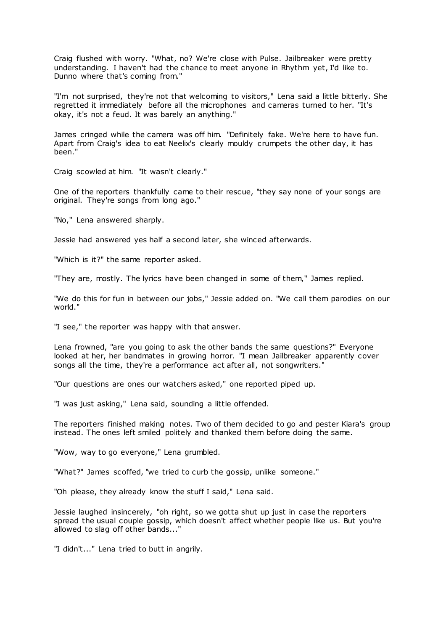Craig flushed with worry. "What, no? We're close with Pulse. Jailbreaker were pretty understanding. I haven't had the chance to meet anyone in Rhythm yet, I'd like to. Dunno where that's coming from."

"I'm not surprised, they're not that welcoming to visitors," Lena said a little bitterly. She regretted it immediately before all the microphones and cameras turned to her. "It's okay, it's not a feud. It was barely an anything."

James cringed while the camera was off him. "Definitely fake. We're here to have fun. Apart from Craig's idea to eat Neelix's clearly mouldy crumpets the other day, it has been."

Craig scowled at him. "It wasn't clearly."

One of the reporters thankfully came to their rescue, "they say none of your songs are original. They're songs from long ago."

"No," Lena answered sharply.

Jessie had answered yes half a second later, she winced afterwards.

"Which is it?" the same reporter asked.

"They are, mostly. The lyrics have been changed in some of them," James replied.

"We do this for fun in between our jobs," Jessie added on. "We call them parodies on our world."

"I see," the reporter was happy with that answer.

Lena frowned, "are you going to ask the other bands the same questions?" Everyone looked at her, her bandmates in growing horror. "I mean Jailbreaker apparently cover songs all the time, they're a performance act after all, not songwriters."

"Our questions are ones our watchers asked," one reported piped up.

"I was just asking," Lena said, sounding a little offended.

The reporters finished making notes. Two of them decided to go and pester Kiara's group instead. The ones left smiled politely and thanked them before doing the same.

"Wow, way to go everyone," Lena grumbled.

"What?" James scoffed, "we tried to curb the gossip, unlike someone."

"Oh please, they already know the stuff I said," Lena said.

Jessie laughed insincerely, "oh right, so we gotta shut up just in case the reporters spread the usual couple gossip, which doesn't affect whether people like us. But you're allowed to slag off other bands..."

"I didn't..." Lena tried to butt in angrily.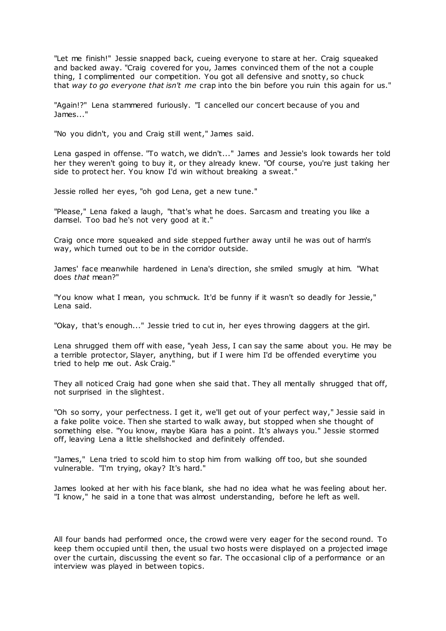"Let me finish!" Jessie snapped back, cueing everyone to stare at her. Craig squeaked and backed away. "Craig covered for you, James convinced them of the not a couple thing, I complimented our competition. You got all defensive and snotty, so chuck that *way to go everyone that isn't me* crap into the bin before you ruin this again for us."

"Again!?" Lena stammered furiously. "I cancelled our concert because of you and James..."

"No you didn't, you and Craig still went," James said.

Lena gasped in offense. "To watch, we didn't..." James and Jessie's look towards her told her they weren't going to buy it, or they already knew. "Of course, you're just taking her side to protect her. You know I'd win without breaking a sweat."

Jessie rolled her eyes, "oh god Lena, get a new tune."

"Please," Lena faked a laugh, "that's what he does. Sarcasm and treating you like a damsel. Too bad he's not very good at it."

Craig once more squeaked and side stepped further away until he was out of harm's way, which turned out to be in the corridor outside.

James' face meanwhile hardened in Lena's direction, she smiled smugly at him. "What does *that* mean?"

"You know what I mean, you schmuck. It'd be funny if it wasn't so deadly for Jessie," Lena said.

"Okay, that's enough..." Jessie tried to cut in, her eyes throwing daggers at the girl.

Lena shrugged them off with ease, "yeah Jess, I can say the same about you. He may be a terrible protector, Slayer, anything, but if I were him I'd be offended everytime you tried to help me out. Ask Craig."

They all noticed Craig had gone when she said that. They all mentally shrugged that off, not surprised in the slightest.

"Oh so sorry, your perfectness. I get it, we'll get out of your perfect way," Jessie said in a fake polite voice. Then she started to walk away, but stopped when she thought of something else. "You know, maybe Kiara has a point. It's always you." Jessie stormed off, leaving Lena a little shellshocked and definitely offended.

"James," Lena tried to scold him to stop him from walking off too, but she sounded vulnerable. "I'm trying, okay? It's hard."

James looked at her with his face blank, she had no idea what he was feeling about her. "I know," he said in a tone that was almost understanding, before he left as well.

All four bands had performed once, the crowd were very eager for the second round. To keep them occupied until then, the usual two hosts were displayed on a projected image over the curtain, discussing the event so far. The occasional clip of a performance or an interview was played in between topics.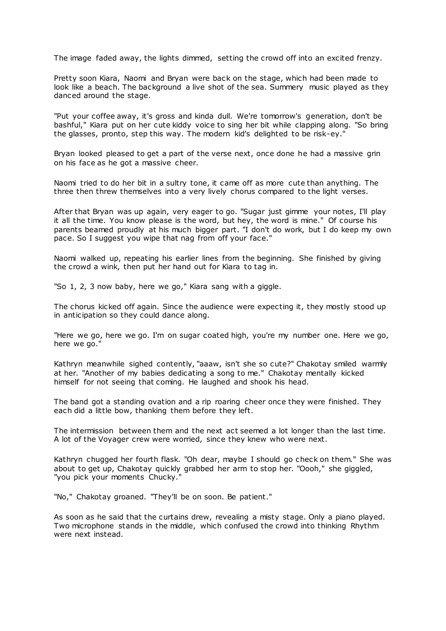The image faded away, the lights dimmed, setting the crowd off into an excited frenzy.

Pretty soon Kiara, Naomi and Bryan were back on the stage, which had been made to look like a beach. The background a live shot of the sea. Summery music played as they danced around the stage.

"Put your coffee away, it's gross and kinda dull. We're tomorrow's generation, don't be bashful," Kiara put on her cute kiddy voice to sing her bit while clapping along. "So bring the glasses, pronto, step this way. The modern kid's delighted to be risk-ey."

Bryan looked pleased to get a part of the verse next, once done he had a massive grin on his face as he got a massive cheer.

Naomi tried to do her bit in a sultry tone, it came off as more cute than anything. The three then threw themselves into a very lively chorus compared to the light verses.

After that Bryan was up again, very eager to go. "Sugar just gimme your notes, I'll play it all the time. You know please is the word, but hey, the word is mine." Of course his parents beamed proudly at his much bigger part. "I don't do work, but I do keep my own pace. So I suggest you wipe that nag from off your face."

Naomi walked up, repeating his earlier lines from the beginning. She finished by giving the crowd a wink, then put her hand out for Kiara to tag in.

"So 1, 2, 3 now baby, here we go," Kiara sang with a giggle.

The chorus kicked off again. Since the audience were expecting it, they mostly stood up in anticipation so they could dance along.

"Here we go, here we go. I'm on sugar coated high, you're my number one. Here we go, here we go."

Kathryn meanwhile sighed contently, "aaaw, isn't she so cute?" Chakotay smiled warmly at her. "Another of my babies dedicating a song to me." Chakotay mentally kicked himself for not seeing that coming. He laughed and shook his head.

The band got a standing ovation and a rip roaring cheer once they were finished. They each did a little bow, thanking them before they left.

The intermission between them and the next act seemed a lot longer than the last time. A lot of the Voyager crew were worried, since they knew who were next.

Kathryn chugged her fourth flask. "Oh dear, maybe I should go check on them." She was about to get up, Chakotay quickly grabbed her arm to stop her. "Oooh," she giggled, "you pick your moments Chucky."

"No," Chakotay groaned. "They'll be on soon. Be patient."

As soon as he said that the curtains drew, revealing a misty stage. Only a piano played. Two microphone stands in the middle, which confused the crowd into thinking Rhythm were next instead.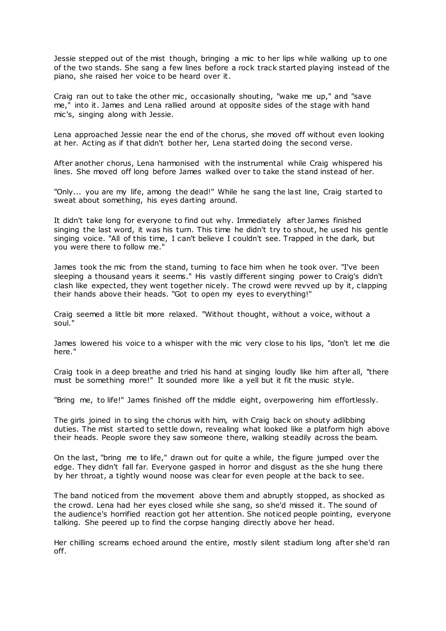Jessie stepped out of the mist though, bringing a mic to her lips while walking up to one of the two stands. She sang a few lines before a rock track started playing instead of the piano, she raised her voice to be heard over it.

Craig ran out to take the other mic, occasionally shouting, "wake me up," and "save me," into it. James and Lena rallied around at opposite sides of the stage with hand mic's, singing along with Jessie.

Lena approached Jessie near the end of the chorus, she moved off without even looking at her. Acting as if that didn't bother her, Lena started doing the second verse.

After another chorus, Lena harmonised with the instrumental while Craig whispered his lines. She moved off long before James walked over to take the stand instead of her.

"Only... you are my life, among the dead!" While he sang the last line, Craig started to sweat about something, his eyes darting around.

It didn't take long for everyone to find out why. Immediately after James finished singing the last word, it was his turn. This time he didn't try to shout, he used his gentle singing voice. "All of this time, I can't believe I couldn't see. Trapped in the dark, but you were there to follow me."

James took the mic from the stand, turning to face him when he took over. "I've been sleeping a thousand years it seems." His vastly different singing power to Craig's didn't clash like expected, they went together nicely. The crowd were revved up by it, clapping their hands above their heads. "Got to open my eyes to everything!"

Craig seemed a little bit more relaxed. "Without thought, without a voice, without a soul."

James lowered his voice to a whisper with the mic very close to his lips, "don't let me die here."

Craig took in a deep breathe and tried his hand at singing loudly like him after all, "there must be something more!" It sounded more like a yell but it fit the music style.

"Bring me, to life!" James finished off the middle eight, overpowering him effortlessly.

The girls joined in to sing the chorus with him, with Craig back on shouty adlibbing duties. The mist started to settle down, revealing what looked like a platform high above their heads. People swore they saw someone there, walking steadily across the beam.

On the last, "bring me to life," drawn out for quite a while, the figure jumped over the edge. They didn't fall far. Everyone gasped in horror and disgust as the she hung there by her throat, a tightly wound noose was clear for even people at the back to see.

The band noticed from the movement above them and abruptly stopped, as shocked as the crowd. Lena had her eyes closed while she sang, so she'd missed it. The sound of the audience's horrified reaction got her attention. She noticed people pointing, everyone talking. She peered up to find the corpse hanging directly above her head.

Her chilling screams echoed around the entire, mostly silent stadium long after she'd ran off.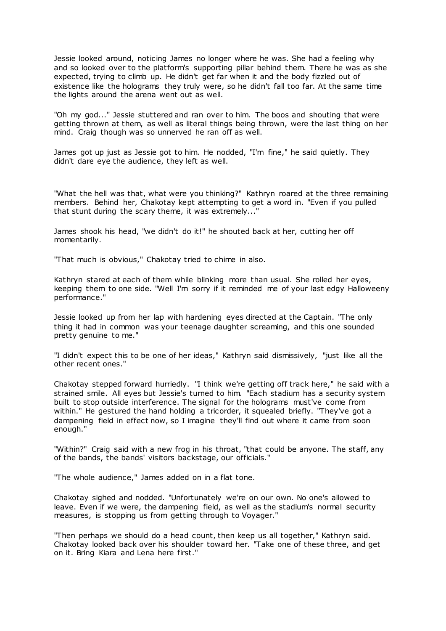Jessie looked around, noticing James no longer where he was. She had a feeling why and so looked over to the platform's supporting pillar behind them. There he was as she expected, trying to climb up. He didn't get far when it and the body fizzled out of existence like the holograms they truly were, so he didn't fall too far. At the same time the lights around the arena went out as well.

"Oh my god..." Jessie stuttered and ran over to him. The boos and shouting that were getting thrown at them, as well as literal things being thrown, were the last thing on her mind. Craig though was so unnerved he ran off as well.

James got up just as Jessie got to him. He nodded, "I'm fine," he said quietly. They didn't dare eye the audience, they left as well.

"What the hell was that, what were you thinking?" Kathryn roared at the three remaining members. Behind her, Chakotay kept attempting to get a word in. "Even if you pulled that stunt during the scary theme, it was extremely..."

James shook his head, "we didn't do it!" he shouted back at her, cutting her off momentarily.

"That much is obvious," Chakotay tried to chime in also.

Kathryn stared at each of them while blinking more than usual. She rolled her eyes, keeping them to one side. "Well I'm sorry if it reminded me of your last edgy Halloweeny performance."

Jessie looked up from her lap with hardening eyes directed at the Captain. "The only thing it had in common was your teenage daughter screaming, and this one sounded pretty genuine to me."

"I didn't expect this to be one of her ideas," Kathryn said dismissively, "just like all the other recent ones."

Chakotay stepped forward hurriedly. "I think we're getting off track here," he said with a strained smile. All eyes but Jessie's turned to him. "Each stadium has a security system built to stop outside interference. The signal for the holograms must've come from within." He gestured the hand holding a tricorder, it squealed briefly. "They've got a dampening field in effect now, so I imagine they'll find out where it came from soon enough."

"Within?" Craig said with a new frog in his throat, "that could be anyone. The staff, any of the bands, the bands' visitors backstage, our officials."

"The whole audience," James added on in a flat tone.

Chakotay sighed and nodded. "Unfortunately we're on our own. No one's allowed to leave. Even if we were, the dampening field, as well as the stadium's normal security measures, is stopping us from getting through to Voyager."

"Then perhaps we should do a head count, then keep us all together," Kathryn said. Chakotay looked back over his shoulder toward her. "Take one of these three, and get on it. Bring Kiara and Lena here first."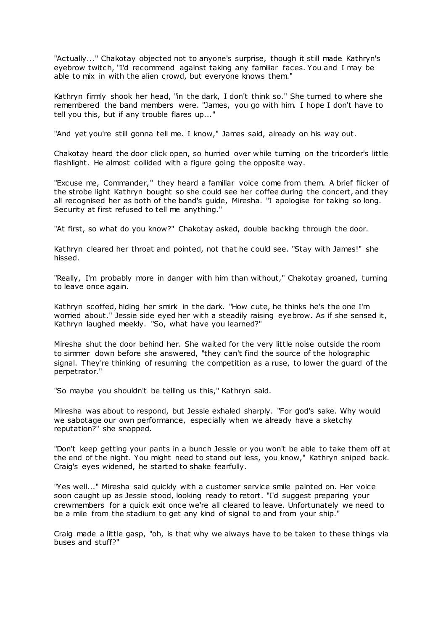"Actually..." Chakotay objected not to anyone's surprise, though it still made Kathryn's eyebrow twitch, "I'd recommend against taking any familiar faces. You and I may be able to mix in with the alien crowd, but everyone knows them."

Kathryn firmly shook her head, "in the dark, I don't think so." She turned to where she remembered the band members were. "James, you go with him. I hope I don't have to tell you this, but if any trouble flares up..."

"And yet you're still gonna tell me. I know," James said, already on his way out.

Chakotay heard the door click open, so hurried over while turning on the tricorder's little flashlight. He almost collided with a figure going the opposite way.

"Excuse me, Commander," they heard a familiar voice come from them. A brief flicker of the strobe light Kathryn bought so she could see her coffee during the concert, and they all recognised her as both of the band's guide, Miresha. "I apologise for taking so long. Security at first refused to tell me anything."

"At first, so what do you know?" Chakotay asked, double backing through the door.

Kathryn cleared her throat and pointed, not that he could see. "Stay with James!" she hissed.

"Really, I'm probably more in danger with him than without," Chakotay groaned, turning to leave once again.

Kathryn scoffed, hiding her smirk in the dark. "How cute, he thinks he's the one I'm worried about." Jessie side eyed her with a steadily raising eyebrow. As if she sensed it, Kathryn laughed meekly. "So, what have you learned?"

Miresha shut the door behind her. She waited for the very little noise outside the room to simmer down before she answered, "they can't find the source of the holographic signal. They're thinking of resuming the competition as a ruse, to lower the guard of the perpetrator."

"So maybe you shouldn't be telling us this," Kathryn said.

Miresha was about to respond, but Jessie exhaled sharply. "For god's sake. Why would we sabotage our own performance, especially when we already have a sketchy reputation?" she snapped.

"Don't keep getting your pants in a bunch Jessie or you won't be able to take them off at the end of the night. You might need to stand out less, you know," Kathryn sniped back. Craig's eyes widened, he started to shake fearfully.

"Yes well..." Miresha said quickly with a customer service smile painted on. Her voice soon caught up as Jessie stood, looking ready to retort. "I'd suggest preparing your crewmembers for a quick exit once we're all cleared to leave. Unfortunately we need to be a mile from the stadium to get any kind of signal to and from your ship."

Craig made a little gasp, "oh, is that why we always have to be taken to these things via buses and stuff?"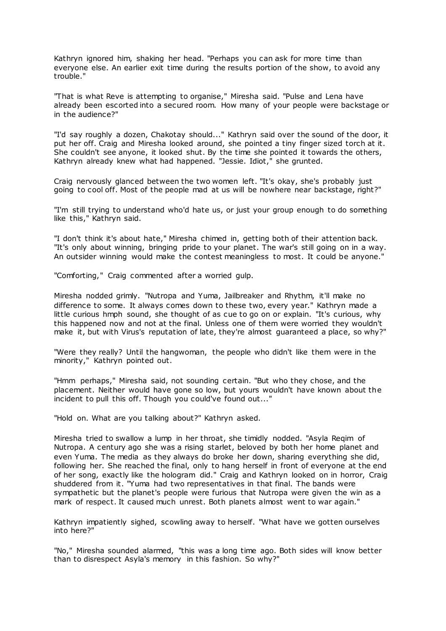Kathryn ignored him, shaking her head. "Perhaps you can ask for more time than everyone else. An earlier exit time during the results portion of the show, to avoid any trouble."

"That is what Reve is attempting to organise," Miresha said. "Pulse and Lena have already been escorted into a secured room. How many of your people were backstage or in the audience?"

"I'd say roughly a dozen, Chakotay should..." Kathryn said over the sound of the door, it put her off. Craig and Miresha looked around, she pointed a tiny finger sized torch at it. She couldn't see anyone, it looked shut. By the time she pointed it towards the others, Kathryn already knew what had happened. "Jessie. Idiot," she grunted.

Craig nervously glanced between the two women left. "It's okay, she's probably just going to cool off. Most of the people mad at us will be nowhere near backstage, right?"

"I'm still trying to understand who'd hate us, or just your group enough to do something like this," Kathryn said.

"I don't think it's about hate," Miresha chimed in, getting both of their attention back. "It's only about winning, bringing pride to your planet. The war's still going on in a way. An outsider winning would make the contest meaningless to most. It could be anyone."

"Comforting," Craig commented after a worried gulp.

Miresha nodded grimly. "Nutropa and Yuma, Jailbreaker and Rhythm, it'll make no difference to some. It always comes down to these two, every year." Kathryn made a little curious hmph sound, she thought of as cue to go on or explain. "It's curious, why this happened now and not at the final. Unless one of them were worried they wouldn't make it, but with Virus's reputation of late, they're almost guaranteed a place, so why?"

"Were they really? Until the hangwoman, the people who didn't like them were in the minority," Kathryn pointed out.

"Hmm perhaps," Miresha said, not sounding certain. "But who they chose, and the placement. Neither would have gone so low, but yours wouldn't have known about the incident to pull this off. Though you could've found out..."

"Hold on. What are you talking about?" Kathryn asked.

Miresha tried to swallow a lump in her throat, she timidly nodded. "Asyla Reqim of Nutropa. A century ago she was a rising starlet, beloved by both her home planet and even Yuma. The media as they always do broke her down, sharing everything she did, following her. She reached the final, only to hang herself in front of everyone at the end of her song, exactly like the hologram did." Craig and Kathryn looked on in horror, Craig shuddered from it. "Yuma had two representatives in that final. The bands were sympathetic but the planet's people were furious that Nutropa were given the win as a mark of respect. It caused much unrest. Both planets almost went to war again."

Kathryn impatiently sighed, scowling away to herself. "What have we gotten ourselves into here?"

"No," Miresha sounded alarmed, "this was a long time ago. Both sides will know better than to disrespect Asyla's memory in this fashion. So why?"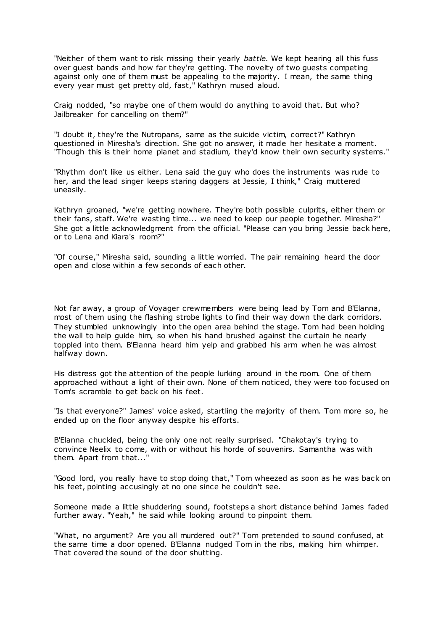"Neither of them want to risk missing their yearly *battle.* We kept hearing all this fuss over guest bands and how far they're getting. The novelty of two guests competing against only one of them must be appealing to the majority. I mean, the same thing every year must get pretty old, fast," Kathryn mused aloud.

Craig nodded, "so maybe one of them would do anything to avoid that. But who? Jailbreaker for cancelling on them?"

"I doubt it, they're the Nutropans, same as the suicide victim, correct?" Kathryn questioned in Miresha's direction. She got no answer, it made her hesitate a moment. "Though this is their home planet and stadium, they'd know their own security systems."

"Rhythm don't like us either. Lena said the guy who does the instruments was rude to her, and the lead singer keeps staring daggers at Jessie, I think," Craig muttered uneasily.

Kathryn groaned, "we're getting nowhere. They're both possible culprits, either them or their fans, staff. We're wasting time... we need to keep our people together. Miresha?" She got a little acknowledgment from the official. "Please can you bring Jessie back here, or to Lena and Kiara's room?"

"Of course," Miresha said, sounding a little worried. The pair remaining heard the door open and close within a few seconds of each other.

Not far away, a group of Voyager crewmembers were being lead by Tom and B'Elanna, most of them using the flashing strobe lights to find their way down the dark corridors. They stumbled unknowingly into the open area behind the stage. Tom had been holding the wall to help guide him, so when his hand brushed against the curtain he nearly toppled into them. B'Elanna heard him yelp and grabbed his arm when he was almost halfway down.

His distress got the attention of the people lurking around in the room. One of them approached without a light of their own. None of them noticed, they were too focused on Tom's scramble to get back on his feet.

"Is that everyone?" James' voice asked, startling the majority of them. Tom more so, he ended up on the floor anyway despite his efforts.

B'Elanna chuckled, being the only one not really surprised. "Chakotay's trying to convince Neelix to come, with or without his horde of souvenirs. Samantha was with them. Apart from that..."

"Good lord, you really have to stop doing that," Tom wheezed as soon as he was back on his feet, pointing accusingly at no one since he couldn't see.

Someone made a little shuddering sound, footsteps a short distance behind James faded further away. "Yeah," he said while looking around to pinpoint them.

"What, no argument? Are you all murdered out?" Tom pretended to sound confused, at the same time a door opened. B'Elanna nudged Tom in the ribs, making him whimper. That covered the sound of the door shutting.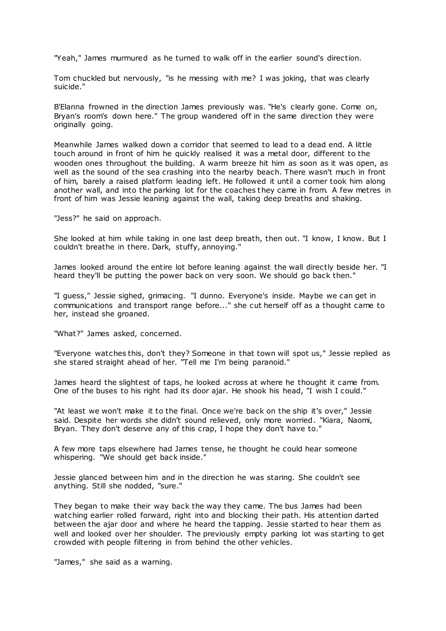"Yeah," James murmured as he turned to walk off in the earlier sound's direction.

Tom chuckled but nervously, "is he messing with me? I was joking, that was clearly suicide."

B'Elanna frowned in the direction James previously was. "He's clearly gone. Come on, Bryan's room's down here." The group wandered off in the same direction they were originally going.

Meanwhile James walked down a corridor that seemed to lead to a dead end. A little touch around in front of him he quickly realised it was a metal door, different to the wooden ones throughout the building. A warm breeze hit him as soon as it was open, as well as the sound of the sea crashing into the nearby beach. There wasn't much in front of him, barely a raised platform leading left. He followed it until a corner took him along another wall, and into the parking lot for the coaches they came in from. A few metres in front of him was Jessie leaning against the wall, taking deep breaths and shaking.

"Jess?" he said on approach.

She looked at him while taking in one last deep breath, then out. "I know, I know. But I couldn't breathe in there. Dark, stuffy, annoying."

James looked around the entire lot before leaning against the wall directly beside her. "I heard they'll be putting the power back on very soon. We should go back then."

"I guess," Jessie sighed, grimacing. "I dunno. Everyone's inside. Maybe we can get in communications and transport range before..." she cut herself off as a thought came to her, instead she groaned.

"What?" James asked, concerned.

"Everyone watches this, don't they? Someone in that town will spot us," Jessie replied as she stared straight ahead of her. "Tell me I'm being paranoid."

James heard the slightest of taps, he looked across at where he thought it came from. One of the buses to his right had its door ajar. He shook his head, "I wish I could."

"At least we won't make it to the final. Once we're back on the ship it's over," Jessie said. Despite her words she didn't sound relieved, only more worried. "Kiara, Naomi, Bryan. They don't deserve any of this crap, I hope they don't have to."

A few more taps elsewhere had James tense, he thought he could hear someone whispering. "We should get back inside."

Jessie glanced between him and in the direction he was staring. She couldn't see anything. Still she nodded, "sure."

They began to make their way back the way they came. The bus James had been watching earlier rolled forward, right into and blocking their path. His attention darted between the ajar door and where he heard the tapping. Jessie started to hear them as well and looked over her shoulder. The previously empty parking lot was starting to get crowded with people filtering in from behind the other vehicles.

"James," she said as a warning.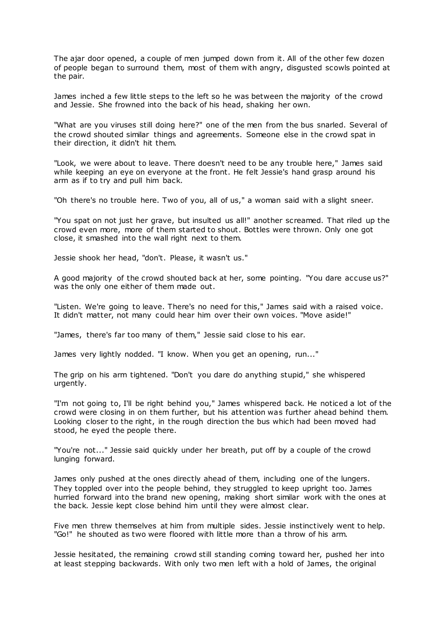The ajar door opened, a couple of men jumped down from it. All of the other few dozen of people began to surround them, most of them with angry, disgusted scowls pointed at the pair.

James inched a few little steps to the left so he was between the majority of the crowd and Jessie. She frowned into the back of his head, shaking her own.

"What are you viruses still doing here?" one of the men from the bus snarled. Several of the crowd shouted similar things and agreements. Someone else in the crowd spat in their direction, it didn't hit them.

"Look, we were about to leave. There doesn't need to be any trouble here," James said while keeping an eye on everyone at the front. He felt Jessie's hand grasp around his arm as if to try and pull him back.

"Oh there's no trouble here. Two of you, all of us," a woman said with a slight sneer.

"You spat on not just her grave, but insulted us all!" another screamed. That riled up the crowd even more, more of them started to shout. Bottles were thrown. Only one got close, it smashed into the wall right next to them.

Jessie shook her head, "don't. Please, it wasn't us."

A good majority of the crowd shouted back at her, some pointing. "You dare accuse us?" was the only one either of them made out.

"Listen. We're going to leave. There's no need for this," James said with a raised voice. It didn't matter, not many could hear him over their own voices. "Move aside!"

"James, there's far too many of them," Jessie said close to his ear.

James very lightly nodded. "I know. When you get an opening, run..."

The grip on his arm tightened. "Don't you dare do anything stupid," she whispered urgently.

"I'm not going to, I'll be right behind you," James whispered back. He noticed a lot of the crowd were closing in on them further, but his attention was further ahead behind them. Looking closer to the right, in the rough direction the bus which had been moved had stood, he eyed the people there.

"You're not..." Jessie said quickly under her breath, put off by a couple of the crowd lunging forward.

James only pushed at the ones directly ahead of them, including one of the lungers. They toppled over into the people behind, they struggled to keep upright too. James hurried forward into the brand new opening, making short similar work with the ones at the back. Jessie kept close behind him until they were almost clear.

Five men threw themselves at him from multiple sides. Jessie instinctively went to help. "Go!" he shouted as two were floored with little more than a throw of his arm.

Jessie hesitated, the remaining crowd still standing coming toward her, pushed her into at least stepping backwards. With only two men left with a hold of James, the original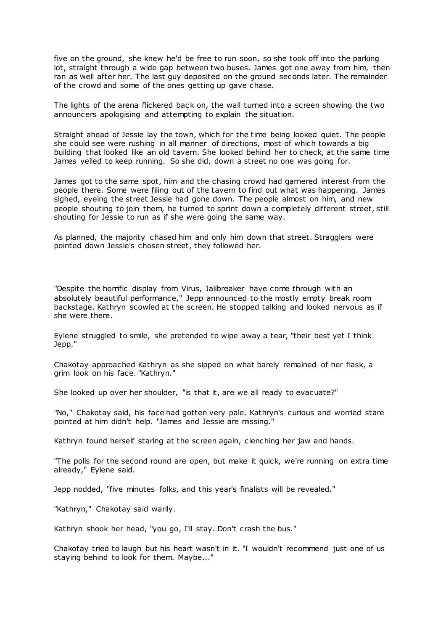five on the ground, she knew he'd be free to run soon, so she took off into the parking lot, straight through a wide gap between two buses. James got one away from him, then ran as well after her. The last guy deposited on the ground seconds later. The remainder of the crowd and some of the ones getting up gave chase.

The lights of the arena flickered back on, the wall turned into a screen showing the two announcers apologising and attempting to explain the situation.

Straight ahead of Jessie lay the town, which for the time being looked quiet. The people she could see were rushing in all manner of directions, most of which towards a big building that looked like an old tavern. She looked behind her to check, at the same time James yelled to keep running. So she did, down a street no one was going for.

James got to the same spot, him and the chasing crowd had garnered interest from the people there. Some were filing out of the tavern to find out what was happening. James sighed, eyeing the street Jessie had gone down. The people almost on him, and new people shouting to join them, he turned to sprint down a completely different street, still shouting for Jessie to run as if she were going the same way.

As planned, the majority chased him and only him down that street. Stragglers were pointed down Jessie's chosen street, they followed her.

"Despite the horrific display from Virus, Jailbreaker have come through with an absolutely beautiful performance," Jepp announced to the mostly empty break room backstage. Kathryn scowled at the screen. He stopped talking and looked nervous as if she were there.

Eylene struggled to smile, she pretended to wipe away a tear, "their best yet I think Jepp."

Chakotay approached Kathryn as she sipped on what barely remained of her flask, a grim look on his face. "Kathryn."

She looked up over her shoulder, "is that it, are we all ready to evacuate?"

"No," Chakotay said, his face had gotten very pale. Kathryn's curious and worried stare pointed at him didn't help. "James and Jessie are missing."

Kathryn found herself staring at the screen again, clenching her jaw and hands.

"The polls for the second round are open, but make it quick, we're running on extra time already," Eylene said.

Jepp nodded, "five minutes folks, and this year's finalists will be revealed."

"Kathryn," Chakotay said warily.

Kathryn shook her head, "you go, I'll stay. Don't crash the bus."

Chakotay tried to laugh but his heart wasn't in it. "I wouldn't recommend just one of us staying behind to look for them. Maybe..."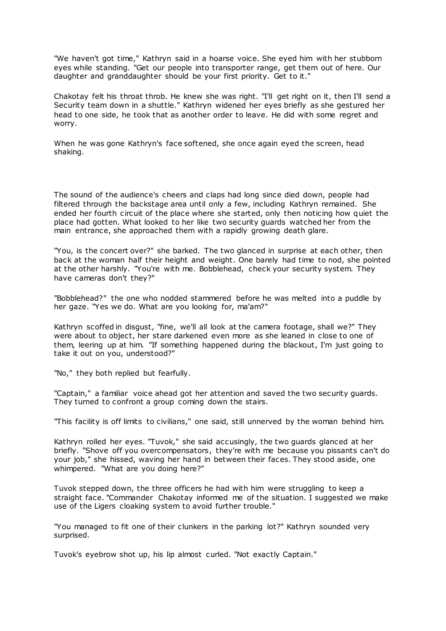"We haven't got time," Kathryn said in a hoarse voice. She eyed him with her stubborn eyes while standing. "Get our people into transporter range, get them out of here. Our daughter and granddaughter should be your first priority. Get to it."

Chakotay felt his throat throb. He knew she was right. "I'll get right on it, then I'll send a Security team down in a shuttle." Kathryn widened her eyes briefly as she gestured her head to one side, he took that as another order to leave. He did with some regret and worry.

When he was gone Kathryn's face softened, she once again eyed the screen, head shaking.

The sound of the audience's cheers and claps had long since died down, people had filtered through the backstage area until only a few, including Kathryn remained. She ended her fourth circuit of the place where she started, only then noticing how quiet the place had gotten. What looked to her like two security guards watched her from the main entrance, she approached them with a rapidly growing death glare.

"You, is the concert over?" she barked. The two glanced in surprise at each other, then back at the woman half their height and weight. One barely had time to nod, she pointed at the other harshly. "You're with me. Bobblehead, check your security system. They have cameras don't they?"

"Bobblehead?" the one who nodded stammered before he was melted into a puddle by her gaze. "Yes we do. What are you looking for, ma'am?"

Kathryn scoffed in disgust, "fine, we'll all look at the camera footage, shall we?" They were about to object, her stare darkened even more as she leaned in close to one of them, leering up at him. "If something happened during the blackout, I'm just going to take it out on you, understood?"

"No," they both replied but fearfully.

"Captain," a familiar voice ahead got her attention and saved the two security guards. They turned to confront a group coming down the stairs.

"This facility is off limits to civilians," one said, still unnerved by the woman behind him.

Kathryn rolled her eyes. "Tuvok," she said accusingly, the two guards glanced at her briefly. "Shove off you overcompensators, they're with me because you pissants can't do your job," she hissed, waving her hand in between their faces. They stood aside, one whimpered. "What are you doing here?"

Tuvok stepped down, the three officers he had with him were struggling to keep a straight face. "Commander Chakotay informed me of the situation. I suggested we make use of the Ligers cloaking system to avoid further trouble."

"You managed to fit one of their clunkers in the parking lot?" Kathryn sounded very surprised.

Tuvok's eyebrow shot up, his lip almost curled. "Not exactly Captain."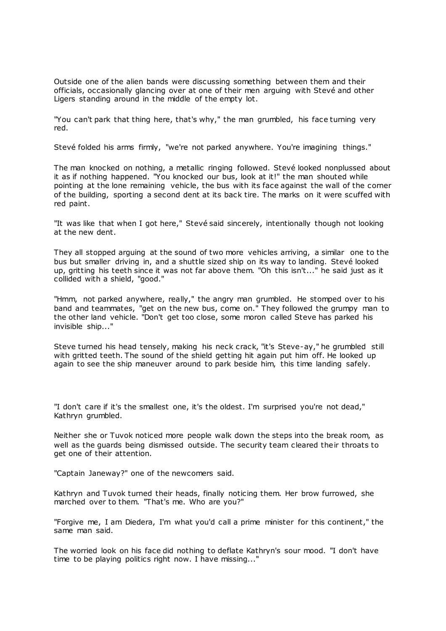Outside one of the alien bands were discussing something between them and their officials, occasionally glancing over at one of their men arguing with Stevé and other Ligers standing around in the middle of the empty lot.

"You can't park that thing here, that's why," the man grumbled, his face turning very red.

Stevé folded his arms firmly, "we're not parked anywhere. You're imagining things."

The man knocked on nothing, a metallic ringing followed. Stevé looked nonplussed about it as if nothing happened. "You knocked our bus, look at it!" the man shouted while pointing at the lone remaining vehicle, the bus with its face against the wall of the corner of the building, sporting a second dent at its back tire. The marks on it were scuffed with red paint.

"It was like that when I got here," Stevé said sincerely, intentionally though not looking at the new dent.

They all stopped arguing at the sound of two more vehicles arriving, a similar one to the bus but smaller driving in, and a shuttle sized ship on its way to landing. Stevé looked up, gritting his teeth since it was not far above them. "Oh this isn't..." he said just as it collided with a shield, "good."

"Hmm, not parked anywhere, really," the angry man grumbled. He stomped over to his band and teammates, "get on the new bus, come on." They followed the grumpy man to the other land vehicle. "Don't get too close, some moron called Steve has parked his invisible ship..."

Steve turned his head tensely, making his neck crack, "it's Steve-ay," he grumbled still with gritted teeth. The sound of the shield getting hit again put him off. He looked up again to see the ship maneuver around to park beside him, this time landing safely.

"I don't care if it's the smallest one, it's the oldest. I'm surprised you're not dead," Kathryn grumbled.

Neither she or Tuvok noticed more people walk down the steps into the break room, as well as the guards being dismissed outside. The security team cleared their throats to get one of their attention.

"Captain Janeway?" one of the newcomers said.

Kathryn and Tuvok turned their heads, finally noticing them. Her brow furrowed, she marched over to them. "That's me. Who are you?"

"Forgive me, I am Diedera, I'm what you'd call a prime minister for this continent," the same man said.

The worried look on his face did nothing to deflate Kathryn's sour mood. "I don't have time to be playing politics right now. I have missing..."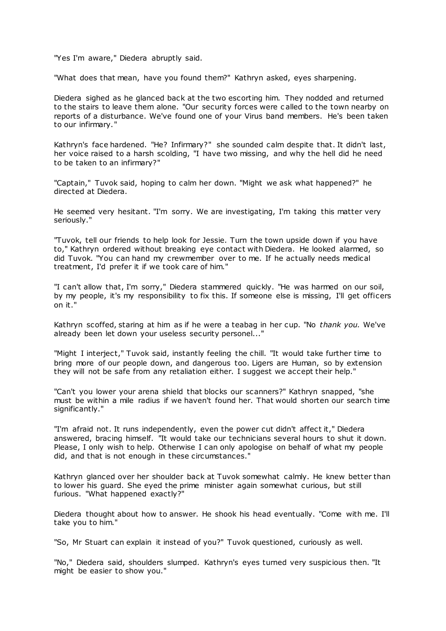"Yes I'm aware," Diedera abruptly said.

"What does that mean, have you found them?" Kathryn asked, eyes sharpening.

Diedera sighed as he glanced back at the two escorting him. They nodded and returned to the stairs to leave them alone. "Our security forces were c alled to the town nearby on reports of a disturbance. We've found one of your Virus band members. He's been taken to our infirmary."

Kathryn's face hardened. "He? Infirmary?" she sounded calm despite that. It didn't last, her voice raised to a harsh scolding, "I have two missing, and why the hell did he need to be taken to an infirmary?"

"Captain," Tuvok said, hoping to calm her down. "Might we ask what happened?" he directed at Diedera.

He seemed very hesitant. "I'm sorry. We are investigating, I'm taking this matter very seriously."

"Tuvok, tell our friends to help look for Jessie. Turn the town upside down if you have to," Kathryn ordered without breaking eye contact with Diedera. He looked alarmed, so did Tuvok. "You can hand my crewmember over to me. If he actually needs medical treatment, I'd prefer it if we took care of him."

"I can't allow that, I'm sorry," Diedera stammered quickly. "He was harmed on our soil, by my people, it's my responsibility to fix this. If someone else is missing, I'll get officers on it."

Kathryn scoffed, staring at him as if he were a teabag in her cup. "No *thank you.* We've already been let down your useless security personel..."

"Might I interject," Tuvok said, instantly feeling the chill. "It would take further time to bring more of our people down, and dangerous too. Ligers are Human, so by extension they will not be safe from any retaliation either. I suggest we accept their help."

"Can't you lower your arena shield that blocks our scanners?" Kathryn snapped, "she must be within a mile radius if we haven't found her. That would shorten our search time significantly."

"I'm afraid not. It runs independently, even the power cut didn't affect it," Diedera answered, bracing himself. "It would take our technicians several hours to shut it down. Please, I only wish to help. Otherwise I can only apologise on behalf of what my people did, and that is not enough in these circumstances."

Kathryn glanced over her shoulder back at Tuvok somewhat calmly. He knew better than to lower his guard. She eyed the prime minister again somewhat curious, but still furious. "What happened exactly?"

Diedera thought about how to answer. He shook his head eventually. "Come with me. I'll take you to him."

"So, Mr Stuart can explain it instead of you?" Tuvok questioned, curiously as well.

"No," Diedera said, shoulders slumped. Kathryn's eyes turned very suspicious then. "It might be easier to show you."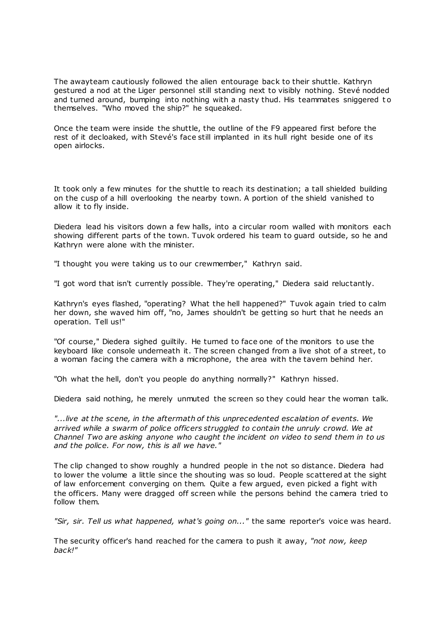The awayteam cautiously followed the alien entourage back to their shuttle. Kathryn gestured a nod at the Liger personnel still standing next to visibly nothing. Stevé nodded and turned around, bumping into nothing with a nasty thud. His teammates sniggered to themselves. "Who moved the ship?" he squeaked.

Once the team were inside the shuttle, the outline of the F9 appeared first before the rest of it decloaked, with Stevé's face still implanted in its hull right beside one of its open airlocks.

It took only a few minutes for the shuttle to reach its destination; a tall shielded building on the cusp of a hill overlooking the nearby town. A portion of the shield vanished to allow it to fly inside.

Diedera lead his visitors down a few halls, into a circular room walled with monitors each showing different parts of the town. Tuvok ordered his team to guard outside, so he and Kathryn were alone with the minister.

"I thought you were taking us to our crewmember," Kathryn said.

"I got word that isn't currently possible. They're operating," Diedera said reluctantly.

Kathryn's eyes flashed, "operating? What the hell happened?" Tuvok again tried to calm her down, she waved him off, "no, James shouldn't be getting so hurt that he needs an operation. Tell us!"

"Of course," Diedera sighed guiltily. He turned to face one of the monitors to use the keyboard like console underneath it. The screen changed from a live shot of a street, to a woman facing the camera with a microphone, the area with the tavern behind her.

"Oh what the hell, don't you people do anything normally?" Kathryn hissed.

Diedera said nothing, he merely unmuted the screen so they could hear the woman talk.

*"...live at the scene, in the aftermath of this unprecedented escalation of events. We arrived while a swarm of police officers struggled to contain the unruly crowd. We at Channel Two are asking anyone who caught the incident on video to send them in to us and the police. For now, this is all we have."*

The clip changed to show roughly a hundred people in the not so distance. Diedera had to lower the volume a little since the shouting was so loud. People scattered at the sight of law enforcement converging on them. Quite a few argued, even picked a fight with the officers. Many were dragged off screen while the persons behind the camera tried to follow them.

*"Sir, sir. Tell us what happened, what's going on..."* the same reporter's voice was heard.

The security officer's hand reached for the camera to push it away, *"not now, keep back!"*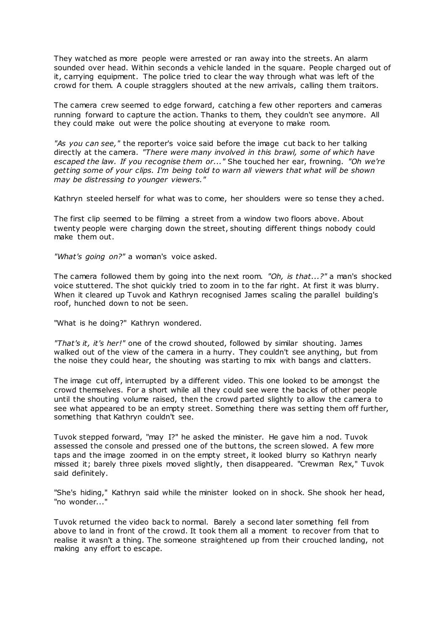They watched as more people were arrested or ran away into the streets. An alarm sounded over head. Within seconds a vehicle landed in the square. People charged out of it, carrying equipment. The police tried to clear the way through what was left of the crowd for them. A couple stragglers shouted at the new arrivals, calling them traitors.

The camera crew seemed to edge forward, catching a few other reporters and cameras running forward to capture the action. Thanks to them, they couldn't see anymore. All they could make out were the police shouting at everyone to make room.

*"As you can see,"* the reporter's voice said before the image cut back to her talking directly at the camera. *"There were many involved in this brawl, some of which have escaped the law. If you recognise them or..."* She touched her ear, frowning. *"Oh we're getting some of your clips. I'm being told to warn all viewers that what will be shown may be distressing to younger viewers."*

Kathryn steeled herself for what was to come, her shoulders were so tense they ached.

The first clip seemed to be filming a street from a window two floors above. About twenty people were charging down the street, shouting different things nobody could make them out.

*"What's going on?"* a woman's voice asked.

The camera followed them by going into the next room. *"Oh, is that...?"* a man's shocked voice stuttered. The shot quickly tried to zoom in to the far right. At first it was blurry. When it cleared up Tuvok and Kathryn recognised James scaling the parallel building's roof, hunched down to not be seen.

"What is he doing?" Kathryn wondered.

*"That's it, it's her!"* one of the crowd shouted, followed by similar shouting. James walked out of the view of the camera in a hurry. They couldn't see anything, but from the noise they could hear, the shouting was starting to mix with bangs and clatters.

The image cut off, interrupted by a different video. This one looked to be amongst the crowd themselves. For a short while all they could see were the backs of other people until the shouting volume raised, then the crowd parted slightly to allow the camera to see what appeared to be an empty street. Something there was setting them off further, something that Kathryn couldn't see.

Tuvok stepped forward, "may I?" he asked the minister. He gave him a nod. Tuvok assessed the console and pressed one of the buttons, the screen slowed. A few more taps and the image zoomed in on the empty street, it looked blurry so Kathryn nearly missed it; barely three pixels moved slightly, then disappeared. "Crewman Rex," Tuvok said definitely.

"She's hiding," Kathryn said while the minister looked on in shock. She shook her head, "no wonder..."

Tuvok returned the video back to normal. Barely a second later something fell from above to land in front of the crowd. It took them all a moment to recover from that to realise it wasn't a thing. The someone straightened up from their crouched landing, not making any effort to escape.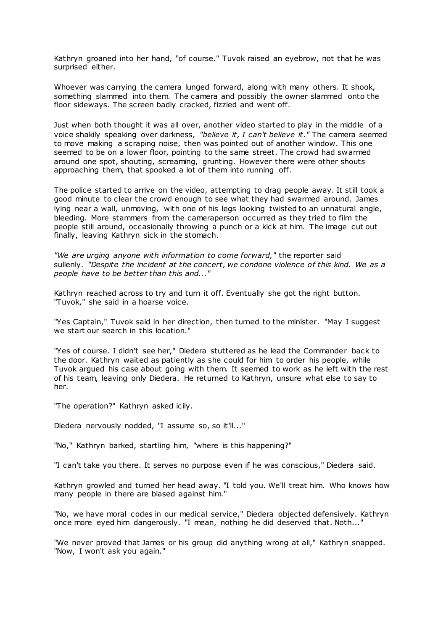Kathryn groaned into her hand, "of course." Tuvok raised an eyebrow, not that he was surprised either.

Whoever was carrying the camera lunged forward, along with many others. It shook, something slammed into them. The camera and possibly the owner slammed onto the floor sideways. The screen badly cracked, fizzled and went off.

Just when both thought it was all over, another video started to play in the middle of a voice shakily speaking over darkness*, "believe it, I can't believe it."* The camera seemed to move making a scraping noise, then was pointed out of another window. This one seemed to be on a lower floor, pointing to the same street. The crowd had swarmed around one spot, shouting, screaming, grunting. However there were other shouts approaching them, that spooked a lot of them into running off.

The police started to arrive on the video, attempting to drag people away. It still took a good minute to clear the crowd enough to see what they had swarmed around. James lying near a wall, unmoving, with one of his legs looking twisted to an unnatural angle, bleeding. More stammers from the cameraperson occurred as they tried to film the people still around, occasionally throwing a punch or a kick at him. The image cut out finally, leaving Kathryn sick in the stomach.

*"We are urging anyone with information to come forward,"* the reporter said sullenly. *"Despite the incident at the concert, we condone violence of this kind. We as a people have to be better than this and..."*

Kathryn reached across to try and turn it off. Eventually she got the right button. "Tuvok," she said in a hoarse voice.

"Yes Captain," Tuvok said in her direction, then turned to the minister. "May I suggest we start our search in this location."

"Yes of course. I didn't see her," Diedera stuttered as he lead the Commander back to the door. Kathryn waited as patiently as she could for him to order his people, while Tuvok argued his case about going with them. It seemed to work as he left with the rest of his team, leaving only Diedera. He returned to Kathryn, unsure what else to say to her.

"The operation?" Kathryn asked icily.

Diedera nervously nodded, "I assume so, so it'll..."

"No," Kathryn barked, startling him, "where is this happening?"

"I can't take you there. It serves no purpose even if he was conscious," Diedera said.

Kathryn growled and turned her head away. "I told you. We'll treat him. Who knows how many people in there are biased against him."

"No, we have moral codes in our medical service," Diedera objected defensively. Kathryn once more eyed him dangerously. "I mean, nothing he did deserved that. Noth..."

"We never proved that James or his group did anything wrong at all," Kathryn snapped. "Now, I won't ask you again."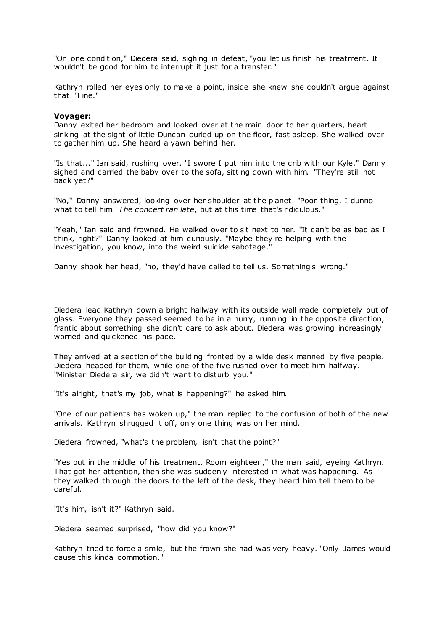"On one condition," Diedera said, sighing in defeat, "you let us finish his treatment. It wouldn't be good for him to interrupt it just for a transfer."

Kathryn rolled her eyes only to make a point, inside she knew she couldn't argue against that. "Fine."

## **Voyager:**

Danny exited her bedroom and looked over at the main door to her quarters, heart sinking at the sight of little Duncan curled up on the floor, fast asleep. She walked over to gather him up. She heard a yawn behind her.

"Is that..." Ian said, rushing over. "I swore I put him into the crib with our Kyle." Danny sighed and carried the baby over to the sofa, sitting down with him. "They're still not back yet?"

"No," Danny answered, looking over her shoulder at the planet. "Poor thing, I dunno what to tell him. *The concert ran late*, but at this time that's ridiculous."

"Yeah," Ian said and frowned. He walked over to sit next to her. "It can't be as bad as I think, right?" Danny looked at him curiously. "Maybe they're helping with the investigation, you know, into the weird suicide sabotage."

Danny shook her head, "no, they'd have called to tell us. Something's wrong."

Diedera lead Kathryn down a bright hallway with its outside wall made completely out of glass. Everyone they passed seemed to be in a hurry, running in the opposite direction, frantic about something she didn't care to ask about. Diedera was growing increasingly worried and quickened his pace.

They arrived at a section of the building fronted by a wide desk manned by five people. Diedera headed for them, while one of the five rushed over to meet him halfway. "Minister Diedera sir, we didn't want to disturb you."

"It's alright, that's my job, what is happening?" he asked him.

"One of our patients has woken up," the man replied to the confusion of both of the new arrivals. Kathryn shrugged it off, only one thing was on her mind.

Diedera frowned, "what's the problem, isn't that the point?"

"Yes but in the middle of his treatment. Room eighteen," the man said, eyeing Kathryn. That got her attention, then she was suddenly interested in what was happening. As they walked through the doors to the left of the desk, they heard him tell them to be careful.

"It's him, isn't it?" Kathryn said.

Diedera seemed surprised, "how did you know?"

Kathryn tried to force a smile, but the frown she had was very heavy. "Only James would cause this kinda commotion."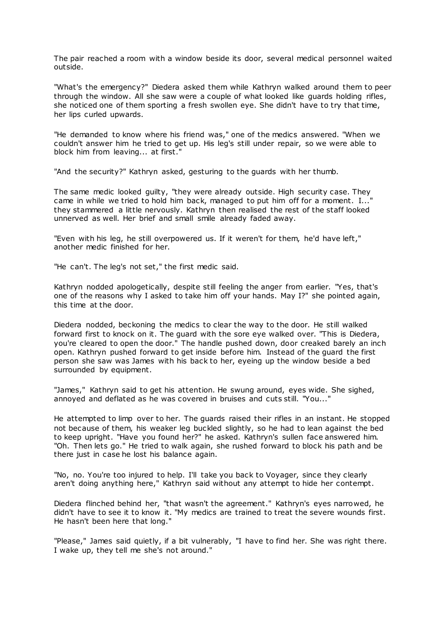The pair reached a room with a window beside its door, several medical personnel waited outside.

"What's the emergency?" Diedera asked them while Kathryn walked around them to peer through the window. All she saw were a couple of what looked like guards holding rifles, she noticed one of them sporting a fresh swollen eye. She didn't have to try that time, her lips curled upwards.

"He demanded to know where his friend was," one of the medics answered. "When we couldn't answer him he tried to get up. His leg's still under repair, so we were able to block him from leaving... at first."

"And the security?" Kathryn asked, gesturing to the guards with her thumb.

The same medic looked guilty, "they were already outside. High security case. They came in while we tried to hold him back, managed to put him off for a moment. I..." they stammered a little nervously. Kathryn then realised the rest of the staff looked unnerved as well. Her brief and small smile already faded away.

"Even with his leg, he still overpowered us. If it weren't for them, he'd have left," another medic finished for her.

"He can't. The leg's not set," the first medic said.

Kathryn nodded apologetically, despite still feeling the anger from earlier. "Yes, that's one of the reasons why I asked to take him off your hands. May I?" she pointed again, this time at the door.

Diedera nodded, beckoning the medics to clear the way to the door. He still walked forward first to knock on it. The guard with the sore eye walked over. "This is Diedera, you're cleared to open the door." The handle pushed down, door creaked barely an inch open. Kathryn pushed forward to get inside before him. Instead of the guard the first person she saw was James with his back to her, eyeing up the window beside a bed surrounded by equipment.

"James," Kathryn said to get his attention. He swung around, eyes wide. She sighed, annoyed and deflated as he was covered in bruises and cuts still. "You..."

He attempted to limp over to her. The guards raised their rifles in an instant. He stopped not because of them, his weaker leg buckled slightly, so he had to lean against the bed to keep upright. "Have you found her?" he asked. Kathryn's sullen face answered him. "Oh. Then lets go." He tried to walk again, she rushed forward to block his path and be there just in case he lost his balance again.

"No, no. You're too injured to help. I'll take you back to Voyager, since they clearly aren't doing anything here," Kathryn said without any attempt to hide her contempt.

Diedera flinched behind her, "that wasn't the agreement." Kathryn's eyes narrowed, he didn't have to see it to know it. "My medics are trained to treat the severe wounds first. He hasn't been here that long."

"Please," James said quietly, if a bit vulnerably, "I have to find her. She was right there. I wake up, they tell me she's not around."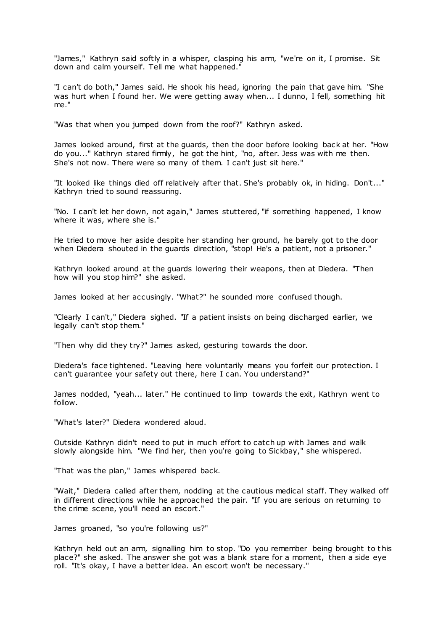"James," Kathryn said softly in a whisper, clasping his arm, "we're on it, I promise. Sit down and calm yourself. Tell me what happened."

"I can't do both," James said. He shook his head, ignoring the pain that gave him. "She was hurt when I found her. We were getting away when... I dunno, I fell, something hit me."

"Was that when you jumped down from the roof?" Kathryn asked.

James looked around, first at the guards, then the door before looking back at her. "How do you..." Kathryn stared firmly, he got the hint, "no, after. Jess was with me then. She's not now. There were so many of them. I can't just sit here."

"It looked like things died off relatively after that. She's probably ok, in hiding. Don't..." Kathryn tried to sound reassuring.

"No. I can't let her down, not again," James stuttered, "if something happened, I know where it was, where she is."

He tried to move her aside despite her standing her ground, he barely got to the door when Diedera shouted in the guards direction, "stop! He's a patient, not a prisoner."

Kathryn looked around at the guards lowering their weapons, then at Diedera. "Then how will you stop him?" she asked.

James looked at her accusingly. "What?" he sounded more confused though.

"Clearly I can't," Diedera sighed. "If a patient insists on being discharged earlier, we legally can't stop them."

"Then why did they try?" James asked, gesturing towards the door.

Diedera's face tightened. "Leaving here voluntarily means you forfeit our protection. I can't guarantee your safety out there, here I can. You understand?"

James nodded, "yeah... later." He continued to limp towards the exit, Kathryn went to follow.

"What's later?" Diedera wondered aloud.

Outside Kathryn didn't need to put in much effort to catch up with James and walk slowly alongside him. "We find her, then you're going to Sickbay," she whispered.

"That was the plan," James whispered back.

"Wait," Diedera called after them, nodding at the cautious medical staff. They walked off in different directions while he approached the pair. "If you are serious on returning to the crime scene, you'll need an escort."

James groaned, "so you're following us?"

Kathryn held out an arm, signalling him to stop. "Do you remember being brought to t his place?" she asked. The answer she got was a blank stare for a moment, then a side eye roll. "It's okay, I have a better idea. An escort won't be necessary."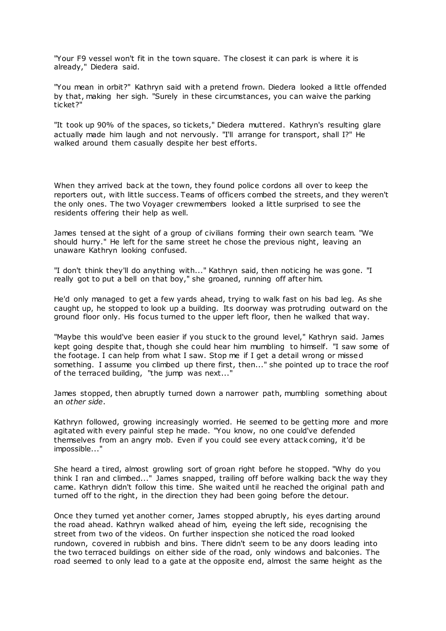"Your F9 vessel won't fit in the town square. The closest it can park is where it is already," Diedera said.

"You mean in orbit?" Kathryn said with a pretend frown. Diedera looked a little offended by that, making her sigh. "Surely in these circumstances, you can waive the parking ticket?"

"It took up 90% of the spaces, so tickets," Diedera muttered. Kathryn's resulting glare actually made him laugh and not nervously. "I'll arrange for transport, shall I?" He walked around them casually despite her best efforts.

When they arrived back at the town, they found police cordons all over to keep the reporters out, with little success. Teams of officers combed the streets, and they weren't the only ones. The two Voyager crewmembers looked a little surprised to see the residents offering their help as well.

James tensed at the sight of a group of civilians forming their own search team. "We should hurry." He left for the same street he chose the previous night, leaving an unaware Kathryn looking confused.

"I don't think they'll do anything with..." Kathryn said, then noticing he was gone. "I really got to put a bell on that boy," she groaned, running off after him.

He'd only managed to get a few yards ahead, trying to walk fast on his bad leg. As she caught up, he stopped to look up a building. Its doorway was protruding outward on the ground floor only. His focus turned to the upper left floor, then he walked that way.

"Maybe this would've been easier if you stuck to the ground level," Kathryn said. James kept going despite that, though she could hear him mumbling to himself. "I saw some of the footage. I can help from what I saw. Stop me if I get a detail wrong or missed something. I assume you climbed up there first, then..." she pointed up to trace the roof of the terraced building, "the jump was next..."

James stopped, then abruptly turned down a narrower path, mumbling something about an *other side*.

Kathryn followed, growing increasingly worried. He seemed to be getting more and more agitated with every painful step he made. "You know, no one could've defended themselves from an angry mob. Even if you could see every attack coming, it'd be impossible..."

She heard a tired, almost growling sort of groan right before he stopped. "Why do you think I ran and climbed..." James snapped, trailing off before walking back the way they came. Kathryn didn't follow this time. She waited until he reached the original path and turned off to the right, in the direction they had been going before the detour.

Once they turned yet another corner, James stopped abruptly, his eyes darting around the road ahead. Kathryn walked ahead of him, eyeing the left side, recognising the street from two of the videos. On further inspection she noticed the road looked rundown, covered in rubbish and bins. There didn't seem to be any doors leading into the two terraced buildings on either side of the road, only windows and balconies. The road seemed to only lead to a gate at the opposite end, almost the same height as the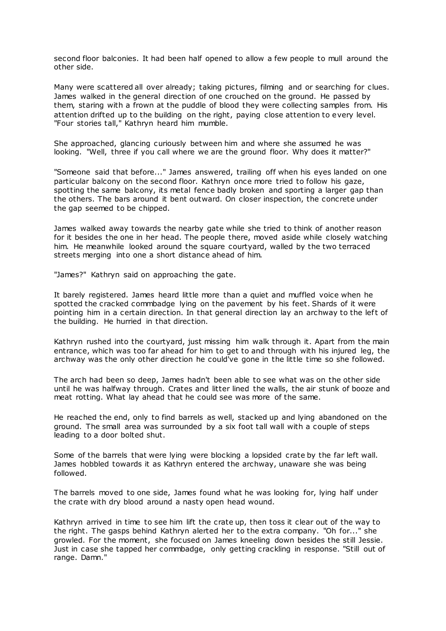second floor balconies. It had been half opened to allow a few people to mull around the other side.

Many were scattered all over already; taking pictures, filming and or searching for clues. James walked in the general direction of one crouched on the ground. He passed by them, staring with a frown at the puddle of blood they were collecting samples from. His attention drifted up to the building on the right, paying close attention to every level. "Four stories tall," Kathryn heard him mumble.

She approached, glancing curiously between him and where she assumed he was looking. "Well, three if you call where we are the ground floor. Why does it matter?"

"Someone said that before..." James answered, trailing off when his eyes landed on one particular balcony on the second floor. Kathryn once more tried to follow his gaze, spotting the same balcony, its metal fence badly broken and sporting a larger gap than the others. The bars around it bent outward. On closer inspection, the concrete under the gap seemed to be chipped.

James walked away towards the nearby gate while she tried to think of another reason for it besides the one in her head. The people there, moved aside while closely watching him. He meanwhile looked around the square courtyard, walled by the two terraced streets merging into one a short distance ahead of him.

"James?" Kathryn said on approaching the gate.

It barely registered. James heard little more than a quiet and muffled voice when he spotted the cracked commbadge lying on the pavement by his feet. Shards of it were pointing him in a certain direction. In that general direction lay an archway to the left of the building. He hurried in that direction.

Kathryn rushed into the courtyard, just missing him walk through it. Apart from the main entrance, which was too far ahead for him to get to and through with his injured leg, the archway was the only other direction he could've gone in the little time so she followed.

The arch had been so deep, James hadn't been able to see what was on the other side until he was halfway through. Crates and litter lined the walls, the air stunk of booze and meat rotting. What lay ahead that he could see was more of the same.

He reached the end, only to find barrels as well, stacked up and lying abandoned on the ground. The small area was surrounded by a six foot tall wall with a couple of steps leading to a door bolted shut.

Some of the barrels that were lying were blocking a lopsided crate by the far left wall. James hobbled towards it as Kathryn entered the archway, unaware she was being followed.

The barrels moved to one side, James found what he was looking for, lying half under the crate with dry blood around a nasty open head wound.

Kathryn arrived in time to see him lift the crate up, then toss it clear out of the way to the right. The gasps behind Kathryn alerted her to the extra company. "Oh for..." she growled. For the moment, she focused on James kneeling down besides the still Jessie. Just in case she tapped her commbadge, only getting crackling in response. "Still out of range. Damn."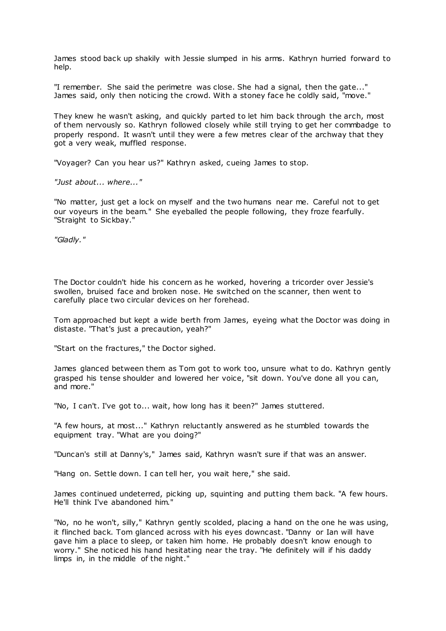James stood back up shakily with Jessie slumped in his arms. Kathryn hurried forward to help.

"I remember. She said the perimetre was close. She had a signal, then the gate..." James said, only then noticing the crowd. With a stoney face he coldly said, "move."

They knew he wasn't asking, and quickly parted to let him back through the arch, most of them nervously so. Kathryn followed closely while still trying to get her commbadge to properly respond. It wasn't until they were a few metres clear of the archway that they got a very weak, muffled response.

"Voyager? Can you hear us?" Kathryn asked, cueing James to stop.

*"Just about... where..."*

"No matter, just get a lock on myself and the two humans near me. Careful not to get our voyeurs in the beam." She eyeballed the people following, they froze fearfully. "Straight to Sickbay."

*"Gladly."*

The Doctor couldn't hide his concern as he worked, hovering a tricorder over Jessie's swollen, bruised face and broken nose. He switched on the scanner, then went to carefully place two circular devices on her forehead.

Tom approached but kept a wide berth from James, eyeing what the Doctor was doing in distaste. "That's just a precaution, yeah?"

"Start on the fractures," the Doctor sighed.

James glanced between them as Tom got to work too, unsure what to do. Kathryn gently grasped his tense shoulder and lowered her voice, "sit down. You've done all you can, and more."

"No, I can't. I've got to... wait, how long has it been?" James stuttered.

"A few hours, at most..." Kathryn reluctantly answered as he stumbled towards the equipment tray. "What are you doing?"

"Duncan's still at Danny's," James said, Kathryn wasn't sure if that was an answer.

"Hang on. Settle down. I can tell her, you wait here," she said.

James continued undeterred, picking up, squinting and putting them back. "A few hours. He'll think I've abandoned him."

"No, no he won't, silly," Kathryn gently scolded, placing a hand on the one he was using, it flinched back. Tom glanced across with his eyes downcast. "Danny or Ian will have gave him a place to sleep, or taken him home. He probably doesn't know enough to worry." She noticed his hand hesitating near the tray. "He definitely will if his daddy limps in, in the middle of the night."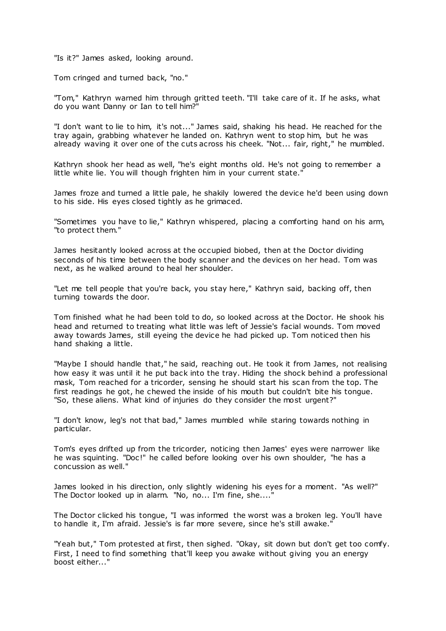"Is it?" James asked, looking around.

Tom cringed and turned back, "no."

"Tom," Kathryn warned him through gritted teeth. "I'll take care of it. If he asks, what do you want Danny or Ian to tell him?"

"I don't want to lie to him, it's not..." James said, shaking his head. He reached for the tray again, grabbing whatever he landed on. Kathryn went to stop him, but he was already waving it over one of the cuts across his cheek. "Not... fair, right," he mumbled.

Kathryn shook her head as well, "he's eight months old. He's not going to remember a little white lie. You will though frighten him in your current state."

James froze and turned a little pale, he shakily lowered the device he'd been using down to his side. His eyes closed tightly as he grimaced.

"Sometimes you have to lie," Kathryn whispered, placing a comforting hand on his arm, "to protect them."

James hesitantly looked across at the occupied biobed, then at the Doctor dividing seconds of his time between the body scanner and the devices on her head. Tom was next, as he walked around to heal her shoulder.

"Let me tell people that you're back, you stay here," Kathryn said, backing off, then turning towards the door.

Tom finished what he had been told to do, so looked across at the Doctor. He shook his head and returned to treating what little was left of Jessie's facial wounds. Tom moved away towards James, still eyeing the device he had picked up. Tom noticed then his hand shaking a little.

"Maybe I should handle that," he said, reaching out. He took it from James, not realising how easy it was until it he put back into the tray. Hiding the shock behind a professional mask, Tom reached for a tricorder, sensing he should start his scan from the top. The first readings he got, he chewed the inside of his mouth but couldn't bite his tongue. "So, these aliens. What kind of injuries do they consider the most urgent?"

"I don't know, leg's not that bad," James mumbled while staring towards nothing in particular.

Tom's eyes drifted up from the tricorder, noticing then James' eyes were narrower like he was squinting. "Doc!" he called before looking over his own shoulder, "he has a concussion as well."

James looked in his direction, only slightly widening his eyes for a moment. "As well?" The Doctor looked up in alarm. "No, no... I'm fine, she...."

The Doctor clicked his tongue, "I was informed the worst was a broken leg. You'll have to handle it, I'm afraid. Jessie's is far more severe, since he's still awake."

"Yeah but," Tom protested at first, then sighed. "Okay, sit down but don't get too comfy. First, I need to find something that'll keep you awake without giving you an energy boost either..."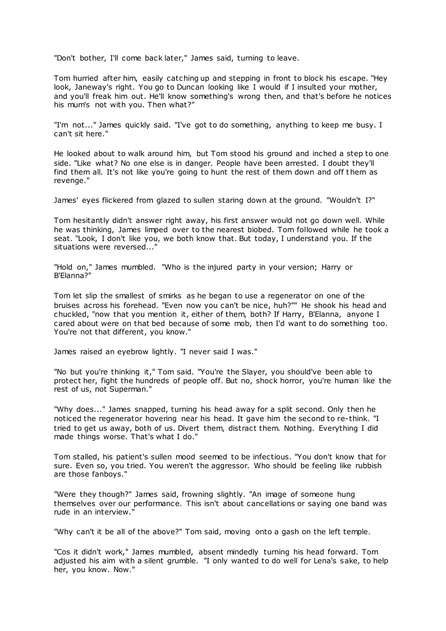"Don't bother, I'll come back later," James said, turning to leave.

Tom hurried after him, easily catching up and stepping in front to block his escape. "Hey look, Janeway's right. You go to Duncan looking like I would if I insulted your mother, and you'll freak him out. He'll know something's wrong then, and that's before he notices his mum's not with you. Then what?"

"I'm not..." James quickly said. "I've got to do something, anything to keep me busy. I can't sit here."

He looked about to walk around him, but Tom stood his ground and inched a step to one side. "Like what? No one else is in danger. People have been arrested. I doubt they'll find them all. It's not like you're going to hunt the rest of them down and off them as revenge."

James' eyes flickered from glazed to sullen staring down at the ground. "Wouldn't I?"

Tom hesitantly didn't answer right away, his first answer would not go down well. While he was thinking, James limped over to the nearest biobed. Tom followed while he took a seat. "Look, I don't like you, we both know that. But today, I understand you. If the situations were reversed..."

"Hold on," James mumbled. "Who is the injured party in your version; Harry or B'Elanna?"

Tom let slip the smallest of smirks as he began to use a regenerator on one of the bruises across his forehead. "Even now you can't be nice, huh?"" He shook his head and chuckled, "now that you mention it, either of them, both? If Harry, B'Elanna, anyone I cared about were on that bed because of some mob, then I'd want to do something too. You're not that different, you know."

James raised an eyebrow lightly. "I never said I was."

"No but you're thinking it," Tom said. "You're the Slayer, you should've been able to protect her, fight the hundreds of people off. But no, shock horror, you're human like the rest of us, not Superman."

"Why does..." James snapped, turning his head away for a split second. Only then he noticed the regenerator hovering near his head. It gave him the second to re-think. "I tried to get us away, both of us. Divert them, distract them. Nothing. Everything I did made things worse. That's what I do."

Tom stalled, his patient's sullen mood seemed to be infectious. "You don't know that for sure. Even so, you tried. You weren't the aggressor. Who should be feeling like rubbish are those fanboys."

"Were they though?" James said, frowning slightly. "An image of someone hung themselves over our performance. This isn't about cancellations or saying one band was rude in an interview."

"Why can't it be all of the above?" Tom said, moving onto a gash on the left temple.

"Cos it didn't work," James mumbled, absent mindedly turning his head forward. Tom adjusted his aim with a silent grumble. "I only wanted to do well for Lena's sake, to help her, you know. Now."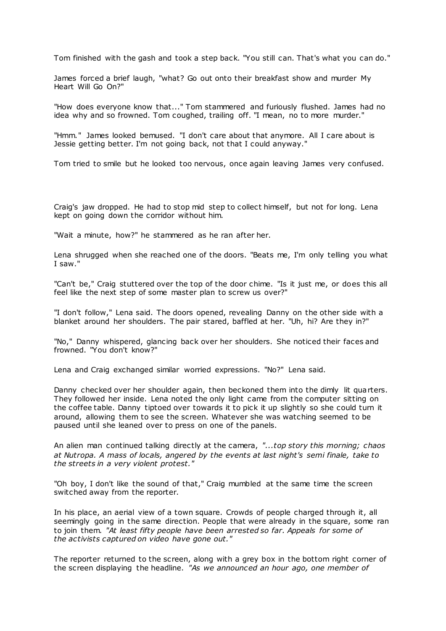Tom finished with the gash and took a step back. "You still can. That's what you can do."

James forced a brief laugh, "what? Go out onto their breakfast show and murder My Heart Will Go On?"

"How does everyone know that..." Tom stammered and furiously flushed. James had no idea why and so frowned. Tom coughed, trailing off. "I mean, no to more murder."

"Hmm." James looked bemused. "I don't care about that anymore. All I care about is Jessie getting better. I'm not going back, not that I could anyway."

Tom tried to smile but he looked too nervous, once again leaving James very confused.

Craig's jaw dropped. He had to stop mid step to collect himself, but not for long. Lena kept on going down the corridor without him.

"Wait a minute, how?" he stammered as he ran after her.

Lena shrugged when she reached one of the doors. "Beats me, I'm only telling you what I saw."

"Can't be," Craig stuttered over the top of the door chime. "Is it just me, or does this all feel like the next step of some master plan to screw us over?"

"I don't follow," Lena said. The doors opened, revealing Danny on the other side with a blanket around her shoulders. The pair stared, baffled at her. "Uh, hi? Are they in?"

"No," Danny whispered, glancing back over her shoulders. She noticed their faces and frowned. "You don't know?"

Lena and Craig exchanged similar worried expressions. "No?" Lena said.

Danny checked over her shoulder again, then beckoned them into the dimly lit quarters. They followed her inside. Lena noted the only light came from the computer sitting on the coffee table. Danny tiptoed over towards it to pick it up slightly so she could turn it around, allowing them to see the screen. Whatever she was watching seemed to be paused until she leaned over to press on one of the panels.

An alien man continued talking directly at the camera, *"...top story this morning; chaos at Nutropa. A mass of locals, angered by the events at last night's semi finale, take to the streets in a very violent protest."*

"Oh boy, I don't like the sound of that," Craig mumbled at the same time the screen switched away from the reporter.

In his place, an aerial view of a town square. Crowds of people charged through it, all seemingly going in the same direction. People that were already in the square, some ran to join them. *"At least fifty people have been arrested so far. Appeals for some of the activists captured on video have gone out."*

The reporter returned to the screen, along with a grey box in the bottom right corner of the screen displaying the headline. *"As we announced an hour ago, one member of*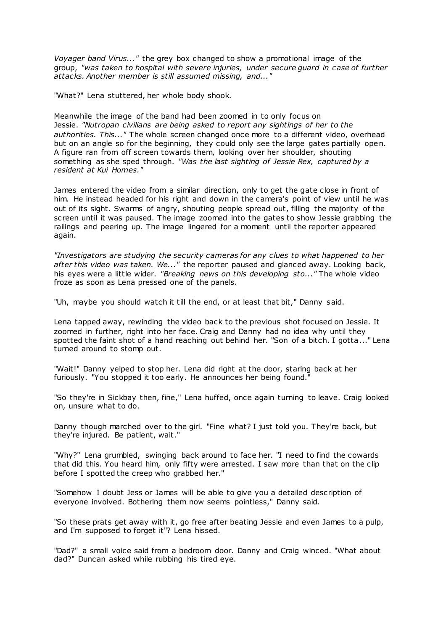*Voyager band Virus..."* the grey box changed to show a promotional image of the group, *"was taken to hospital with severe injuries, under secure guard in case of further attacks. Another member is still assumed missing, and..."*

"What?" Lena stuttered, her whole body shook.

Meanwhile the image of the band had been zoomed in to only focus on Jessie. *"Nutropan civilians are being asked to report any sightings of her to the authorities. This..."* The whole screen changed once more to a different video, overhead but on an angle so for the beginning, they could only see the large gates partially open. A figure ran from off screen towards them, looking over her shoulder, shouting something as she sped through. *"Was the last sighting of Jessie Rex, captured by a resident at Kui Homes."*

James entered the video from a similar direction, only to get the gate close in front of him. He instead headed for his right and down in the camera's point of view until he was out of its sight. Swarms of angry, shouting people spread out, filling the majority of the screen until it was paused. The image zoomed into the gates to show Jessie grabbing the railings and peering up. The image lingered for a moment until the reporter appeared again.

*"Investigators are studying the security cameras for any clues to what happened to her after this video was taken. We..."* the reporter paused and glanced away. Looking back, his eyes were a little wider. *"Breaking news on this developing sto..."* The whole video froze as soon as Lena pressed one of the panels.

"Uh, maybe you should watch it till the end, or at least that bit," Danny said.

Lena tapped away, rewinding the video back to the previous shot focused on Jessie. It zoomed in further, right into her face. Craig and Danny had no idea why until they spotted the faint shot of a hand reaching out behind her. "Son of a bitch. I gotta..." Lena turned around to stomp out.

"Wait!" Danny yelped to stop her. Lena did right at the door, staring back at her furiously. "You stopped it too early. He announces her being found.'

"So they're in Sickbay then, fine," Lena huffed, once again turning to leave. Craig looked on, unsure what to do.

Danny though marched over to the girl. "Fine what? I just told you. They're back, but they're injured. Be patient, wait."

"Why?" Lena grumbled, swinging back around to face her. "I need to find the cowards that did this. You heard him, only fifty were arrested. I saw more than that on the clip before I spotted the creep who grabbed her."

"Somehow I doubt Jess or James will be able to give you a detailed description of everyone involved. Bothering them now seems pointless," Danny said.

"So these prats get away with it, go free after beating Jessie and even James to a pulp, and I'm supposed to forget it"? Lena hissed.

"Dad?" a small voice said from a bedroom door. Danny and Craig winced. "What about dad?" Duncan asked while rubbing his tired eye.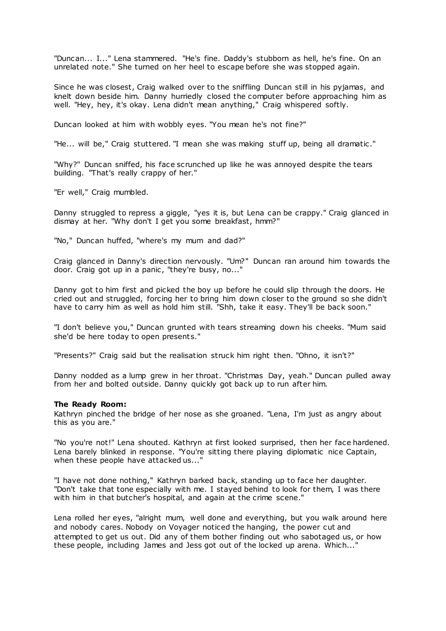"Duncan... I..." Lena stammered. "He's fine. Daddy's stubborn as hell, he's fine. On an unrelated note." She turned on her heel to escape before she was stopped again.

Since he was closest, Craig walked over to the sniffling Duncan still in his pyjamas, and knelt down beside him. Danny hurriedly closed the computer before approaching him as well. "Hey, hey, it's okay. Lena didn't mean anything," Craig whispered softly.

Duncan looked at him with wobbly eyes. "You mean he's not fine?"

"He... will be," Craig stuttered. "I mean she was making stuff up, being all dramatic ."

"Why?" Duncan sniffed, his face scrunched up like he was annoyed despite the tears building. "That's really crappy of her."

"Er well," Craig mumbled.

Danny struggled to repress a giggle, "yes it is, but Lena can be crappy." Craig glanced in dismay at her. "Why don't I get you some breakfast, hmm?"

"No," Duncan huffed, "where's my mum and dad?"

Craig glanced in Danny's direction nervously. "Um?" Duncan ran around him towards the door. Craig got up in a panic, "they're busy, no..."

Danny got to him first and picked the boy up before he could slip through the doors. He cried out and struggled, forcing her to bring him down closer to the ground so she didn't have to carry him as well as hold him still. "Shh, take it easy. They'll be back soon."

"I don't believe you," Duncan grunted with tears streaming down his cheeks. "Mum said she'd be here today to open presents."

"Presents?" Craig said but the realisation struck him right then. "Ohno, it isn't?"

Danny nodded as a lump grew in her throat. "Christmas Day, yeah." Duncan pulled away from her and bolted outside. Danny quickly got back up to run after him.

## **The Ready Room:**

Kathryn pinched the bridge of her nose as she groaned. "Lena, I'm just as angry about this as you are."

"No you're not!" Lena shouted. Kathryn at first looked surprised, then her face hardened. Lena barely blinked in response. "You're sitting there playing diplomatic nice Captain, when these people have attacked us..."

"I have not done nothing," Kathryn barked back, standing up to face her daughter. "Don't take that tone especially with me. I stayed behind to look for them, I was there with him in that butcher's hospital, and again at the crime scene."

Lena rolled her eyes, "alright mum, well done and everything, but you walk around here and nobody cares. Nobody on Voyager noticed the hanging, the power cut and attempted to get us out. Did any of them bother finding out who sabotaged us, or how these people, including James and Jess got out of the locked up arena. Which..."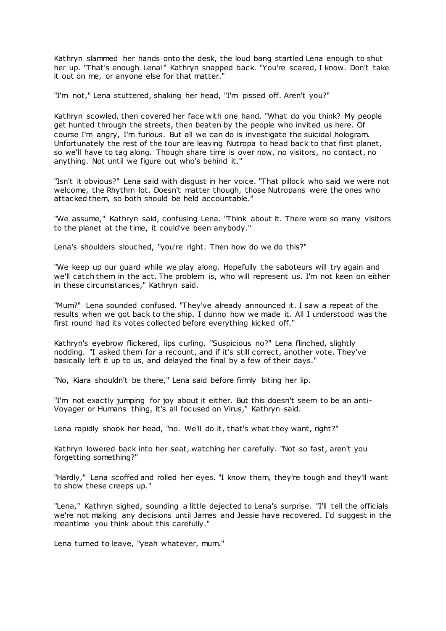Kathryn slammed her hands onto the desk, the loud bang startled Lena enough to shut her up. "That's enough Lena!" Kathryn snapped back. "You're scared, I know. Don't take it out on me, or anyone else for that matter."

"I'm not," Lena stuttered, shaking her head, "I'm pissed off. Aren't you?"

Kathryn scowled, then covered her face with one hand. "What do you think? My people get hunted through the streets, then beaten by the people who invited us here. Of course I'm angry, I'm furious. But all we can do is investigate the suicidal hologram. Unfortunately the rest of the tour are leaving Nutropa to head back to that first planet, so we'll have to tag along. Though share time is over now, no visitors, no contact, no anything. Not until we figure out who's behind it."

"Isn't it obvious?" Lena said with disgust in her voice. "That pillock who said we were not welcome, the Rhythm lot. Doesn't matter though, those Nutropans were the ones who attacked them, so both should be held accountable."

"We assume," Kathryn said, confusing Lena. "Think about it. There were so many visitors to the planet at the time, it could've been anybody."

Lena's shoulders slouched, "you're right. Then how do we do this?"

"We keep up our guard while we play along. Hopefully the saboteurs will try again and we'll catch them in the act. The problem is, who will represent us. I'm not keen on either in these circumstances," Kathryn said.

"Mum?" Lena sounded confused. "They've already announced it. I saw a repeat of the results when we got back to the ship. I dunno how we made it. All I understood was the first round had its votes collected before everything kicked off."

Kathryn's eyebrow flickered, lips curling. "Suspicious no?" Lena flinched, slightly nodding. "I asked them for a recount, and if it's still correct, another vote. They've basically left it up to us, and delayed the final by a few of their days."

"No, Kiara shouldn't be there," Lena said before firmly biting her lip.

"I'm not exactly jumping for joy about it either. But this doesn't seem to be an anti-Voyager or Humans thing, it's all focused on Virus," Kathryn said.

Lena rapidly shook her head, "no. We'll do it, that's what they want, right?"

Kathryn lowered back into her seat, watching her carefully. "Not so fast, aren't you forgetting something?"

"Hardly," Lena scoffed and rolled her eyes. "I know them, they're tough and they'll want to show these creeps up."

"Lena," Kathryn sighed, sounding a little dejected to Lena's surprise. "I'll tell the officials we're not making any decisions until James and Jessie have recovered. I'd suggest in the meantime you think about this carefully."

Lena turned to leave, "yeah whatever, mum."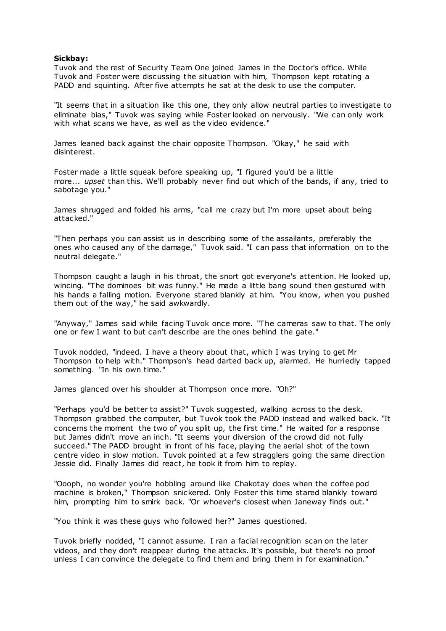# **Sickbay:**

Tuvok and the rest of Security Team One joined James in the Doctor's office. While Tuvok and Foster were discussing the situation with him, Thompson kept rotating a PADD and squinting. After five attempts he sat at the desk to use the computer.

"It seems that in a situation like this one, they only allow neutral parties to investigate to eliminate bias," Tuvok was saying while Foster looked on nervously. "We can only work with what scans we have, as well as the video evidence."

James leaned back against the chair opposite Thompson. "Okay," he said with disinterest.

Foster made a little squeak before speaking up, "I figured you'd be a little more... *upset* than this. We'll probably never find out which of the bands, if any, tried to sabotage you."

James shrugged and folded his arms, "call me crazy but I'm more upset about being attacked."

"Then perhaps you can assist us in describing some of the assailants, preferably the ones who caused any of the damage," Tuvok said. "I can pass that information on to the neutral delegate."

Thompson caught a laugh in his throat, the snort got everyone's attention. He looked up, wincing. "The dominoes bit was funny." He made a little bang sound then gestured with his hands a falling motion. Everyone stared blankly at him. "You know, when you pushed them out of the way," he said awkwardly.

"Anyway," James said while facing Tuvok once more. "The cameras saw to that. The only one or few I want to but can't describe are the ones behind the gate."

Tuvok nodded, "indeed. I have a theory about that, which I was trying to get Mr Thompson to help with." Thompson's head darted back up, alarmed. He hurriedly tapped something. "In his own time."

James glanced over his shoulder at Thompson once more. "Oh?"

"Perhaps you'd be better to assist?" Tuvok suggested, walking across to the desk. Thompson grabbed the computer, but Tuvok took the PADD instead and walked back. "It concerns the moment the two of you split up, the first time." He waited for a response but James didn't move an inch. "It seems your diversion of the crowd did not fully succeed." The PADD brought in front of his face, playing the aerial shot of the town centre video in slow motion. Tuvok pointed at a few stragglers going the same direction Jessie did. Finally James did react, he took it from him to replay.

"Oooph, no wonder you're hobbling around like Chakotay does when the coffee pod machine is broken," Thompson snickered. Only Foster this time stared blankly toward him, prompting him to smirk back. "Or whoever's closest when Janeway finds out."

"You think it was these guys who followed her?" James questioned.

Tuvok briefly nodded, "I cannot assume. I ran a facial recognition scan on the later videos, and they don't reappear during the attacks. It's possible, but there's no proof unless I can convince the delegate to find them and bring them in for examination."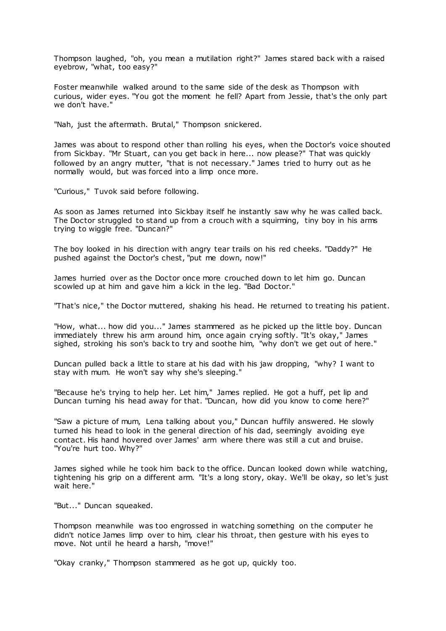Thompson laughed, "oh, you mean a mutilation right?" James stared back with a raised eyebrow, "what, too easy?"

Foster meanwhile walked around to the same side of the desk as Thompson with curious, wider eyes. "You got the moment he fell? Apart from Jessie, that's the only part we don't have."

"Nah, just the aftermath. Brutal," Thompson snickered.

James was about to respond other than rolling his eyes, when the Doctor's voice shouted from Sickbay. "Mr Stuart, can you get back in here... now please?" That was quickly followed by an angry mutter, "that is not necessary." James tried to hurry out as he normally would, but was forced into a limp once more.

"Curious," Tuvok said before following.

As soon as James returned into Sickbay itself he instantly saw why he was called back. The Doctor struggled to stand up from a crouch with a squirming, tiny boy in his arms trying to wiggle free. "Duncan?"

The boy looked in his direction with angry tear trails on his red cheeks. "Daddy?" He pushed against the Doctor's chest, "put me down, now!"

James hurried over as the Doctor once more crouched down to let him go. Duncan scowled up at him and gave him a kick in the leg. "Bad Doctor."

"That's nice," the Doctor muttered, shaking his head. He returned to treating his patient.

"How, what... how did you..." James stammered as he picked up the little boy. Duncan immediately threw his arm around him, once again crying softly. "It's okay," James sighed, stroking his son's back to try and soothe him, "why don't we get out of here."

Duncan pulled back a little to stare at his dad with his jaw dropping, "why? I want to stay with mum. He won't say why she's sleeping."

"Because he's trying to help her. Let him," James replied. He got a huff, pet lip and Duncan turning his head away for that. "Duncan, how did you know to come here?"

"Saw a picture of mum, Lena talking about you," Duncan huffily answered. He slowly turned his head to look in the general direction of his dad, seemingly avoiding eye contact. His hand hovered over James' arm where there was still a cut and bruise. "You're hurt too. Why?"

James sighed while he took him back to the office. Duncan looked down while watching, tightening his grip on a different arm. "It's a long story, okay. We'll be okay, so let's just wait here."

"But..." Duncan squeaked.

Thompson meanwhile was too engrossed in watching something on the computer he didn't notice James limp over to him, clear his throat, then gesture with his eyes to move. Not until he heard a harsh, "move!"

"Okay cranky," Thompson stammered as he got up, quickly too.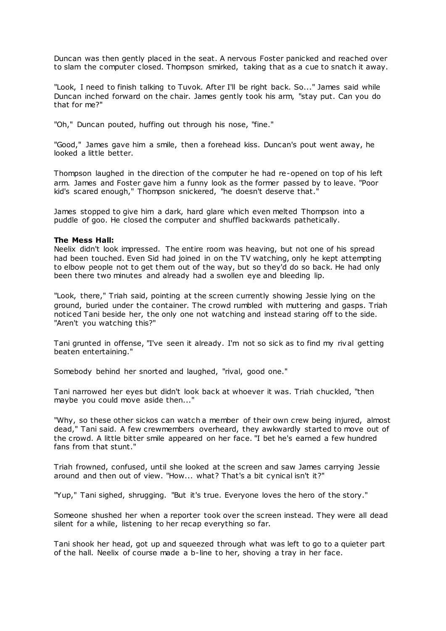Duncan was then gently placed in the seat. A nervous Foster panicked and reached over to slam the computer closed. Thompson smirked, taking that as a cue to snatch it away.

"Look, I need to finish talking to Tuvok. After I'll be right back. So..." James said while Duncan inched forward on the chair. James gently took his arm, "stay put. Can you do that for me?"

"Oh," Duncan pouted, huffing out through his nose, "fine."

"Good," James gave him a smile, then a forehead kiss. Duncan's pout went away, he looked a little better.

Thompson laughed in the direction of the computer he had re-opened on top of his left arm. James and Foster gave him a funny look as the former passed by to leave. "Poor kid's scared enough," Thompson snickered, "he doesn't deserve that."

James stopped to give him a dark, hard glare which even melted Thompson into a puddle of goo. He closed the computer and shuffled backwards pathetically.

### **The Mess Hall:**

Neelix didn't look impressed. The entire room was heaving, but not one of his spread had been touched. Even Sid had joined in on the TV watching, only he kept attempting to elbow people not to get them out of the way, but so they'd do so back. He had only been there two minutes and already had a swollen eye and bleeding lip.

"Look, there," Triah said, pointing at the screen currently showing Jessie lying on the ground, buried under the container. The crowd rumbled with muttering and gasps. Triah noticed Tani beside her, the only one not watching and instead staring off to the side. "Aren't you watching this?"

Tani grunted in offense, "I've seen it already. I'm not so sick as to find my rival getting beaten entertaining."

Somebody behind her snorted and laughed, "rival, good one."

Tani narrowed her eyes but didn't look back at whoever it was. Triah chuckled, "then maybe you could move aside then..."

"Why, so these other sickos can watch a member of their own crew being injured, almost dead," Tani said. A few crewmembers overheard, they awkwardly started to move out of the crowd. A little bitter smile appeared on her face. "I bet he's earned a few hundred fans from that stunt."

Triah frowned, confused, until she looked at the screen and saw James carrying Jessie around and then out of view. "How... what? That's a bit cynical isn't it?"

"Yup," Tani sighed, shrugging. "But it's true. Everyone loves the hero of the story."

Someone shushed her when a reporter took over the screen instead. They were all dead silent for a while, listening to her recap everything so far.

Tani shook her head, got up and squeezed through what was left to go to a quieter part of the hall. Neelix of course made a b-line to her, shoving a tray in her face.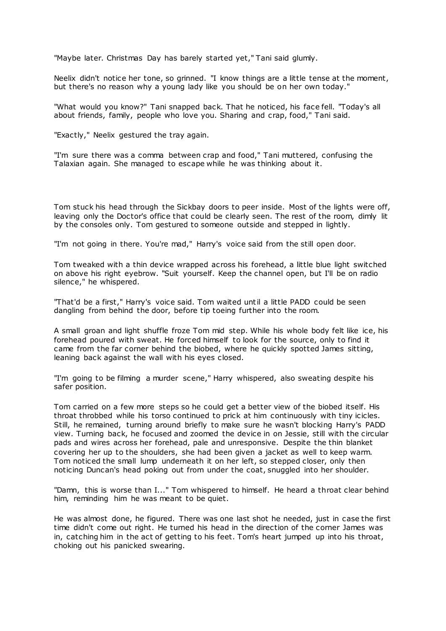"Maybe later. Christmas Day has barely started yet," Tani said glumly.

Neelix didn't notice her tone, so grinned. "I know things are a little tense at the moment, but there's no reason why a young lady like you should be on her own today."

"What would you know?" Tani snapped back. That he noticed, his face fell. "Today's all about friends, family, people who love you. Sharing and crap, food," Tani said.

"Exactly," Neelix gestured the tray again.

"I'm sure there was a comma between crap and food," Tani muttered, confusing the Talaxian again. She managed to escape while he was thinking about it.

Tom stuck his head through the Sickbay doors to peer inside. Most of the lights were off, leaving only the Doctor's office that could be clearly seen. The rest of the room, dimly lit by the consoles only. Tom gestured to someone outside and stepped in lightly.

"I'm not going in there. You're mad," Harry's voice said from the still open door.

Tom tweaked with a thin device wrapped across his forehead, a little blue light switched on above his right eyebrow. "Suit yourself. Keep the channel open, but I'll be on radio silence," he whispered.

"That'd be a first," Harry's voice said. Tom waited until a little PADD could be seen dangling from behind the door, before tip toeing further into the room.

A small groan and light shuffle froze Tom mid step. While his whole body felt like ice, his forehead poured with sweat. He forced himself to look for the source, only to find it came from the far corner behind the biobed, where he quickly spotted James sitting, leaning back against the wall with his eyes closed.

"I'm going to be filming a murder scene," Harry whispered, also sweating despite his safer position.

Tom carried on a few more steps so he could get a better view of the biobed itself. His throat throbbed while his torso continued to prick at him continuously with tiny icicles. Still, he remained, turning around briefly to make sure he wasn't blocking Harry's PADD view. Turning back, he focused and zoomed the device in on Jessie, still with the circular pads and wires across her forehead, pale and unresponsive. Despite the thin blanket covering her up to the shoulders, she had been given a jacket as well to keep warm. Tom noticed the small lump underneath it on her left, so stepped closer, only then noticing Duncan's head poking out from under the coat, snuggled into her shoulder.

"Damn, this is worse than I..." Tom whispered to himself. He heard a throat clear behind him, reminding him he was meant to be quiet.

He was almost done, he figured. There was one last shot he needed, just in case the first time didn't come out right. He turned his head in the direction of the corner James was in, catching him in the act of getting to his feet. Tom's heart jumped up into his throat, choking out his panicked swearing.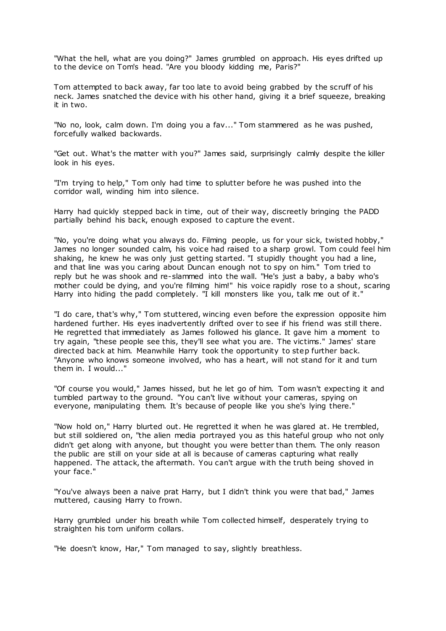"What the hell, what are you doing?" James grumbled on approach. His eyes drifted up to the device on Tom's head. "Are you bloody kidding me, Paris?"

Tom attempted to back away, far too late to avoid being grabbed by the scruff of his neck. James snatched the device with his other hand, giving it a brief squeeze, breaking it in two.

"No no, look, calm down. I'm doing you a fav..." Tom stammered as he was pushed, forcefully walked backwards.

"Get out. What's the matter with you?" James said, surprisingly calmly despite the killer look in his eyes.

"I'm trying to help," Tom only had time to splutter before he was pushed into the corridor wall, winding him into silence.

Harry had quickly stepped back in time, out of their way, discreetly bringing the PADD partially behind his back, enough exposed to capture the event.

"No, you're doing what you always do. Filming people, us for your sick, twisted hobby," James no longer sounded calm, his voice had raised to a sharp growl. Tom could feel him shaking, he knew he was only just getting started. "I stupidly thought you had a line, and that line was you caring about Duncan enough not to spy on him." Tom tried to reply but he was shook and re-slammed into the wall. "He's just a baby, a baby who's mother could be dying, and you're filming him!" his voice rapidly rose to a shout, scaring Harry into hiding the padd completely. "I kill monsters like you, talk me out of it.

"I do care, that's why," Tom stuttered, wincing even before the expression opposite him hardened further. His eyes inadvertently drifted over to see if his friend was still there. He regretted that immediately as James followed his glance. It gave him a moment to try again, "these people see this, they'll see what you are. The victims." James' stare directed back at him. Meanwhile Harry took the opportunity to step further back. "Anyone who knows someone involved, who has a heart, will not stand for it and turn them in. I would..."

"Of course you would," James hissed, but he let go of him. Tom wasn't expecting it and tumbled partway to the ground. "You can't live without your cameras, spying on everyone, manipulating them. It's because of people like you she's lying there."

"Now hold on," Harry blurted out. He regretted it when he was glared at. He trembled, but still soldiered on, "the alien media portrayed you as this hateful group who not only didn't get along with anyone, but thought you were better than them. The only reason the public are still on your side at all is because of cameras capturing what really happened. The attack, the aftermath. You can't argue with the truth being shoved in your face."

"You've always been a naive prat Harry, but I didn't think you were that bad," James muttered, causing Harry to frown.

Harry grumbled under his breath while Tom collected himself, desperately trying to straighten his torn uniform collars.

"He doesn't know, Har," Tom managed to say, slightly breathless.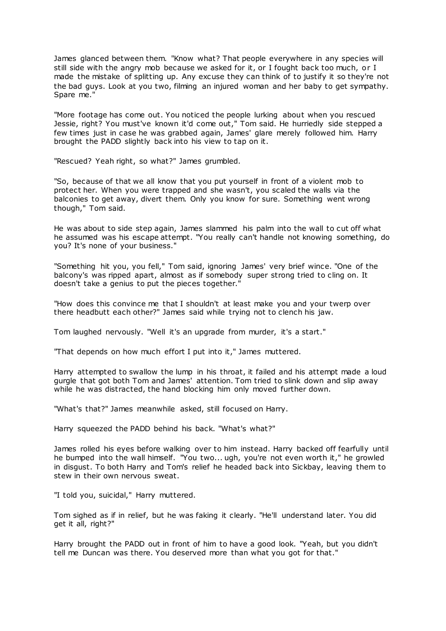James glanced between them. "Know what? That people everywhere in any species will still side with the angry mob because we asked for it, or I fought back too much, or I made the mistake of splitting up. Any excuse they can think of to justify it so they're not the bad guys. Look at you two, filming an injured woman and her baby to get sympathy. Spare me."

"More footage has come out. You noticed the people lurking about when you rescued Jessie, right? You must've known it'd come out," Tom said. He hurriedly side stepped a few times just in case he was grabbed again, James' glare merely followed him. Harry brought the PADD slightly back into his view to tap on it.

"Rescued? Yeah right, so what?" James grumbled.

"So, because of that we all know that you put yourself in front of a violent mob to protect her. When you were trapped and she wasn't, you scaled the walls via the balconies to get away, divert them. Only you know for sure. Something went wrong though," Tom said.

He was about to side step again, James slammed his palm into the wall to cut off what he assumed was his escape attempt. "You really can't handle not knowing something, do you? It's none of your business."

"Something hit you, you fell," Tom said, ignoring James' very brief wince. "One of the balcony's was ripped apart, almost as if somebody super strong tried to cling on. It doesn't take a genius to put the pieces together."

"How does this convince me that I shouldn't at least make you and your twerp over there headbutt each other?" James said while trying not to clench his jaw.

Tom laughed nervously. "Well it's an upgrade from murder, it's a start."

"That depends on how much effort I put into it," James muttered.

Harry attempted to swallow the lump in his throat, it failed and his attempt made a loud gurgle that got both Tom and James' attention. Tom tried to slink down and slip away while he was distracted, the hand blocking him only moved further down.

"What's that?" James meanwhile asked, still focused on Harry.

Harry squeezed the PADD behind his back. "What's what?"

James rolled his eyes before walking over to him instead. Harry backed off fearfully until he bumped into the wall himself. "You two... ugh, you're not even worth it," he growled in disgust. To both Harry and Tom's relief he headed back into Sickbay, leaving them to stew in their own nervous sweat.

"I told you, suicidal," Harry muttered.

Tom sighed as if in relief, but he was faking it clearly. "He'll understand later. You did get it all, right?"

Harry brought the PADD out in front of him to have a good look. "Yeah, but you didn't tell me Duncan was there. You deserved more than what you got for that."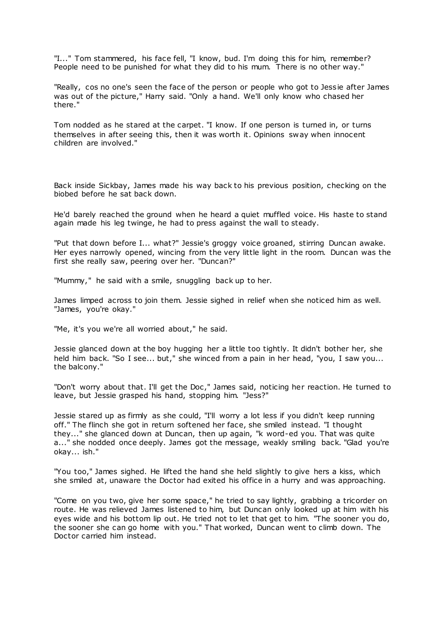"I..." Tom stammered, his face fell, "I know, bud. I'm doing this for him, remember? People need to be punished for what they did to his mum. There is no other way."

"Really, cos no one's seen the face of the person or people who got to Jessie after James was out of the picture," Harry said. "Only a hand. We'll only know who chased her there."

Tom nodded as he stared at the carpet. "I know. If one person is turned in, or turns themselves in after seeing this, then it was worth it. Opinions sway when innocent children are involved."

Back inside Sickbay, James made his way back to his previous position, checking on the biobed before he sat back down.

He'd barely reached the ground when he heard a quiet muffled voice. His haste to stand again made his leg twinge, he had to press against the wall to steady.

"Put that down before I... what?" Jessie's groggy voice groaned, stirring Duncan awake. Her eyes narrowly opened, wincing from the very little light in the room. Duncan was the first she really saw, peering over her. "Duncan?"

"Mummy," he said with a smile, snuggling back up to her.

James limped across to join them. Jessie sighed in relief when she noticed him as well. "James, you're okay."

"Me, it's you we're all worried about," he said.

Jessie glanced down at the boy hugging her a little too tightly. It didn't bother her, she held him back. "So I see... but," she winced from a pain in her head, "you, I saw you... the balcony."

"Don't worry about that. I'll get the Doc," James said, noticing her reaction. He turned to leave, but Jessie grasped his hand, stopping him. "Jess?"

Jessie stared up as firmly as she could, "I'll worry a lot less if you didn't keep running off." The flinch she got in return softened her face, she smiled instead. "I thought they..." she glanced down at Duncan, then up again, "k word-ed you. That was quite a..." she nodded once deeply. James got the message, weakly smiling back. "Glad you're okay... ish."

"You too," James sighed. He lifted the hand she held slightly to give hers a kiss, which she smiled at, unaware the Doctor had exited his office in a hurry and was approaching.

"Come on you two, give her some space," he tried to say lightly, grabbing a tricorder on route. He was relieved James listened to him, but Duncan only looked up at him with his eyes wide and his bottom lip out. He tried not to let that get to him. "The sooner you do, the sooner she can go home with you." That worked, Duncan went to climb down. The Doctor carried him instead.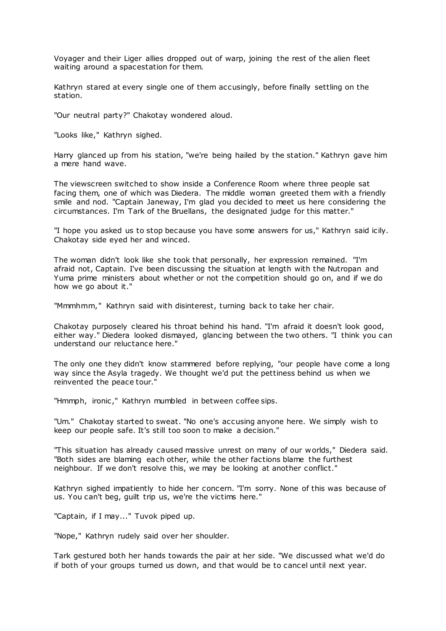Voyager and their Liger allies dropped out of warp, joining the rest of the alien fleet waiting around a spacestation for them.

Kathryn stared at every single one of them accusingly, before finally settling on the station.

"Our neutral party?" Chakotay wondered aloud.

"Looks like," Kathryn sighed.

Harry glanced up from his station, "we're being hailed by the station." Kathryn gave him a mere hand wave.

The viewscreen switched to show inside a Conference Room where three people sat facing them, one of which was Diedera. The middle woman greeted them with a friendly smile and nod. "Captain Janeway, I'm glad you decided to meet us here considering the circumstances. I'm Tark of the Bruellans, the designated judge for this matter."

"I hope you asked us to stop because you have some answers for us," Kathryn said icily. Chakotay side eyed her and winced.

The woman didn't look like she took that personally, her expression remained. "I'm afraid not, Captain. I've been discussing the situation at length with the Nutropan and Yuma prime ministers about whether or not the competition should go on, and if we do how we go about it."

"Mmmhmm," Kathryn said with disinterest, turning back to take her chair.

Chakotay purposely cleared his throat behind his hand. "I'm afraid it doesn't look good, either way." Diedera looked dismayed, glancing between the two others. "I think you can understand our reluctance here."

The only one they didn't know stammered before replying, "our people have come a long way since the Asyla tragedy. We thought we'd put the pettiness behind us when we reinvented the peace tour."

"Hmmph, ironic ," Kathryn mumbled in between coffee sips.

"Um." Chakotay started to sweat. "No one's accusing anyone here. We simply wish to keep our people safe. It's still too soon to make a decision."

"This situation has already caused massive unrest on many of our worlds," Diedera said. "Both sides are blaming each other, while the other factions blame the furthest neighbour. If we don't resolve this, we may be looking at another conflict."

Kathryn sighed impatiently to hide her concern. "I'm sorry. None of this was because of us. You can't beg, guilt trip us, we're the victims here."

"Captain, if I may..." Tuvok piped up.

"Nope," Kathryn rudely said over her shoulder.

Tark gestured both her hands towards the pair at her side. "We discussed what we'd do if both of your groups turned us down, and that would be to cancel until next year.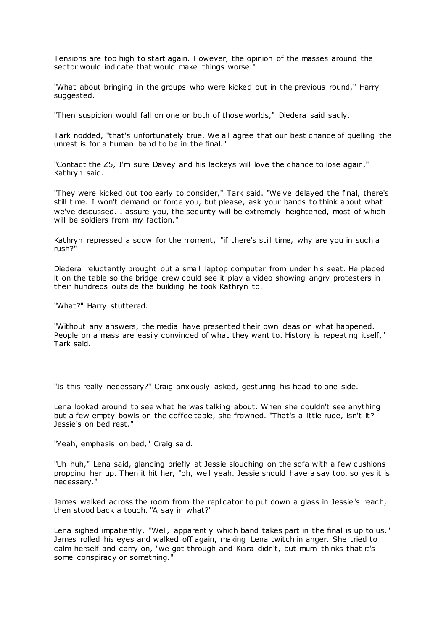Tensions are too high to start again. However, the opinion of the masses around the sector would indicate that would make things worse."

"What about bringing in the groups who were kicked out in the previous round," Harry suggested.

"Then suspicion would fall on one or both of those worlds," Diedera said sadly.

Tark nodded, "that's unfortunately true. We all agree that our best chance of quelling the unrest is for a human band to be in the final."

"Contact the Z5, I'm sure Davey and his lackeys will love the chance to lose again," Kathryn said.

"They were kicked out too early to consider," Tark said. "We've delayed the final, there's still time. I won't demand or force you, but please, ask your bands to think about what we've discussed. I assure you, the security will be extremely heightened, most of which will be soldiers from my faction."

Kathryn repressed a scowl for the moment, "if there's still time, why are you in such a rush?"

Diedera reluctantly brought out a small laptop computer from under his seat. He placed it on the table so the bridge crew could see it play a video showing angry protesters in their hundreds outside the building he took Kathryn to.

"What?" Harry stuttered.

"Without any answers, the media have presented their own ideas on what happened. People on a mass are easily convinced of what they want to. History is repeating itself," Tark said.

"Is this really necessary?" Craig anxiously asked, gesturing his head to one side.

Lena looked around to see what he was talking about. When she couldn't see anything but a few empty bowls on the coffee table, she frowned. "That's a little rude, isn't it? Jessie's on bed rest."

"Yeah, emphasis on bed," Craig said.

"Uh huh," Lena said, glancing briefly at Jessie slouching on the sofa with a few cushions propping her up. Then it hit her, "oh, well yeah. Jessie should have a say too, so yes it is necessary."

James walked across the room from the replicator to put down a glass in Jessie's reach, then stood back a touch. "A say in what?"

Lena sighed impatiently. "Well, apparently which band takes part in the final is up to us." James rolled his eyes and walked off again, making Lena twitch in anger. She tried to calm herself and carry on, "we got through and Kiara didn't, but mum thinks that it's some conspiracy or something."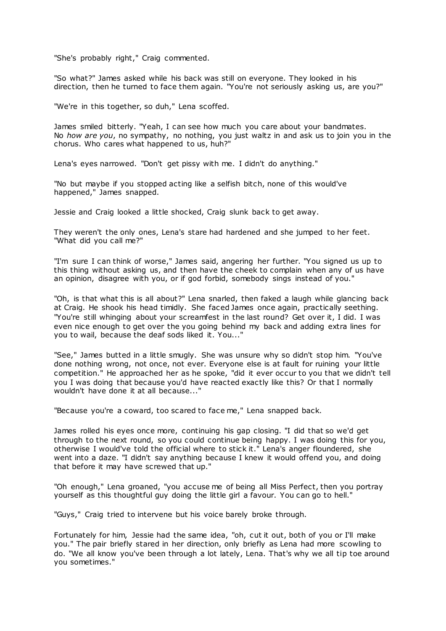"She's probably right," Craig commented.

"So what?" James asked while his back was still on everyone. They looked in his direction, then he turned to face them again. "You're not seriously asking us, are you?"

"We're in this together, so duh," Lena scoffed.

James smiled bitterly. "Yeah, I can see how much you care about your bandmates. No *how are you*, no sympathy, no nothing, you just waltz in and ask us to join you in the chorus. Who cares what happened to us, huh?"

Lena's eyes narrowed. "Don't get pissy with me. I didn't do anything."

"No but maybe if you stopped acting like a selfish bitch, none of this would've happened," James snapped.

Jessie and Craig looked a little shocked, Craig slunk back to get away.

They weren't the only ones, Lena's stare had hardened and she jumped to her feet. "What did you call me?"

"I'm sure I can think of worse," James said, angering her further. "You signed us up to this thing without asking us, and then have the cheek to complain when any of us have an opinion, disagree with you, or if god forbid, somebody sings instead of you."

"Oh, is that what this is all about?" Lena snarled, then faked a laugh while glancing back at Craig. He shook his head timidly. She faced James once again, practically seething. "You're still whinging about your screamfest in the last round? Get over it, I did. I was even nice enough to get over the you going behind my back and adding extra lines for you to wail, because the deaf sods liked it. You..."

"See," James butted in a little smugly. She was unsure why so didn't stop him. "You've done nothing wrong, not once, not ever. Everyone else is at fault for ruining your little competition." He approached her as he spoke, "did it ever occur to you that we didn't tell you I was doing that because you'd have reacted exactly like this? Or that I normally wouldn't have done it at all because..."

"Because you're a coward, too scared to face me," Lena snapped back.

James rolled his eyes once more, continuing his gap closing. "I did that so we'd get through to the next round, so you could continue being happy. I was doing this for you, otherwise I would've told the official where to stick it." Lena's anger floundered, she went into a daze. "I didn't say anything because I knew it would offend you, and doing that before it may have screwed that up."

"Oh enough," Lena groaned, "you accuse me of being all Miss Perfect, then you portray yourself as this thoughtful guy doing the little girl a favour. You can go to hell."

"Guys," Craig tried to intervene but his voice barely broke through.

Fortunately for him, Jessie had the same idea, "oh, cut it out, both of you or I'll make you." The pair briefly stared in her direction, only briefly as Lena had more scowling to do. "We all know you've been through a lot lately, Lena. That's why we all tip toe around you sometimes."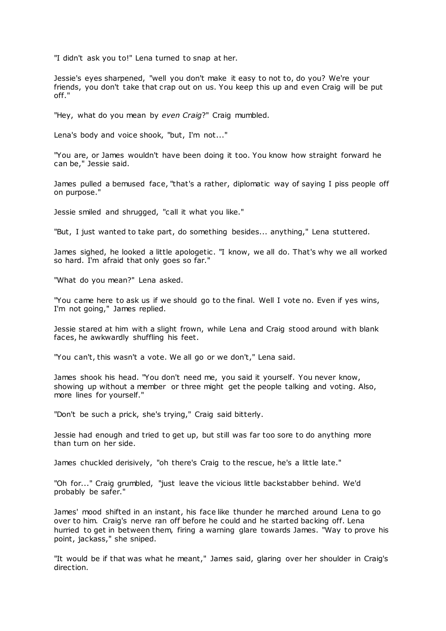"I didn't ask you to!" Lena turned to snap at her.

Jessie's eyes sharpened, "well you don't make it easy to not to, do you? We're your friends, you don't take that crap out on us. You keep this up and even Craig will be put off."

"Hey, what do you mean by *even Craig*?" Craig mumbled.

Lena's body and voice shook, "but, I'm not..."

"You are, or James wouldn't have been doing it too. You know how straight forward he can be," Jessie said.

James pulled a bemused face, "that's a rather, diplomatic way of saying I piss people off on purpose."

Jessie smiled and shrugged, "call it what you like."

"But, I just wanted to take part, do something besides... anything," Lena stuttered.

James sighed, he looked a little apologetic . "I know, we all do. That's why we all worked so hard. I'm afraid that only goes so far."

"What do you mean?" Lena asked.

"You came here to ask us if we should go to the final. Well I vote no. Even if yes wins, I'm not going," James replied.

Jessie stared at him with a slight frown, while Lena and Craig stood around with blank faces, he awkwardly shuffling his feet.

"You can't, this wasn't a vote. We all go or we don't," Lena said.

James shook his head. "You don't need me, you said it yourself. You never know, showing up without a member or three might get the people talking and voting. Also, more lines for yourself."

"Don't be such a prick, she's trying," Craig said bitterly.

Jessie had enough and tried to get up, but still was far too sore to do anything more than turn on her side.

James chuckled derisively, "oh there's Craig to the rescue, he's a little late."

"Oh for..." Craig grumbled, "just leave the vicious little backstabber behind. We'd probably be safer."

James' mood shifted in an instant, his face like thunder he marched around Lena to go over to him. Craig's nerve ran off before he could and he started backing off. Lena hurried to get in between them, firing a warning glare towards James. "Way to prove his point, jackass," she sniped.

"It would be if that was what he meant," James said, glaring over her shoulder in Craig's direction.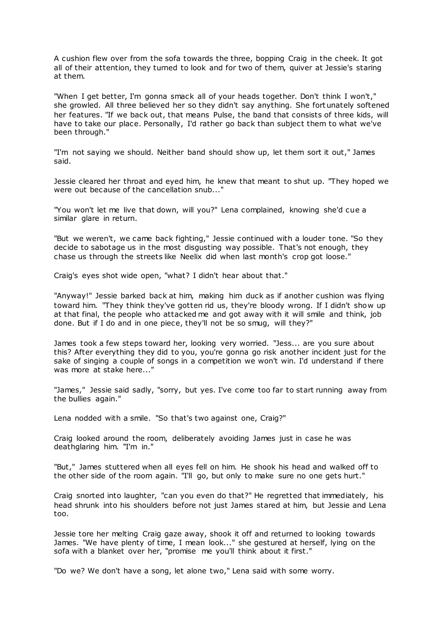A cushion flew over from the sofa towards the three, bopping Craig in the cheek. It got all of their attention, they turned to look and for two of them, quiver at Jessie's staring at them.

"When I get better, I'm gonna smack all of your heads together. Don't think I won't," she growled. All three believed her so they didn't say anything. She fort unately softened her features. "If we back out, that means Pulse, the band that consists of three kids, will have to take our place. Personally, I'd rather go back than subject them to what we've been through."

"I'm not saying we should. Neither band should show up, let them sort it out," James said.

Jessie cleared her throat and eyed him, he knew that meant to shut up. "They hoped we were out because of the cancellation snub..."

"You won't let me live that down, will you?" Lena complained, knowing she'd cue a similar glare in return.

"But we weren't, we came back fighting," Jessie continued with a louder tone. "So they decide to sabotage us in the most disgusting way possible. That's not enough, they chase us through the streets like Neelix did when last month's crop got loose."

Craig's eyes shot wide open, "what? I didn't hear about that."

"Anyway!" Jessie barked back at him, making him duck as if another cushion was flying toward him. "They think they've gotten rid us, they're bloody wrong. If I didn't show up at that final, the people who attacked me and got away with it will smile and think, job done. But if I do and in one piece, they'll not be so smug, will they?"

James took a few steps toward her, looking very worried. "Jess... are you sure about this? After everything they did to you, you're gonna go risk another incident just for the sake of singing a couple of songs in a competition we won't win. I'd understand if there was more at stake here...'

"James," Jessie said sadly, "sorry, but yes. I've come too far to start running away from the bullies again."

Lena nodded with a smile. "So that's two against one, Craig?"

Craig looked around the room, deliberately avoiding James just in case he was deathglaring him. "I'm in."

"But," James stuttered when all eyes fell on him. He shook his head and walked off to the other side of the room again. "I'll go, but only to make sure no one gets hurt."

Craig snorted into laughter, "can you even do that?" He regretted that immediately, his head shrunk into his shoulders before not just James stared at him, but Jessie and Lena too.

Jessie tore her melting Craig gaze away, shook it off and returned to looking towards James. "We have plenty of time, I mean look..." she gestured at herself, lying on the sofa with a blanket over her, "promise me you'll think about it first."

"Do we? We don't have a song, let alone two," Lena said with some worry.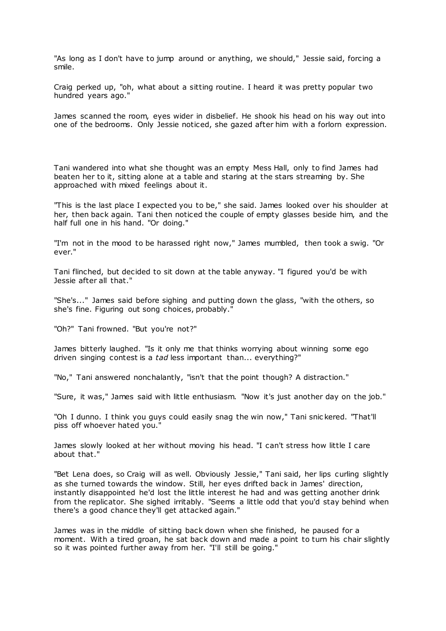"As long as I don't have to jump around or anything, we should," Jessie said, forcing a smile.

Craig perked up, "oh, what about a sitting routine. I heard it was pretty popular two hundred years ago."

James scanned the room, eyes wider in disbelief. He shook his head on his way out into one of the bedrooms. Only Jessie noticed, she gazed after him with a forlorn expression.

Tani wandered into what she thought was an empty Mess Hall, only to find James had beaten her to it, sitting alone at a table and staring at the stars streaming by. She approached with mixed feelings about it.

"This is the last place I expected you to be," she said. James looked over his shoulder at her, then back again. Tani then noticed the couple of empty glasses beside him, and the half full one in his hand. "Or doing."

"I'm not in the mood to be harassed right now," James mumbled, then took a swig. "Or ever."

Tani flinched, but decided to sit down at the table anyway. "I figured you'd be with Jessie after all that."

"She's..." James said before sighing and putting down the glass, "with the others, so she's fine. Figuring out song choices, probably."

"Oh?" Tani frowned. "But you're not?"

James bitterly laughed. "Is it only me that thinks worrying about winning some ego driven singing contest is a *tad* less important than... everything?"

"No," Tani answered nonchalantly, "isn't that the point though? A distraction."

"Sure, it was," James said with little enthusiasm. "Now it's just another day on the job."

"Oh I dunno. I think you guys could easily snag the win now," Tani snic kered. "That'll piss off whoever hated you."

James slowly looked at her without moving his head. "I can't stress how little I care about that."

"Bet Lena does, so Craig will as well. Obviously Jessie," Tani said, her lips curling slightly as she turned towards the window. Still, her eyes drifted back in James' direction, instantly disappointed he'd lost the little interest he had and was getting another drink from the replicator. She sighed irritably. "Seems a little odd that you'd stay behind when there's a good chance they'll get attacked again."

James was in the middle of sitting back down when she finished, he paused for a moment. With a tired groan, he sat back down and made a point to turn his chair slightly so it was pointed further away from her. "I'll still be going."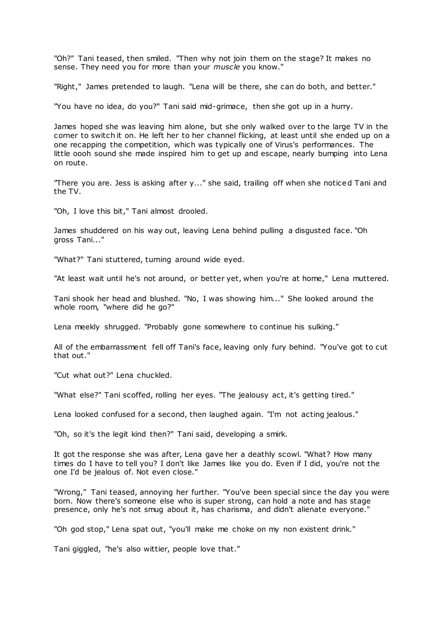"Oh?" Tani teased, then smiled. "Then why not join them on the stage? It makes no sense. They need you for more than your *muscle* you know."

"Right," James pretended to laugh. "Lena will be there, she can do both, and better."

"You have no idea, do you?" Tani said mid-grimace, then she got up in a hurry.

James hoped she was leaving him alone, but she only walked over to the large TV in the corner to switch it on. He left her to her channel flicking, at least until she ended up on a one recapping the competition, which was typically one of Virus's performances. The little oooh sound she made inspired him to get up and escape, nearly bumping into Lena on route.

"There you are. Jess is asking after y..." she said, trailing off when she noticed Tani and the TV.

"Oh, I love this bit," Tani almost drooled.

James shuddered on his way out, leaving Lena behind pulling a disgusted face. "Oh gross Tani..."

"What?" Tani stuttered, turning around wide eyed.

"At least wait until he's not around, or better yet, when you're at home," Lena muttered.

Tani shook her head and blushed. "No, I was showing him..." She looked around the whole room, "where did he go?"

Lena meekly shrugged. "Probably gone somewhere to continue his sulking."

All of the embarrassment fell off Tani's face, leaving only fury behind. "You've got to cut that out."

"Cut what out?" Lena chuckled.

"What else?" Tani scoffed, rolling her eyes. "The jealousy act, it's getting tired."

Lena looked confused for a second, then laughed again. "I'm not acting jealous."

"Oh, so it's the legit kind then?" Tani said, developing a smirk.

It got the response she was after, Lena gave her a deathly scowl. "What? How many times do I have to tell you? I don't like James like you do. Even if I did, you're not the one I'd be jealous of. Not even close."

"Wrong," Tani teased, annoying her further. "You've been special since the day you were born. Now there's someone else who is super strong, can hold a note and has stage presence, only he's not smug about it, has charisma, and didn't alienate everyone."

"Oh god stop," Lena spat out, "you'll make me choke on my non existent drink."

Tani giggled, "he's also wittier, people love that."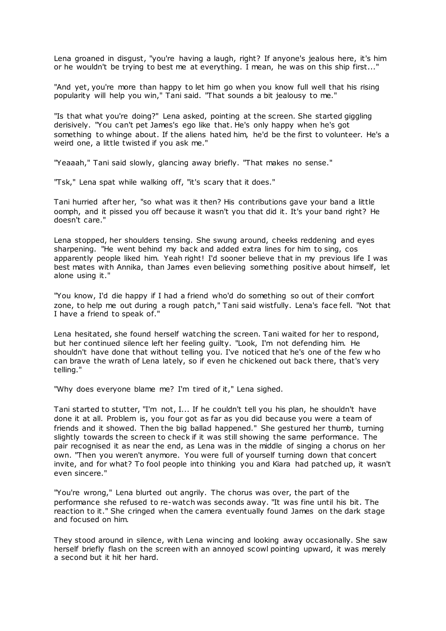Lena groaned in disgust, "you're having a laugh, right? If anyone's jealous here, it's him or he wouldn't be trying to best me at everything. I mean, he was on this ship first..."

"And yet, you're more than happy to let him go when you know full well that his rising popularity will help you win," Tani said. "That sounds a bit jealousy to me."

"Is that what you're doing?" Lena asked, pointing at the screen. She started giggling derisively. "You can't pet James's ego like that. He's only happy when he's got something to whinge about. If the aliens hated him, he'd be the first to volunteer. He's a weird one, a little twisted if you ask me."

"Yeaaah," Tani said slowly, glancing away briefly. "That makes no sense."

"Tsk," Lena spat while walking off, "it's scary that it does."

Tani hurried after her, "so what was it then? His contributions gave your band a little oomph, and it pissed you off because it wasn't you that did it. It's your band right? He doesn't care."

Lena stopped, her shoulders tensing. She swung around, cheeks reddening and eyes sharpening. "He went behind my back and added extra lines for him to sing, cos apparently people liked him. Yeah right! I'd sooner believe that in my previous life I was best mates with Annika, than James even believing something positive about himself, let alone using it."

"You know, I'd die happy if I had a friend who'd do something so out of their comfort zone, to help me out during a rough patch," Tani said wistfully. Lena's face fell. "Not that I have a friend to speak of."

Lena hesitated, she found herself watching the screen. Tani waited for her to respond, but her continued silence left her feeling guilty. "Look, I'm not defending him. He shouldn't have done that without telling you. I've noticed that he's one of the few w ho can brave the wrath of Lena lately, so if even he chickened out back there, that's very telling."

"Why does everyone blame me? I'm tired of it," Lena sighed.

Tani started to stutter, "I'm not, I... If he couldn't tell you his plan, he shouldn't have done it at all. Problem is, you four got as far as you did because you were a team of friends and it showed. Then the big ballad happened." She gestured her thumb, turning slightly towards the screen to check if it was still showing the same performance. The pair recognised it as near the end, as Lena was in the middle of singing a chorus on her own. "Then you weren't anymore. You were full of yourself turning down that concert invite, and for what? To fool people into thinking you and Kiara had patched up, it wasn't even sincere."

"You're wrong," Lena blurted out angrily. The chorus was over, the part of the performance she refused to re-watch was seconds away. "It was fine until his bit. The reaction to it." She cringed when the camera eventually found James on the dark stage and focused on him.

They stood around in silence, with Lena wincing and looking away occasionally. She saw herself briefly flash on the screen with an annoyed scowl pointing upward, it was merely a second but it hit her hard.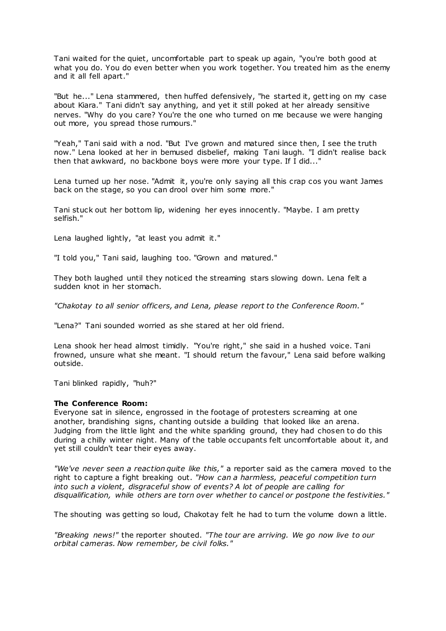Tani waited for the quiet, uncomfortable part to speak up again, "you're both good at what you do. You do even better when you work together. You treated him as the enemy and it all fell apart."

"But he..." Lena stammered, then huffed defensively, "he started it, getting on my case about Kiara." Tani didn't say anything, and yet it still poked at her already sensitive nerves. "Why do you care? You're the one who turned on me because we were hanging out more, you spread those rumours."

"Yeah," Tani said with a nod. "But I've grown and matured since then, I see the truth now." Lena looked at her in bemused disbelief, making Tani laugh. "I didn't realise back then that awkward, no backbone boys were more your type. If I did..."

Lena turned up her nose. "Admit it, you're only saying all this crap cos you want James back on the stage, so you can drool over him some more."

Tani stuck out her bottom lip, widening her eyes innocently. "Maybe. I am pretty selfish."

Lena laughed lightly, "at least you admit it."

"I told you," Tani said, laughing too. "Grown and matured."

They both laughed until they noticed the streaming stars slowing down. Lena felt a sudden knot in her stomach.

*"Chakotay to all senior officers, and Lena, please report to the Conference Room."*

"Lena?" Tani sounded worried as she stared at her old friend.

Lena shook her head almost timidly. "You're right," she said in a hushed voice. Tani frowned, unsure what she meant. "I should return the favour," Lena said before walking outside.

Tani blinked rapidly, "huh?"

### **The Conference Room:**

Everyone sat in silence, engrossed in the footage of protesters screaming at one another, brandishing signs, chanting outside a building that looked like an arena. Judging from the little light and the white sparkling ground, they had chosen to do this during a chilly winter night. Many of the table occupants felt uncomfortable about it, and yet still couldn't tear their eyes away.

*"We've never seen a reaction quite like this,"* a reporter said as the camera moved to the right to capture a fight breaking out. *"How can a harmless, peaceful competition turn into such a violent, disgraceful show of events? A lot of people are calling for disqualification, while others are torn over whether to cancel or postpone the festivities."*

The shouting was getting so loud, Chakotay felt he had to turn the volume down a little.

*"Breaking news!"* the reporter shouted. *"The tour are arriving. We go now live to our orbital cameras. Now remember, be civil folks."*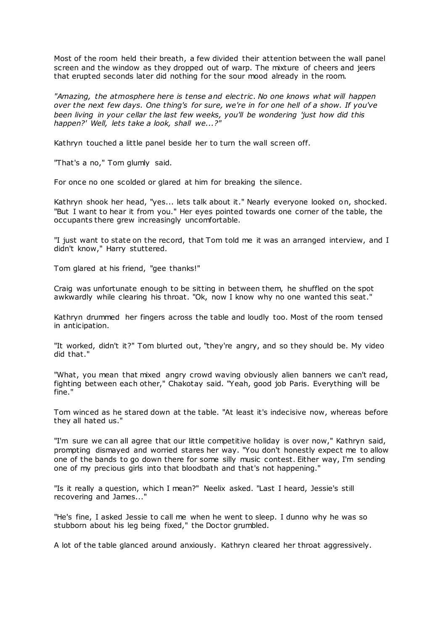Most of the room held their breath, a few divided their attention between the wall panel screen and the window as they dropped out of warp. The mixture of cheers and jeers that erupted seconds later did nothing for the sour mood already in the room.

*"Amazing, the atmosphere here is tense and electric . No one knows what will happen over the next few days. One thing's for sure, we're in for one hell of a show. If you've been living in your cellar the last few weeks, you'll be wondering 'just how did this happen?' Well, lets take a look, shall we...?"*

Kathryn touched a little panel beside her to turn the wall screen off.

"That's a no," Tom glumly said.

For once no one scolded or glared at him for breaking the silence.

Kathryn shook her head, "yes... lets talk about it." Nearly everyone looked on, shocked. "But I want to hear it from you." Her eyes pointed towards one corner of the table, the occupants there grew increasingly uncomfortable.

"I just want to state on the record, that Tom told me it was an arranged interview, and I didn't know," Harry stuttered.

Tom glared at his friend, "gee thanks!"

Craig was unfortunate enough to be sitting in between them, he shuffled on the spot awkwardly while clearing his throat. "Ok, now I know why no one wanted this seat."

Kathryn drummed her fingers across the table and loudly too. Most of the room tensed in anticipation.

"It worked, didn't it?" Tom blurted out, "they're angry, and so they should be. My video did that."

"What, you mean that mixed angry crowd waving obviously alien banners we can't read, fighting between each other," Chakotay said. "Yeah, good job Paris. Everything will be fine."

Tom winced as he stared down at the table. "At least it's indecisive now, whereas before they all hated us."

"I'm sure we can all agree that our little competitive holiday is over now," Kathryn said, prompting dismayed and worried stares her way. "You don't honestly expect me to allow one of the bands to go down there for some silly music contest. Either way, I'm sending one of my precious girls into that bloodbath and that's not happening."

"Is it really a question, which I mean?" Neelix asked. "Last I heard, Jessie's still recovering and James..."

"He's fine, I asked Jessie to call me when he went to sleep. I dunno why he was so stubborn about his leg being fixed," the Doctor grumbled.

A lot of the table glanced around anxiously. Kathryn cleared her throat aggressively.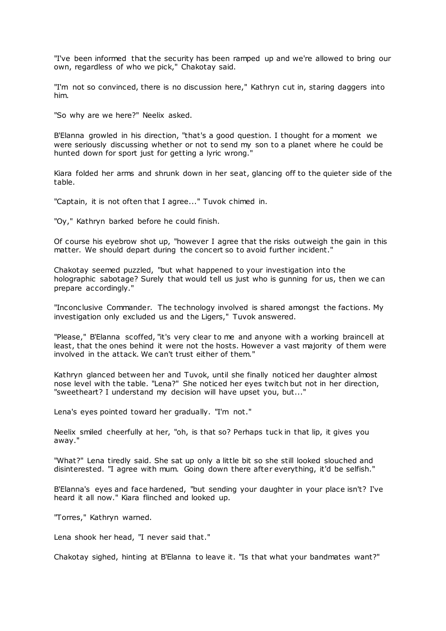"I've been informed that the security has been ramped up and we're allowed to bring our own, regardless of who we pick," Chakotay said.

"I'm not so convinced, there is no discussion here," Kathryn cut in, staring daggers into him.

"So why are we here?" Neelix asked.

B'Elanna growled in his direction, "that's a good question. I thought for a moment we were seriously discussing whether or not to send my son to a planet where he could be hunted down for sport just for getting a lyric wrong."

Kiara folded her arms and shrunk down in her seat, glancing off to the quieter side of the table.

"Captain, it is not often that I agree..." Tuvok chimed in.

"Oy," Kathryn barked before he could finish.

Of course his eyebrow shot up, "however I agree that the risks outweigh the gain in this matter. We should depart during the concert so to avoid further incident."

Chakotay seemed puzzled, "but what happened to your investigation into the holographic sabotage? Surely that would tell us just who is gunning for us, then we can prepare accordingly."

"Inconclusive Commander. The technology involved is shared amongst the factions. My investigation only excluded us and the Ligers," Tuvok answered.

"Please," B'Elanna scoffed, "it's very clear to me and anyone with a working braincell at least, that the ones behind it were not the hosts. However a vast majority of them were involved in the attack. We can't trust either of them."

Kathryn glanced between her and Tuvok, until she finally noticed her daughter almost nose level with the table. "Lena?" She noticed her eyes twitch but not in her direction, "sweetheart? I understand my decision will have upset you, but..."

Lena's eyes pointed toward her gradually. "I'm not."

Neelix smiled cheerfully at her, "oh, is that so? Perhaps tuck in that lip, it gives you away."

"What?" Lena tiredly said. She sat up only a little bit so she still looked slouched and disinterested. "I agree with mum. Going down there after everything, it'd be selfish."

B'Elanna's eyes and face hardened, "but sending your daughter in your place isn't? I've heard it all now." Kiara flinched and looked up.

"Torres," Kathryn warned.

Lena shook her head, "I never said that."

Chakotay sighed, hinting at B'Elanna to leave it. "Is that what your bandmates want?"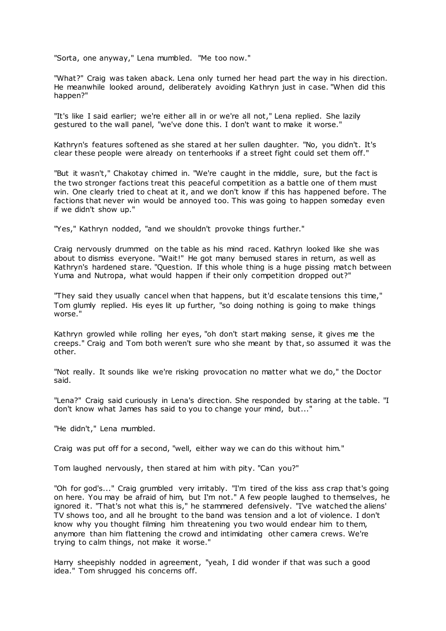"Sorta, one anyway," Lena mumbled. "Me too now."

"What?" Craig was taken aback. Lena only turned her head part the way in his direction. He meanwhile looked around, deliberately avoiding Kathryn just in case. "When did this happen?"

"It's like I said earlier; we're either all in or we're all not," Lena replied. She lazily gestured to the wall panel, "we've done this. I don't want to make it worse."

Kathryn's features softened as she stared at her sullen daughter. "No, you didn't. It's clear these people were already on tenterhooks if a street fight could set them off."

"But it wasn't," Chakotay chimed in. "We're caught in the middle, sure, but the fact is the two stronger factions treat this peaceful competition as a battle one of them must win. One clearly tried to cheat at it, and we don't know if this has happened before. The factions that never win would be annoyed too. This was going to happen someday even if we didn't show up."

"Yes," Kathryn nodded, "and we shouldn't provoke things further."

Craig nervously drummed on the table as his mind raced. Kathryn looked like she was about to dismiss everyone. "Wait!" He got many bemused stares in return, as well as Kathryn's hardened stare. "Question. If this whole thing is a huge pissing match between Yuma and Nutropa, what would happen if their only competition dropped out?"

"They said they usually cancel when that happens, but it'd escalate tensions this time," Tom glumly replied. His eyes lit up further, "so doing nothing is going to make things worse."

Kathryn growled while rolling her eyes, "oh don't start making sense, it gives me the creeps." Craig and Tom both weren't sure who she meant by that, so assumed it was the other.

"Not really. It sounds like we're risking provocation no matter what we do," the Doctor said.

"Lena?" Craig said curiously in Lena's direction. She responded by staring at the table. "I don't know what James has said to you to change your mind, but..."

"He didn't," Lena mumbled.

Craig was put off for a second, "well, either way we can do this without him."

Tom laughed nervously, then stared at him with pity. "Can you?"

"Oh for god's..." Craig grumbled very irritably. "I'm tired of the kiss ass crap that's going on here. You may be afraid of him, but I'm not." A few people laughed to themselves, he ignored it. "That's not what this is," he stammered defensively. "I've watched the aliens' TV shows too, and all he brought to the band was tension and a lot of violence. I don't know why you thought filming him threatening you two would endear him to them, anymore than him flattening the crowd and intimidating other camera crews. We're trying to calm things, not make it worse."

Harry sheepishly nodded in agreement, "yeah, I did wonder if that was such a good idea." Tom shrugged his concerns off.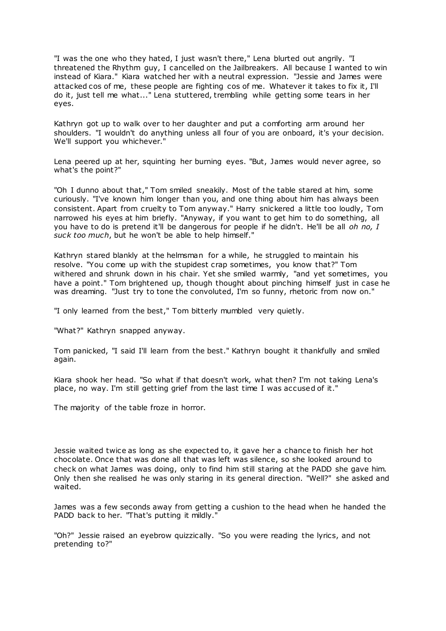"I was the one who they hated, I just wasn't there," Lena blurted out angrily. "I threatened the Rhythm guy, I cancelled on the Jailbreakers. All because I wanted to win instead of Kiara." Kiara watched her with a neutral expression. "Jessie and James were attacked cos of me, these people are fighting cos of me. Whatever it takes to fix it, I'll do it, just tell me what..." Lena stuttered, trembling while getting some tears in her eyes.

Kathryn got up to walk over to her daughter and put a comforting arm around her shoulders. "I wouldn't do anything unless all four of you are onboard, it's your decision. We'll support you whichever."

Lena peered up at her, squinting her burning eyes. "But, James would never agree, so what's the point?"

"Oh I dunno about that," Tom smiled sneakily. Most of the table stared at him, some curiously. "I've known him longer than you, and one thing about him has always been consistent. Apart from cruelty to Tom anyway." Harry snickered a little too loudly, Tom narrowed his eyes at him briefly. "Anyway, if you want to get him to do something, all you have to do is pretend it'll be dangerous for people if he didn't. He'll be all *oh no, I suck too much*, but he won't be able to help himself."

Kathryn stared blankly at the helmsman for a while, he struggled to maintain his resolve. "You come up with the stupidest crap sometimes, you know that?" Tom withered and shrunk down in his chair. Yet she smiled warmly, "and yet sometimes, you have a point." Tom brightened up, though thought about pinching himself just in case he was dreaming. "Just try to tone the convoluted, I'm so funny, rhetoric from now on."

"I only learned from the best," Tom bitterly mumbled very quietly.

"What?" Kathryn snapped anyway.

Tom panicked, "I said I'll learn from the best." Kathryn bought it thankfully and smiled again.

Kiara shook her head. "So what if that doesn't work, what then? I'm not taking Lena's place, no way. I'm still getting grief from the last time I was accused of it."

The majority of the table froze in horror.

Jessie waited twice as long as she expected to, it gave her a chance to finish her hot chocolate. Once that was done all that was left was silence, so she looked around to check on what James was doing, only to find him still staring at the PADD she gave him. Only then she realised he was only staring in its general direction. "Well?" she asked and waited.

James was a few seconds away from getting a cushion to the head when he handed the PADD back to her. "That's putting it mildly."

"Oh?" Jessie raised an eyebrow quizzically. "So you were reading the lyrics, and not pretending to?"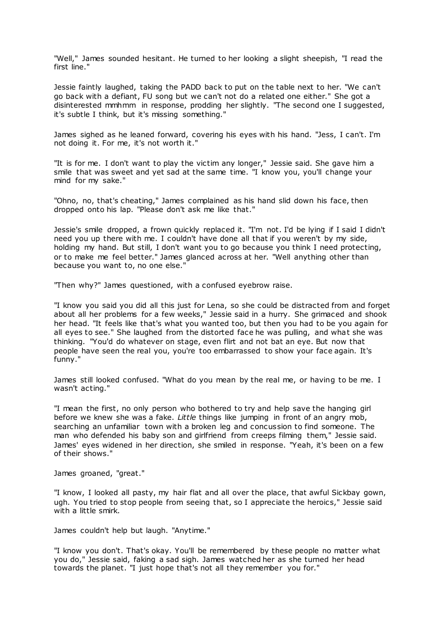"Well," James sounded hesitant. He turned to her looking a slight sheepish, "I read the first line."

Jessie faintly laughed, taking the PADD back to put on the table next to her. "We can't go back with a defiant, FU song but we can't not do a related one either." She got a disinterested mmhmm in response, prodding her slightly. "The second one I suggested, it's subtle I think, but it's missing something."

James sighed as he leaned forward, covering his eyes with his hand. "Jess, I can't. I'm not doing it. For me, it's not worth it."

"It is for me. I don't want to play the victim any longer," Jessie said. She gave him a smile that was sweet and yet sad at the same time. "I know you, you'll change your mind for my sake."

"Ohno, no, that's cheating," James complained as his hand slid down his face, then dropped onto his lap. "Please don't ask me like that."

Jessie's smile dropped, a frown quickly replaced it. "I'm not. I'd be lying if I said I didn't need you up there with me. I couldn't have done all that if you weren't by my side, holding my hand. But still, I don't want you to go because you think I need protecting, or to make me feel better." James glanced across at her. "Well anything other than because you want to, no one else."

"Then why?" James questioned, with a confused eyebrow raise.

"I know you said you did all this just for Lena, so she could be distracted from and forget about all her problems for a few weeks," Jessie said in a hurry. She grimaced and shook her head. "It feels like that's what you wanted too, but then you had to be you again for all eyes to see." She laughed from the distorted face he was pulling, and what she was thinking. "You'd do whatever on stage, even flirt and not bat an eye. But now that people have seen the real you, you're too embarrassed to show your face again. It's funny."

James still looked confused. "What do you mean by the real me, or having to be me. I wasn't acting."

"I mean the first, no only person who bothered to try and help save the hanging girl before we knew she was a fake. *Little* things like jumping in front of an angry mob, searching an unfamiliar town with a broken leg and concussion to find someone. The man who defended his baby son and girlfriend from creeps filming them," Jessie said. James' eyes widened in her direction, she smiled in response. "Yeah, it's been on a few of their shows."

James groaned, "great."

"I know, I looked all pasty, my hair flat and all over the place, that awful Sickbay gown, ugh. You tried to stop people from seeing that, so I appreciate the heroics," Jessie said with a little smirk.

James couldn't help but laugh. "Anytime."

"I know you don't. That's okay. You'll be remembered by these people no matter what you do," Jessie said, faking a sad sigh. James watched her as she turned her head towards the planet. "I just hope that's not all they remember you for."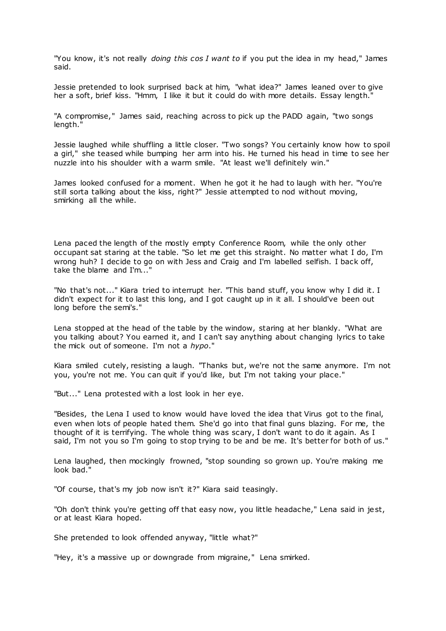"You know, it's not really *doing this cos I want to* if you put the idea in my head," James said.

Jessie pretended to look surprised back at him, "what idea?" James leaned over to give her a soft, brief kiss. "Hmm, I like it but it could do with more details. Essay length."

"A compromise," James said, reaching across to pick up the PADD again, "two songs length."

Jessie laughed while shuffling a little closer. "Two songs? You certainly know how to spoil a girl," she teased while bumping her arm into his. He turned his head in time to see her nuzzle into his shoulder with a warm smile. "At least we'll definitely win."

James looked confused for a moment. When he got it he had to laugh with her. "You're still sorta talking about the kiss, right?" Jessie attempted to nod without moving, smirking all the while.

Lena paced the length of the mostly empty Conference Room, while the only other occupant sat staring at the table. "So let me get this straight. No matter what I do, I'm wrong huh? I decide to go on with Jess and Craig and I'm labelled selfish. I back off, take the blame and I'm..."

"No that's not..." Kiara tried to interrupt her. "This band stuff, you know why I did it. I didn't expect for it to last this long, and I got caught up in it all. I should've been out long before the semi's."

Lena stopped at the head of the table by the window, staring at her blankly. "What are you talking about? You earned it, and I can't say anything about changing lyrics to take the mick out of someone. I'm not a *hypo*."

Kiara smiled cutely, resisting a laugh. "Thanks but, we're not the same anymore. I'm not you, you're not me. You can quit if you'd like, but I'm not taking your place."

"But..." Lena protested with a lost look in her eye.

"Besides, the Lena I used to know would have loved the idea that Virus got to the final, even when lots of people hated them. She'd go into that final guns blazing. For me, the thought of it is terrifying. The whole thing was scary, I don't want to do it again. As I said, I'm not you so I'm going to stop trying to be and be me. It's better for both of us."

Lena laughed, then mockingly frowned, "stop sounding so grown up. You're making me look bad."

"Of course, that's my job now isn't it?" Kiara said teasingly.

"Oh don't think you're getting off that easy now, you little headache," Lena said in jest, or at least Kiara hoped.

She pretended to look offended anyway, "little what?"

"Hey, it's a massive up or downgrade from migraine," Lena smirked.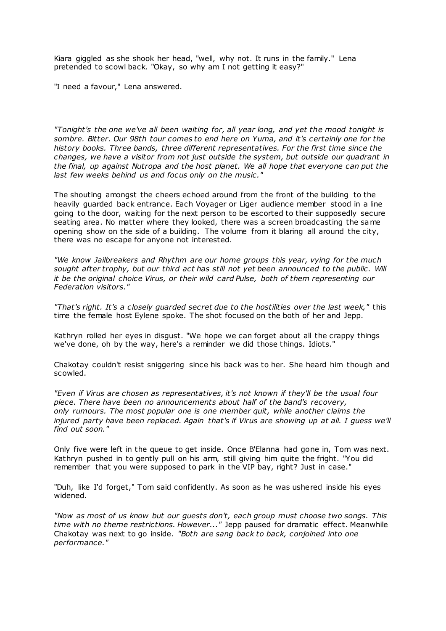Kiara giggled as she shook her head, "well, why not. It runs in the family." Lena pretended to scowl back. "Okay, so why am I not getting it easy?"

"I need a favour," Lena answered.

*"Tonight's the one we've all been waiting for, all year long, and yet the mood tonight is sombre. Bitter. Our 98th tour comes to end here on Yuma, and it's certainly one for the history books. Three bands, three different representatives. For the first time since the changes, we have a visitor from not just outside the system, but outside our quadrant in the final, up against Nutropa and the host planet. We all hope that everyone can put the last few weeks behind us and focus only on the music ."*

The shouting amongst the cheers echoed around from the front of the building to the heavily guarded back entrance. Each Voyager or Liger audience member stood in a line going to the door, waiting for the next person to be escorted to their supposedly secure seating area. No matter where they looked, there was a screen broadcasting the same opening show on the side of a building. The volume from it blaring all around the city, there was no escape for anyone not interested.

*"We know Jailbreakers and Rhythm are our home groups this year, vying for the much sought after trophy, but our third act has still not yet been announced to the public . Will it be the original choice Virus, or their wild card Pulse, both of them representing our Federation visitors."*

*"That's right. It's a closely guarded secret due to the hostilities over the last week,"* this time the female host Eylene spoke. The shot focused on the both of her and Jepp.

Kathryn rolled her eyes in disgust. "We hope we can forget about all the crappy things we've done, oh by the way, here's a reminder we did those things. Idiots."

Chakotay couldn't resist sniggering since his back was to her. She heard him though and scowled.

*"Even if Virus are chosen as representatives, it's not known if they'll be the usual four piece. There have been no announcements about half of the band's recovery, only rumours. The most popular one is one member quit, while another claims the injured party have been replaced. Again that's if Virus are showing up at all. I guess we'll find out soon."*

Only five were left in the queue to get inside. Once B'Elanna had gone in, Tom was next. Kathryn pushed in to gently pull on his arm, still giving him quite the fright. "You did remember that you were supposed to park in the VIP bay, right? Just in case."

"Duh, like I'd forget," Tom said confidently. As soon as he was ushered inside his eyes widened.

*"Now as most of us know but our guests don't, each group must choose two songs. This time with no theme restrictions. However..."* Jepp paused for dramatic effect. Meanwhile Chakotay was next to go inside. *"Both are sang back to back, conjoined into one performance."*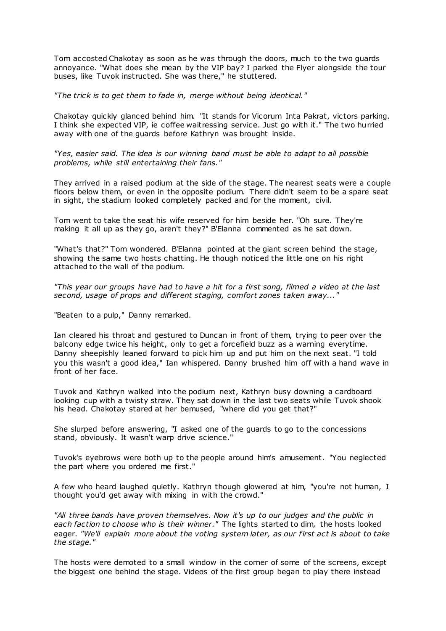Tom accosted Chakotay as soon as he was through the doors, much to the two guards annoyance. "What does she mean by the VIP bay? I parked the Flyer alongside the tour buses, like Tuvok instructed. She was there," he stuttered.

*"The trick is to get them to fade in, merge without being identical."*

Chakotay quickly glanced behind him. "It stands for Vicorum Inta Pakrat, victors parking. I think she expected VIP, ie coffee waitressing service. Just go with it." The two hurried away with one of the guards before Kathryn was brought inside.

*"Yes, easier said. The idea is our winning band must be able to adapt to all possible problems, while still entertaining their fans."*

They arrived in a raised podium at the side of the stage. The nearest seats were a couple floors below them, or even in the opposite podium. There didn't seem to be a spare seat in sight, the stadium looked completely packed and for the moment, civil.

Tom went to take the seat his wife reserved for him beside her. "Oh sure. They're making it all up as they go, aren't they?" B'Elanna commented as he sat down.

"What's that?" Tom wondered. B'Elanna pointed at the giant screen behind the stage, showing the same two hosts chatting. He though noticed the little one on his right attached to the wall of the podium.

*"This year our groups have had to have a hit for a first song, filmed a video at the last second, usage of props and different staging, comfort zones taken away..."*

"Beaten to a pulp," Danny remarked.

Ian cleared his throat and gestured to Duncan in front of them, trying to peer over the balcony edge twice his height, only to get a forcefield buzz as a warning everytime. Danny sheepishly leaned forward to pick him up and put him on the next seat. "I told you this wasn't a good idea," Ian whispered. Danny brushed him off with a hand wave in front of her face.

Tuvok and Kathryn walked into the podium next, Kathryn busy downing a cardboard looking cup with a twisty straw. They sat down in the last two seats while Tuvok shook his head. Chakotay stared at her bemused, "where did you get that?"

She slurped before answering, "I asked one of the guards to go to the concessions stand, obviously. It wasn't warp drive science."

Tuvok's eyebrows were both up to the people around him's amusement. "You neglected the part where you ordered me first."

A few who heard laughed quietly. Kathryn though glowered at him, "you're not human, I thought you'd get away with mixing in with the crowd."

*"All three bands have proven themselves. Now it's up to our judges and the public in each faction to choose who is their winner."* The lights started to dim, the hosts looked eager. *"We'll explain more about the voting system later, as our first act is about to take the stage."*

The hosts were demoted to a small window in the corner of some of the screens, except the biggest one behind the stage. Videos of the first group began to play there instead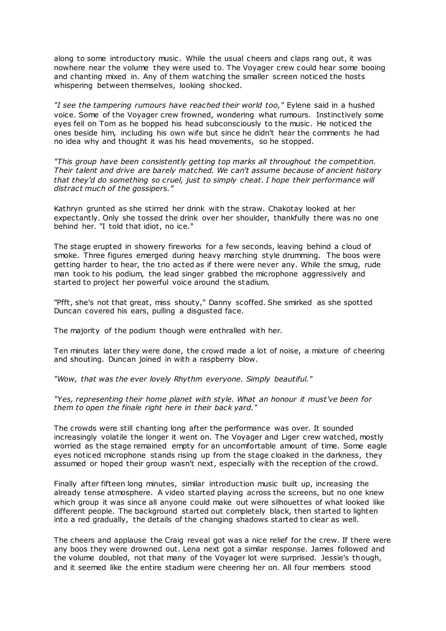along to some introductory music. While the usual cheers and claps rang out, it was nowhere near the volume they were used to. The Voyager crew could hear some booing and chanting mixed in. Any of them watching the smaller screen noticed the hosts whispering between themselves, looking shocked.

*"I see the tampering rumours have reached their world too,"* Eylene said in a hushed voice. Some of the Voyager crew frowned, wondering what rumours. Instinctively some eyes fell on Tom as he bopped his head subconsciously to the music . He noticed the ones beside him, including his own wife but since he didn't hear the comments he had no idea why and thought it was his head movements, so he stopped.

*"This group have been consistently getting top marks all throughout the competition. Their talent and drive are barely matched. We can't assume because of ancient history that they'd do something so cruel, just to simply cheat. I hope their performance will distract much of the gossipers."*

Kathryn grunted as she stirred her drink with the straw. Chakotay looked at her expectantly. Only she tossed the drink over her shoulder, thankfully there was no one behind her. "I told that idiot, no ice."

The stage erupted in showery fireworks for a few seconds, leaving behind a cloud of smoke. Three figures emerged during heavy marching style drumming. The boos were getting harder to hear, the trio acted as if there were never any. While the smug, rude man took to his podium, the lead singer grabbed the microphone aggressively and started to project her powerful voice around the stadium.

"Pfft, she's not that great, miss shouty," Danny scoffed. She smirked as she spotted Duncan covered his ears, pulling a disgusted face.

The majority of the podium though were enthralled with her.

Ten minutes later they were done, the crowd made a lot of noise, a mixture of cheering and shouting. Duncan joined in with a raspberry blow.

*"Wow, that was the ever lovely Rhythm everyone. Simply beautiful."*

*"Yes, representing their home planet with style. What an honour it must've been for them to open the finale right here in their back yard."*

The crowds were still chanting long after the performance was over. It sounded increasingly volatile the longer it went on. The Voyager and Liger crew watched, mostly worried as the stage remained empty for an uncomfortable amount of time. Some eagle eyes noticed microphone stands rising up from the stage cloaked in the darkness, they assumed or hoped their group wasn't next, especially with the reception of the crowd.

Finally after fifteen long minutes, similar introduction music built up, increasing the already tense atmosphere. A video started playing across the screens, but no one knew which group it was since all anyone could make out were silhouettes of what looked like different people. The background started out completely black, then started to lighten into a red gradually, the details of the changing shadows started to clear as well.

The cheers and applause the Craig reveal got was a nice relief for the crew. If there were any boos they were drowned out. Lena next got a similar response. James followed and the volume doubled, not that many of the Voyager lot were surprised. Jessie's though, and it seemed like the entire stadium were cheering her on. All four members stood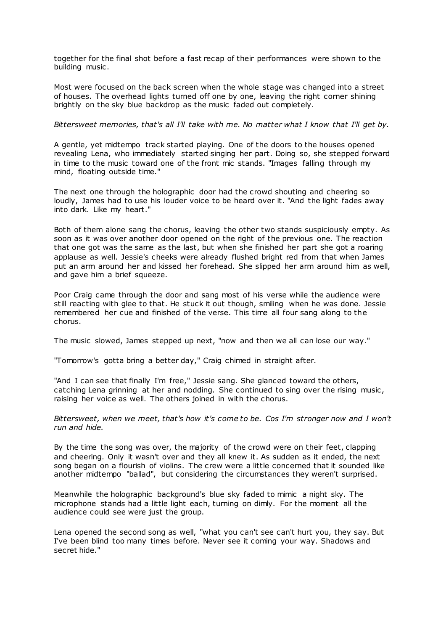together for the final shot before a fast recap of their performances were shown to the building music .

Most were focused on the back screen when the whole stage was c hanged into a street of houses. The overhead lights turned off one by one, leaving the right corner shining brightly on the sky blue backdrop as the music faded out completely.

# *Bittersweet memories, that's all I'll take with me. No matter what I know that I'll get by.*

A gentle, yet midtempo track started playing. One of the doors to the houses opened revealing Lena, who immediately started singing her part. Doing so, she stepped forward in time to the music toward one of the front mic stands. "Images falling through my mind, floating outside time."

The next one through the holographic door had the crowd shouting and cheering so loudly, James had to use his louder voice to be heard over it. "And the light fades away into dark. Like my heart."

Both of them alone sang the chorus, leaving the other two stands suspiciously empty. As soon as it was over another door opened on the right of the previous one. The reaction that one got was the same as the last, but when she finished her part she got a roaring applause as well. Jessie's cheeks were already flushed bright red from that when James put an arm around her and kissed her forehead. She slipped her arm around him as well, and gave him a brief squeeze.

Poor Craig came through the door and sang most of his verse while the audience were still reacting with glee to that. He stuck it out though, smiling when he was done. Jessie remembered her cue and finished of the verse. This time all four sang along to the chorus.

The music slowed, James stepped up next, "now and then we all can lose our way."

"Tomorrow's gotta bring a better day," Craig chimed in straight after.

"And I can see that finally I'm free," Jessie sang. She glanced toward the others, catching Lena grinning at her and nodding. She continued to sing over the rising music, raising her voice as well. The others joined in with the chorus.

*Bittersweet, when we meet, that's how it's come to be. Cos I'm stronger now and I won't run and hide.*

By the time the song was over, the majority of the crowd were on their feet, clapping and cheering. Only it wasn't over and they all knew it. As sudden as it ended, the next song began on a flourish of violins. The crew were a little concerned that it sounded like another midtempo "ballad", but considering the circumstances they weren't surprised.

Meanwhile the holographic background's blue sky faded to mimic a night sky. The microphone stands had a little light each, turning on dimly. For the moment all the audience could see were just the group.

Lena opened the second song as well, "what you can't see can't hurt you, they say. But I've been blind too many times before. Never see it coming your way. Shadows and secret hide."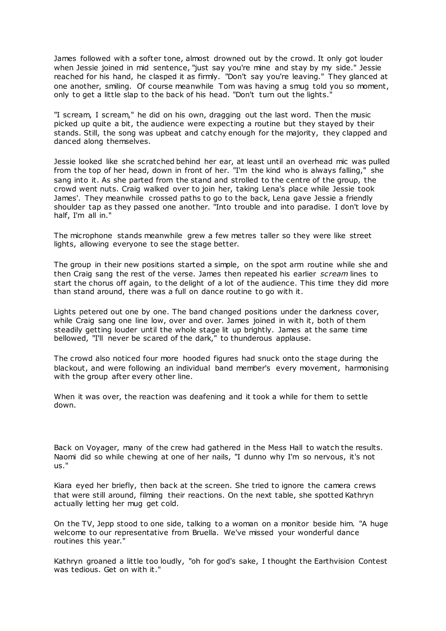James followed with a softer tone, almost drowned out by the crowd. It only got louder when Jessie joined in mid sentence, "just say you're mine and stay by my side." Jessie reached for his hand, he clasped it as firmly. "Don't say you're leaving." They glanced at one another, smiling. Of course meanwhile Tom was having a smug told you so moment, only to get a little slap to the back of his head. "Don't turn out the lights."

"I scream, I scream," he did on his own, dragging out the last word. Then the music picked up quite a bit, the audience were expecting a routine but they stayed by their stands. Still, the song was upbeat and catchy enough for the majority, they clapped and danced along themselves.

Jessie looked like she scratched behind her ear, at least until an overhead mic was pulled from the top of her head, down in front of her. "I'm the kind who is always falling," she sang into it. As she parted from the stand and strolled to the centre of the group, the crowd went nuts. Craig walked over to join her, taking Lena's place while Jessie took James'. They meanwhile crossed paths to go to the back, Lena gave Jessie a friendly shoulder tap as they passed one another. "Into trouble and into paradise. I don't love by half, I'm all in."

The microphone stands meanwhile grew a few metres taller so they were like street lights, allowing everyone to see the stage better.

The group in their new positions started a simple, on the spot arm routine while she and then Craig sang the rest of the verse. James then repeated his earlier *scream* lines to start the chorus off again, to the delight of a lot of the audience. This time they did more than stand around, there was a full on dance routine to go with it.

Lights petered out one by one. The band changed positions under the darkness cover, while Craig sang one line low, over and over. James joined in with it, both of them steadily getting louder until the whole stage lit up brightly. James at the same time bellowed, "I'll never be scared of the dark," to thunderous applause.

The crowd also noticed four more hooded figures had snuck onto the stage during the blackout, and were following an individual band member's every movement, harmonising with the group after every other line.

When it was over, the reaction was deafening and it took a while for them to settle down.

Back on Voyager, many of the crew had gathered in the Mess Hall to watch the results. Naomi did so while chewing at one of her nails, "I dunno why I'm so nervous, it's not us."

Kiara eyed her briefly, then back at the screen. She tried to ignore the camera crews that were still around, filming their reactions. On the next table, she spotted Kathryn actually letting her mug get cold.

On the TV, Jepp stood to one side, talking to a woman on a monitor beside him. "A huge welcome to our representative from Bruella. We've missed your wonderful dance routines this year."

Kathryn groaned a little too loudly, "oh for god's sake, I thought the Earthvision Contest was tedious. Get on with it."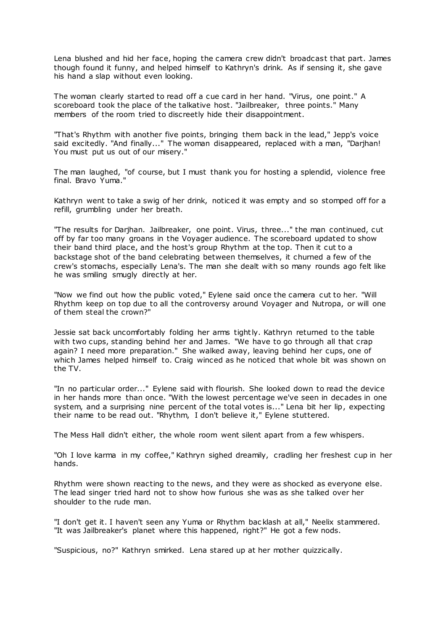Lena blushed and hid her face, hoping the camera crew didn't broadcast that part. James though found it funny, and helped himself to Kathryn's drink. As if sensing it, she gave his hand a slap without even looking.

The woman clearly started to read off a cue card in her hand. "Virus, one point." A scoreboard took the place of the talkative host. "Jailbreaker, three points." Many members of the room tried to discreetly hide their disappointment.

"That's Rhythm with another five points, bringing them back in the lead," Jepp's voice said excitedly. "And finally..." The woman disappeared, replaced with a man, "Darjhan! You must put us out of our misery."

The man laughed, "of course, but I must thank you for hosting a splendid, violence free final. Bravo Yuma."

Kathryn went to take a swig of her drink, noticed it was empty and so stomped off for a refill, grumbling under her breath.

"The results for Darjhan. Jailbreaker, one point. Virus, three..." the man continued, cut off by far too many groans in the Voyager audience. The scoreboard updated to show their band third place, and the host's group Rhythm at the top. Then it cut to a backstage shot of the band celebrating between themselves, it churned a few of the crew's stomachs, especially Lena's. The man she dealt with so many rounds ago felt like he was smiling smugly directly at her.

"Now we find out how the public voted," Eylene said once the camera cut to her. "Will Rhythm keep on top due to all the controversy around Voyager and Nutropa, or will one of them steal the crown?"

Jessie sat back uncomfortably folding her arms tightly. Kathryn returned to the table with two cups, standing behind her and James. "We have to go through all that crap again? I need more preparation." She walked away, leaving behind her cups, one of which James helped himself to. Craig winced as he noticed that whole bit was shown on the TV.

"In no particular order..." Eylene said with flourish. She looked down to read the device in her hands more than once. "With the lowest percentage we've seen in decades in one system, and a surprising nine percent of the total votes is..." Lena bit her lip, expecting their name to be read out. "Rhythm, I don't believe it," Eylene stuttered.

The Mess Hall didn't either, the whole room went silent apart from a few whispers.

"Oh I love karma in my coffee," Kathryn sighed dreamily, cradling her freshest cup in her hands.

Rhythm were shown reacting to the news, and they were as shocked as everyone else. The lead singer tried hard not to show how furious she was as she talked over her shoulder to the rude man.

"I don't get it. I haven't seen any Yuma or Rhythm bac klash at all," Neelix stammered. "It was Jailbreaker's planet where this happened, right?" He got a few nods.

"Suspicious, no?" Kathryn smirked. Lena stared up at her mother quizzically.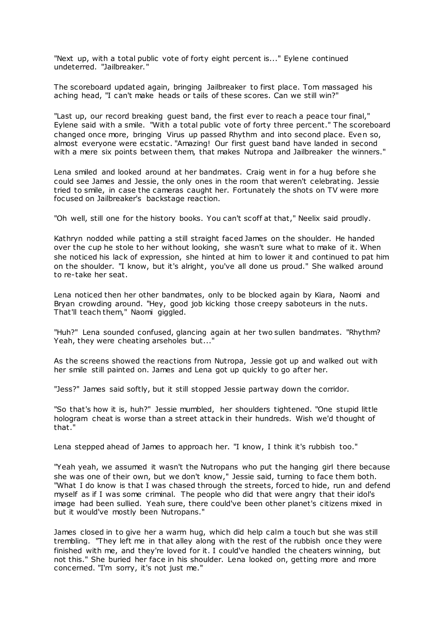"Next up, with a total public vote of forty eight percent is..." Eylene continued undeterred. "Jailbreaker."

The scoreboard updated again, bringing Jailbreaker to first place. Tom massaged his aching head, "I can't make heads or tails of these scores. Can we still win?"

"Last up, our record breaking guest band, the first ever to reach a peace tour final," Eylene said with a smile. "With a total public vote of forty three percent." The scoreboard changed once more, bringing Virus up passed Rhythm and into second place. Even so, almost everyone were ecstatic. "Amazing! Our first quest band have landed in second with a mere six points between them, that makes Nutropa and Jailbreaker the winners."

Lena smiled and looked around at her bandmates. Craig went in for a hug before she could see James and Jessie, the only ones in the room that weren't celebrating. Jessie tried to smile, in case the cameras caught her. Fortunately the shots on TV were more focused on Jailbreaker's backstage reaction.

"Oh well, still one for the history books. You can't scoff at that," Neelix said proudly.

Kathryn nodded while patting a still straight faced James on the shoulder. He handed over the cup he stole to her without looking, she wasn't sure what to make of it. When she noticed his lack of expression, she hinted at him to lower it and continued to pat him on the shoulder. "I know, but it's alright, you've all done us proud." She walked around to re-take her seat.

Lena noticed then her other bandmates, only to be blocked again by Kiara, Naomi and Bryan crowding around. "Hey, good job kicking those creepy saboteurs in the nuts. That'll teach them," Naomi giggled.

"Huh?" Lena sounded confused, glancing again at her two sullen bandmates. "Rhythm? Yeah, they were cheating arseholes but..."

As the screens showed the reactions from Nutropa, Jessie got up and walked out with her smile still painted on. James and Lena got up quickly to go after her.

"Jess?" James said softly, but it still stopped Jessie partway down the corridor.

"So that's how it is, huh?" Jessie mumbled, her shoulders tightened. "One stupid little hologram cheat is worse than a street attack in their hundreds. Wish we'd thought of that."

Lena stepped ahead of James to approach her. "I know, I think it's rubbish too."

"Yeah yeah, we assumed it wasn't the Nutropans who put the hanging girl there because she was one of their own, but we don't know," Jessie said, turning to face them both. "What I do know is that I was chased through the streets, forced to hide, run and defend myself as if I was some criminal. The people who did that were angry that their idol's image had been sullied. Yeah sure, there could've been other planet's citizens mixed in but it would've mostly been Nutropans."

James closed in to give her a warm hug, which did help calm a touch but she was still trembling. "They left me in that alley along with the rest of the rubbish once they were finished with me, and they're loved for it. I could've handled the cheaters winning, but not this." She buried her face in his shoulder. Lena looked on, getting more and more concerned. "I'm sorry, it's not just me."